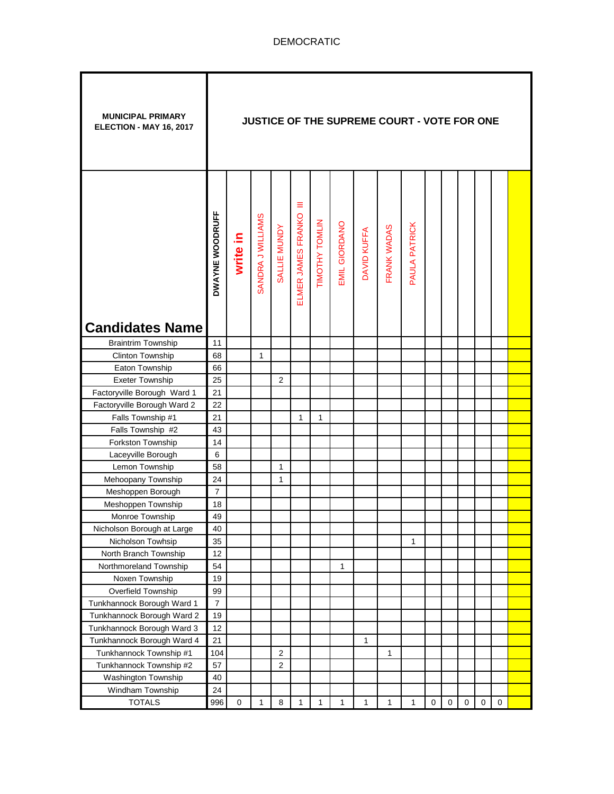| <b>MUNICIPAL PRIMARY</b><br>ELECTION - MAY 16, 2017 |                 |             |                   |                |                         |                |               |             | JUSTICE OF THE SUPREME COURT - VOTE FOR ONE |               |           |           |           |             |   |  |
|-----------------------------------------------------|-----------------|-------------|-------------------|----------------|-------------------------|----------------|---------------|-------------|---------------------------------------------|---------------|-----------|-----------|-----------|-------------|---|--|
|                                                     | DWAYNE WOODRUFF | write in    | SANDRA J WILLIAMS | SALLIE MUNDY   | Ξ<br>ELMER JAMES FRANKO | TIMOTHY TOMLIN | EMIL GIORDANO | DAVID KUFFA | FRANK WADAS                                 | PAULA PATRICK |           |           |           |             |   |  |
| <b>Candidates Name</b>                              |                 |             |                   |                |                         |                |               |             |                                             |               |           |           |           |             |   |  |
| <b>Braintrim Township</b>                           | 11              |             |                   |                |                         |                |               |             |                                             |               |           |           |           |             |   |  |
| Clinton Township                                    | 68              |             | 1                 |                |                         |                |               |             |                                             |               |           |           |           |             |   |  |
| Eaton Township                                      | 66              |             |                   |                |                         |                |               |             |                                             |               |           |           |           |             |   |  |
| Exeter Township                                     | 25              |             |                   | $\overline{2}$ |                         |                |               |             |                                             |               |           |           |           |             |   |  |
| Factoryville Borough Ward 1                         | 21              |             |                   |                |                         |                |               |             |                                             |               |           |           |           |             |   |  |
| Factoryville Borough Ward 2                         | 22              |             |                   |                |                         |                |               |             |                                             |               |           |           |           |             |   |  |
| Falls Township #1                                   | 21              |             |                   |                | 1                       | 1              |               |             |                                             |               |           |           |           |             |   |  |
| Falls Township #2                                   | 43              |             |                   |                |                         |                |               |             |                                             |               |           |           |           |             |   |  |
| Forkston Township                                   | 14              |             |                   |                |                         |                |               |             |                                             |               |           |           |           |             |   |  |
| Laceyville Borough                                  | 6               |             |                   |                |                         |                |               |             |                                             |               |           |           |           |             |   |  |
| Lemon Township                                      | 58              |             |                   | 1              |                         |                |               |             |                                             |               |           |           |           |             |   |  |
| Mehoopany Township                                  | 24              |             |                   | 1              |                         |                |               |             |                                             |               |           |           |           |             |   |  |
| Meshoppen Borough                                   | $\overline{7}$  |             |                   |                |                         |                |               |             |                                             |               |           |           |           |             |   |  |
| Meshoppen Township                                  | 18              |             |                   |                |                         |                |               |             |                                             |               |           |           |           |             |   |  |
| Monroe Township                                     | 49              |             |                   |                |                         |                |               |             |                                             |               |           |           |           |             |   |  |
| Nicholson Borough at Large                          | 40              |             |                   |                |                         |                |               |             |                                             |               |           |           |           |             |   |  |
| Nicholson Towhsip                                   | 35              |             |                   |                |                         |                |               |             |                                             | 1             |           |           |           |             |   |  |
| North Branch Township                               | 12              |             |                   |                |                         |                |               |             |                                             |               |           |           |           |             |   |  |
| Northmoreland Township                              | 54              |             |                   |                |                         |                | 1             |             |                                             |               |           |           |           |             |   |  |
| Noxen Township                                      | 19              |             |                   |                |                         |                |               |             |                                             |               |           |           |           |             |   |  |
| Overfield Township                                  | 99              |             |                   |                |                         |                |               |             |                                             |               |           |           |           |             |   |  |
| Tunkhannock Borough Ward 1                          | $\overline{7}$  |             |                   |                |                         |                |               |             |                                             |               |           |           |           |             |   |  |
| Tunkhannock Borough Ward 2                          | 19              |             |                   |                |                         |                |               |             |                                             |               |           |           |           |             |   |  |
| Tunkhannock Borough Ward 3                          | 12              |             |                   |                |                         |                |               |             |                                             |               |           |           |           |             |   |  |
| Tunkhannock Borough Ward 4                          | 21              |             |                   |                |                         |                |               | 1           |                                             |               |           |           |           |             |   |  |
| Tunkhannock Township #1                             | 104             |             |                   | $\overline{2}$ |                         |                |               |             | 1                                           |               |           |           |           |             |   |  |
| Tunkhannock Township #2                             | 57              |             |                   | $\overline{2}$ |                         |                |               |             |                                             |               |           |           |           |             |   |  |
| Washington Township                                 | 40              |             |                   |                |                         |                |               |             |                                             |               |           |           |           |             |   |  |
| Windham Township                                    | 24              |             |                   |                |                         |                |               |             |                                             |               |           |           |           |             |   |  |
| <b>TOTALS</b>                                       | 996             | $\mathbf 0$ | 1                 | 8              | 1                       | 1              | 1             | 1           | 1                                           | 1             | $\pmb{0}$ | $\pmb{0}$ | $\pmb{0}$ | $\mathbf 0$ | 0 |  |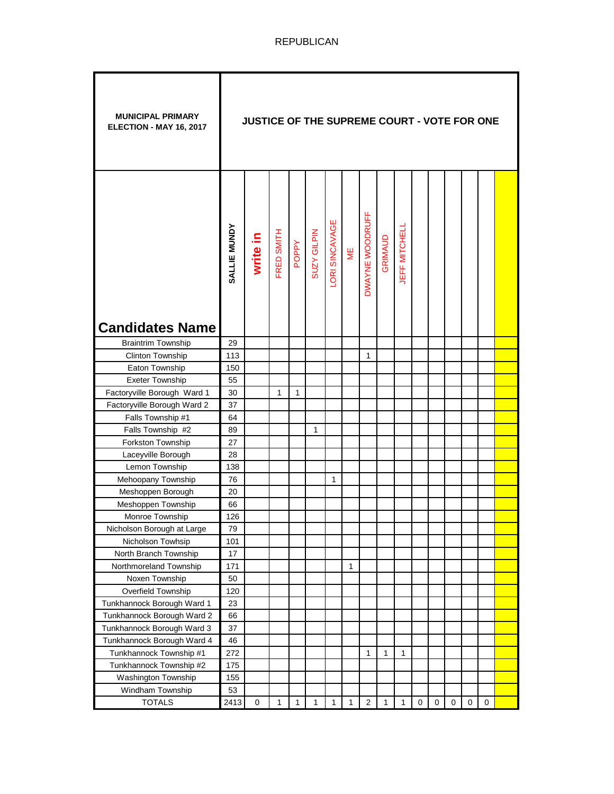| <b>MUNICIPAL PRIMARY</b><br>ELECTION - MAY 16, 2017 |              | JUSTICE OF THE SUPREME COURT - VOTE FOR ONE |            |       |                    |                |              |                         |         |                      |                  |   |             |           |   |  |
|-----------------------------------------------------|--------------|---------------------------------------------|------------|-------|--------------------|----------------|--------------|-------------------------|---------|----------------------|------------------|---|-------------|-----------|---|--|
| <b>Candidates Name</b>                              | SALLIE MUNDY | write in                                    | FRED SMITH | POPPY | <b>SUZY GILPIN</b> | LORI SINCAVAGE | ΜË           | DWAYNE WOODRUFF         | GRIMAUD | <b>JEFF MITCHELL</b> |                  |   |             |           |   |  |
| <b>Braintrim Township</b>                           | 29           |                                             |            |       |                    |                |              |                         |         |                      |                  |   |             |           |   |  |
| Clinton Township                                    | 113          |                                             |            |       |                    |                |              | $\mathbf{1}$            |         |                      |                  |   |             |           |   |  |
| Eaton Township                                      | 150          |                                             |            |       |                    |                |              |                         |         |                      |                  |   |             |           |   |  |
| <b>Exeter Township</b>                              | 55           |                                             |            |       |                    |                |              |                         |         |                      |                  |   |             |           |   |  |
| Factoryville Borough Ward 1                         | 30           |                                             | 1          | 1     |                    |                |              |                         |         |                      |                  |   |             |           |   |  |
| Factoryville Borough Ward 2                         | 37           |                                             |            |       |                    |                |              |                         |         |                      |                  |   |             |           |   |  |
| Falls Township #1                                   | 64           |                                             |            |       |                    |                |              |                         |         |                      |                  |   |             |           |   |  |
| Falls Township #2                                   | 89           |                                             |            |       | 1                  |                |              |                         |         |                      |                  |   |             |           |   |  |
| Forkston Township                                   | 27           |                                             |            |       |                    |                |              |                         |         |                      |                  |   |             |           |   |  |
| Laceyville Borough                                  | 28           |                                             |            |       |                    |                |              |                         |         |                      |                  |   |             |           |   |  |
| Lemon Township                                      | 138          |                                             |            |       |                    |                |              |                         |         |                      |                  |   |             |           |   |  |
| Mehoopany Township                                  | 76           |                                             |            |       |                    | 1              |              |                         |         |                      |                  |   |             |           |   |  |
| Meshoppen Borough                                   | 20           |                                             |            |       |                    |                |              |                         |         |                      |                  |   |             |           |   |  |
| Meshoppen Township                                  | 66           |                                             |            |       |                    |                |              |                         |         |                      |                  |   |             |           |   |  |
| Monroe Township                                     | 126          |                                             |            |       |                    |                |              |                         |         |                      |                  |   |             |           |   |  |
| Nicholson Borough at Large                          | 79           |                                             |            |       |                    |                |              |                         |         |                      |                  |   |             |           |   |  |
| Nicholson Towhsip                                   | 101          |                                             |            |       |                    |                |              |                         |         |                      |                  |   |             |           |   |  |
| North Branch Township                               | 17           |                                             |            |       |                    |                |              |                         |         |                      |                  |   |             |           |   |  |
| Northmoreland Township                              | 171          |                                             |            |       |                    |                | $\mathbf{1}$ |                         |         |                      |                  |   |             |           |   |  |
| Noxen Township                                      | 50           |                                             |            |       |                    |                |              |                         |         |                      |                  |   |             |           |   |  |
| Overfield Township                                  | 120          |                                             |            |       |                    |                |              |                         |         |                      |                  |   |             |           |   |  |
| Tunkhannock Borough Ward 1                          | 23           |                                             |            |       |                    |                |              |                         |         |                      |                  |   |             |           |   |  |
| Tunkhannock Borough Ward 2                          | 66           |                                             |            |       |                    |                |              |                         |         |                      |                  |   |             |           |   |  |
| Tunkhannock Borough Ward 3                          | 37           |                                             |            |       |                    |                |              |                         |         |                      |                  |   |             |           |   |  |
| Tunkhannock Borough Ward 4                          | 46           |                                             |            |       |                    |                |              |                         |         |                      |                  |   |             |           |   |  |
| Tunkhannock Township #1                             | 272          |                                             |            |       |                    |                |              | 1                       | 1       | 1                    |                  |   |             |           |   |  |
| Tunkhannock Township #2                             | 175          |                                             |            |       |                    |                |              |                         |         |                      |                  |   |             |           |   |  |
| Washington Township                                 | 155          |                                             |            |       |                    |                |              |                         |         |                      |                  |   |             |           |   |  |
| Windham Township                                    | 53           |                                             |            |       |                    |                |              |                         |         |                      |                  |   |             |           |   |  |
| <b>TOTALS</b>                                       | 2413         | $\pmb{0}$                                   | 1          | 1     | 1                  | 1              | 1            | $\overline{\mathbf{c}}$ | 1       | $\mathbf{1}$         | $\boldsymbol{0}$ | 0 | $\mathbf 0$ | $\pmb{0}$ | 0 |  |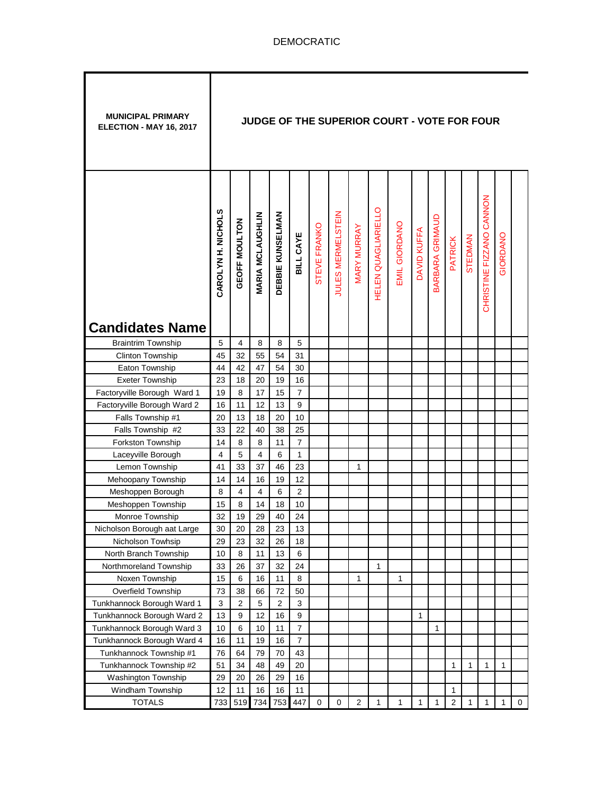| CHRISTINE FIZZANO CANNON<br><b>HELEN QUAGLIARIELLO</b><br>CAROLYN H. NICHOLS<br><b>JULES MERMELSTEIN</b><br>DEBBIE KUNSELMAN<br><b>MARIA MCLAUGHLIN</b><br>BARBARA GRIMAUD<br>GEOFF MOULTON<br><b>EMIL GIORDANO</b><br>STEVE FRANKO<br>MARY MURRAY<br>DAVID KUFFA<br>BILL CAYE<br>GIORDANO<br>STEDMAN<br><b>PATRICK</b><br><b>Candidates Name</b><br>5<br>4<br><b>Braintrim Township</b><br>8<br>5<br>8<br>55<br>54<br>45<br>32<br>31 | <b>MUNICIPAL PRIMARY</b><br>ELECTION - MAY 16, 2017 |
|---------------------------------------------------------------------------------------------------------------------------------------------------------------------------------------------------------------------------------------------------------------------------------------------------------------------------------------------------------------------------------------------------------------------------------------|-----------------------------------------------------|
|                                                                                                                                                                                                                                                                                                                                                                                                                                       |                                                     |
|                                                                                                                                                                                                                                                                                                                                                                                                                                       |                                                     |
|                                                                                                                                                                                                                                                                                                                                                                                                                                       | <b>Clinton Township</b>                             |
| Eaton Township<br>47<br>54<br>30<br>44<br>42                                                                                                                                                                                                                                                                                                                                                                                          |                                                     |
| <b>Exeter Township</b><br>23<br>18<br>20<br>19<br>16                                                                                                                                                                                                                                                                                                                                                                                  |                                                     |
| Factoryville Borough Ward 1<br>19<br>8<br>17<br>15<br>7                                                                                                                                                                                                                                                                                                                                                                               |                                                     |
| 13<br>$\boldsymbol{9}$<br>Factoryville Borough Ward 2<br>16<br>11<br>12                                                                                                                                                                                                                                                                                                                                                               |                                                     |
| Falls Township #1<br>13<br>18<br>20<br>10<br>20                                                                                                                                                                                                                                                                                                                                                                                       |                                                     |
| Falls Township #2<br>22<br>38<br>25<br>33<br>40                                                                                                                                                                                                                                                                                                                                                                                       |                                                     |
| Forkston Township<br>14<br>8<br>11<br>$\overline{7}$<br>8                                                                                                                                                                                                                                                                                                                                                                             |                                                     |
| 5<br>6<br>$\mathbf{1}$<br>Laceyville Borough<br>4<br>4                                                                                                                                                                                                                                                                                                                                                                                |                                                     |
| Lemon Township<br>41<br>33<br>37<br>46<br>23<br>1                                                                                                                                                                                                                                                                                                                                                                                     |                                                     |
| 14<br>19<br>12<br>Mehoopany Township<br>14<br>16                                                                                                                                                                                                                                                                                                                                                                                      |                                                     |
| $\overline{4}$<br>$\overline{2}$<br>Meshoppen Borough<br>8<br>$\overline{4}$<br>6                                                                                                                                                                                                                                                                                                                                                     |                                                     |
| 8<br>Meshoppen Township<br>15<br>18<br>10<br>14                                                                                                                                                                                                                                                                                                                                                                                       |                                                     |
| 19<br>Monroe Township<br>32<br>29<br>40<br>24                                                                                                                                                                                                                                                                                                                                                                                         |                                                     |
| 20<br>Nicholson Borough aat Large<br>30<br>28<br>23<br>13                                                                                                                                                                                                                                                                                                                                                                             |                                                     |
| 29<br>23<br>32<br>26<br>Nicholson Towhsip<br>18                                                                                                                                                                                                                                                                                                                                                                                       |                                                     |
| North Branch Township<br>13<br>10<br>8<br>11<br>6                                                                                                                                                                                                                                                                                                                                                                                     |                                                     |
| 37<br>32<br>1<br>Northmoreland Township<br>33<br>26<br>24                                                                                                                                                                                                                                                                                                                                                                             |                                                     |
| Noxen Township<br>15<br>6<br>16<br>11<br>8<br>1<br>1                                                                                                                                                                                                                                                                                                                                                                                  |                                                     |
| Overfield Township<br>38<br>50<br>73<br>66<br>72                                                                                                                                                                                                                                                                                                                                                                                      |                                                     |
| Tunkhannock Borough Ward 1<br>3<br>$\overline{2}$<br>$\overline{c}$<br>5<br>3                                                                                                                                                                                                                                                                                                                                                         |                                                     |
| 9<br>Tunkhannock Borough Ward 2<br>13<br>9<br>12<br>16<br>$\mathbf{1}$                                                                                                                                                                                                                                                                                                                                                                |                                                     |
| $\boldsymbol{7}$<br>Tunkhannock Borough Ward 3<br>10<br>6<br>10<br>11<br>1                                                                                                                                                                                                                                                                                                                                                            |                                                     |
| Tunkhannock Borough Ward 4<br>16<br>16<br>$\overline{7}$<br>11<br>19                                                                                                                                                                                                                                                                                                                                                                  |                                                     |
| 76<br>79<br>70<br>Tunkhannock Township #1<br>64<br>43                                                                                                                                                                                                                                                                                                                                                                                 |                                                     |
| 51<br>49<br>Tunkhannock Township #2<br>34<br>48<br>20<br>1<br>1<br>1<br>1                                                                                                                                                                                                                                                                                                                                                             |                                                     |
| 29<br>20<br>26<br>29<br>16<br>Washington Township<br>12<br>11<br>16<br>16<br>11                                                                                                                                                                                                                                                                                                                                                       |                                                     |
| Windham Township<br>1<br>1<br><b>TOTALS</b><br>734<br>447<br>$\overline{2}$<br>1<br>$\mathbf{1}$<br>$\overline{2}$<br>$\mathbf{1}$<br>$\mathbf{1}$<br>733<br>519<br>753<br>0<br>0<br>1<br>1<br>0                                                                                                                                                                                                                                      |                                                     |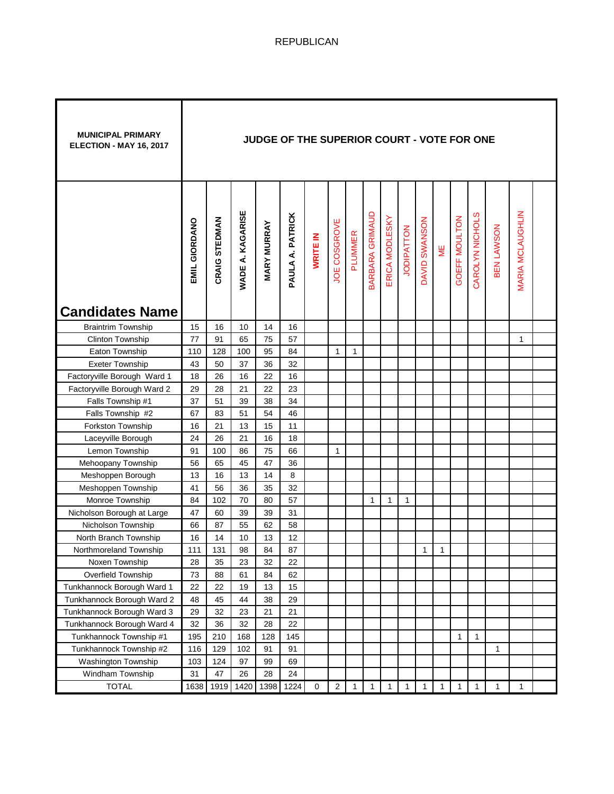| <b>MUNICIPAL PRIMARY</b><br>ELECTION - MAY 16, 2017 |               |               |                  | JUDGE OF THE SUPERIOR COURT - VOTE FOR ONE |                  |             |                |              |                        |                |                   |                         |              |               |                 |              |                         |  |
|-----------------------------------------------------|---------------|---------------|------------------|--------------------------------------------|------------------|-------------|----------------|--------------|------------------------|----------------|-------------------|-------------------------|--------------|---------------|-----------------|--------------|-------------------------|--|
|                                                     | EMIL GIORDANO | CRAIG STEDMAN | WADE A. KAGARISE | <b>MARY MURRAY</b>                         | PAULA A. PATRICK | WRITE IN    | JOE COSGROVE   | PLUMMER      | <b>BARBARA GRIMAUD</b> | ERICA MODLESKY | <b>JODIPATTON</b> | SWANSON<br><b>DAVID</b> | ME           | GOEFF MOULTON | CAROLYN NICHOLS | BEN LAWSON   | <b>MARIA MCLAUGHLIN</b> |  |
| <b>Candidates Name</b>                              |               |               |                  |                                            |                  |             |                |              |                        |                |                   |                         |              |               |                 |              |                         |  |
| <b>Braintrim Township</b>                           | 15            | 16            | 10               | 14                                         | 16               |             |                |              |                        |                |                   |                         |              |               |                 |              |                         |  |
| Clinton Township                                    | 77            | 91            | 65               | 75                                         | 57               |             |                |              |                        |                |                   |                         |              |               |                 |              | 1                       |  |
| Eaton Township                                      | 110           | 128           | 100              | 95                                         | 84               |             | 1              | $\mathbf{1}$ |                        |                |                   |                         |              |               |                 |              |                         |  |
| <b>Exeter Township</b>                              | 43            | 50            | 37               | 36                                         | 32               |             |                |              |                        |                |                   |                         |              |               |                 |              |                         |  |
| Factoryville Borough Ward 1                         | 18            | 26            | 16               | 22                                         | 16               |             |                |              |                        |                |                   |                         |              |               |                 |              |                         |  |
| Factoryville Borough Ward 2                         | 29            | 28            | 21               | 22                                         | 23               |             |                |              |                        |                |                   |                         |              |               |                 |              |                         |  |
| Falls Township #1                                   | 37            | 51            | 39               | 38                                         | 34               |             |                |              |                        |                |                   |                         |              |               |                 |              |                         |  |
| Falls Township #2                                   | 67            | 83            | 51               | 54                                         | 46               |             |                |              |                        |                |                   |                         |              |               |                 |              |                         |  |
| Forkston Township                                   | 16            | 21            | 13               | 15                                         | 11               |             |                |              |                        |                |                   |                         |              |               |                 |              |                         |  |
| Laceyville Borough                                  | 24            | 26            | 21               | 16                                         | 18               |             |                |              |                        |                |                   |                         |              |               |                 |              |                         |  |
| Lemon Township                                      | 91            | 100           | 86               | 75                                         | 66               |             | 1              |              |                        |                |                   |                         |              |               |                 |              |                         |  |
| Mehoopany Township                                  | 56            | 65            | 45               | 47                                         | 36               |             |                |              |                        |                |                   |                         |              |               |                 |              |                         |  |
| Meshoppen Borough                                   | 13            | 16            | 13               | 14                                         | 8                |             |                |              |                        |                |                   |                         |              |               |                 |              |                         |  |
| Meshoppen Township                                  | 41            | 56            | 36               | 35                                         | 32               |             |                |              |                        |                |                   |                         |              |               |                 |              |                         |  |
| Monroe Township                                     | 84            | 102           | 70               | 80                                         | 57               |             |                |              | 1                      | 1              | 1                 |                         |              |               |                 |              |                         |  |
| Nicholson Borough at Large                          | 47            | 60            | 39               | 39                                         | 31               |             |                |              |                        |                |                   |                         |              |               |                 |              |                         |  |
| Nicholson Township                                  | 66            | 87            | 55               | 62                                         | 58               |             |                |              |                        |                |                   |                         |              |               |                 |              |                         |  |
| North Branch Township                               | 16            | 14            | 10               | 13                                         | 12               |             |                |              |                        |                |                   |                         |              |               |                 |              |                         |  |
| Northmoreland Township                              | 111           | 131           | 98               | 84                                         | 87               |             |                |              |                        |                |                   | 1                       | 1            |               |                 |              |                         |  |
| Noxen Township                                      | 28            | 35            | 23               | 32                                         | 22               |             |                |              |                        |                |                   |                         |              |               |                 |              |                         |  |
| Overfield Township                                  | 73            | 88            | 61               | 84                                         | 62               |             |                |              |                        |                |                   |                         |              |               |                 |              |                         |  |
| Tunkhannock Borough Ward 1                          | 22            | 22            | 19               | 13                                         | 15               |             |                |              |                        |                |                   |                         |              |               |                 |              |                         |  |
| Tunkhannock Borough Ward 2                          | 48            | 45            | 44               | 38                                         | 29               |             |                |              |                        |                |                   |                         |              |               |                 |              |                         |  |
| Tunkhannock Borough Ward 3                          | 29            | 32            | 23               | 21                                         | 21               |             |                |              |                        |                |                   |                         |              |               |                 |              |                         |  |
| Tunkhannock Borough Ward 4                          | 32            | 36            | 32               | 28                                         | 22               |             |                |              |                        |                |                   |                         |              |               |                 |              |                         |  |
| Tunkhannock Township #1                             | 195           | 210           | 168              | 128                                        | 145              |             |                |              |                        |                |                   |                         |              | 1             | $\mathbf{1}$    |              |                         |  |
| Tunkhannock Township #2                             | 116           | 129           | 102              | 91                                         | 91               |             |                |              |                        |                |                   |                         |              |               |                 | $\mathbf{1}$ |                         |  |
| Washington Township                                 | 103           | 124           | 97               | 99                                         | 69               |             |                |              |                        |                |                   |                         |              |               |                 |              |                         |  |
| Windham Township                                    | 31            | 47            | 26               | 28                                         | 24               |             |                |              |                        |                |                   |                         |              |               |                 |              |                         |  |
| <b>TOTAL</b>                                        | 1638          | 1919          | 1420             | 1398                                       | 1224             | $\mathbf 0$ | $\overline{c}$ | $\mathbf{1}$ | $\mathbf{1}$           | $\mathbf{1}$   | $\mathbf{1}$      | 1                       | $\mathbf{1}$ | $\mathbf{1}$  | $\mathbf{1}$    | $\mathbf{1}$ | $\mathbf{1}$            |  |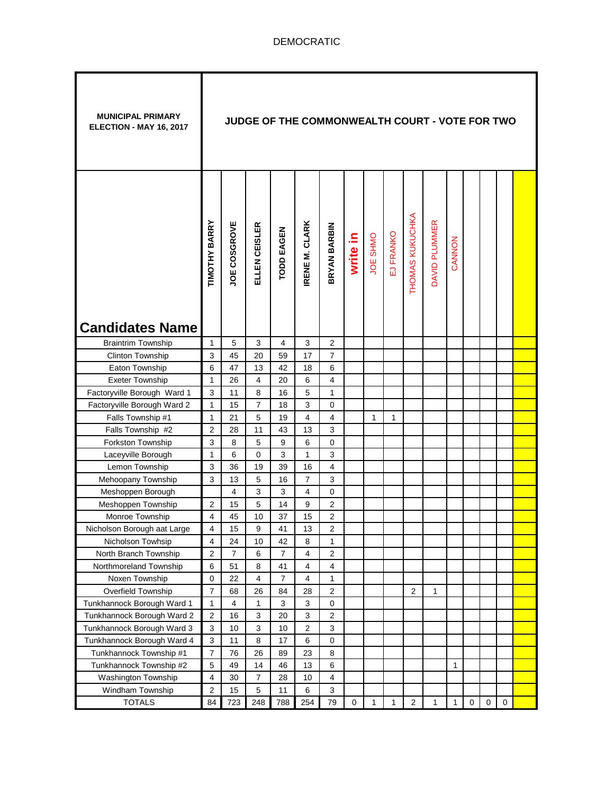| <b>MUNICIPAL PRIMARY</b><br>ELECTION - MAY 16, 2017 |                                  |                | JUDGE OF THE COMMONWEALTH COURT - VOTE FOR TWO |                   |                           |                                             |          |                 |           |                 |               |        |  |  |
|-----------------------------------------------------|----------------------------------|----------------|------------------------------------------------|-------------------|---------------------------|---------------------------------------------|----------|-----------------|-----------|-----------------|---------------|--------|--|--|
| <b>Candidates Name</b>                              | TIMOTHY BARRY                    | JOE COSGROVE   | ELLEN CEISLER                                  | <b>TODD EAGEN</b> | RENE M. CLARK             | BRYAN BARBIN                                | write in | <b>JOE SHMO</b> | EJ FRANKO | THOMAS KUKUCHKA | DAVID PLUMMER | CANNON |  |  |
| <b>Braintrim Township</b>                           | $\mathbf{1}$                     | 5              | 3                                              | 4                 | 3                         | $\overline{2}$                              |          |                 |           |                 |               |        |  |  |
| Clinton Township                                    | $\mathsf 3$                      | 45             | 20                                             | 59                | 17                        | $\overline{7}$                              |          |                 |           |                 |               |        |  |  |
| Eaton Township                                      | 6                                | 47             | 13                                             | 42                | 18                        | 6                                           |          |                 |           |                 |               |        |  |  |
| <b>Exeter Township</b>                              | $\mathbf{1}$                     | 26             | 4                                              | 20                | 6                         | $\overline{4}$                              |          |                 |           |                 |               |        |  |  |
| Factoryville Borough Ward 1                         | 3                                | 11             | 8                                              | 16                | 5                         | $\mathbf{1}$                                |          |                 |           |                 |               |        |  |  |
| Factoryville Borough Ward 2                         | $\mathbf{1}$                     | 15             | $\overline{7}$                                 | 18                | 3                         | 0                                           |          |                 |           |                 |               |        |  |  |
| Falls Township #1                                   | $\mathbf{1}$                     | 21             | 5                                              | 19                | 4                         | $\overline{4}$                              |          | $\mathbf{1}$    | 1         |                 |               |        |  |  |
| Falls Township #2                                   | $\overline{2}$                   | 28             | 11                                             | 43                | 13                        | 3                                           |          |                 |           |                 |               |        |  |  |
| Forkston Township                                   | 3                                | 8              | 5                                              | 9                 | 6                         | $\mathbf 0$                                 |          |                 |           |                 |               |        |  |  |
| Laceyville Borough                                  | $\mathbf{1}$                     | 6              | 0                                              | 3                 | $\mathbf{1}$              | $\mathsf 3$                                 |          |                 |           |                 |               |        |  |  |
| Lemon Township                                      | 3                                | 36             | 19                                             | 39                | 16                        | $\overline{\mathbf{4}}$                     |          |                 |           |                 |               |        |  |  |
| Mehoopany Township                                  | 3                                | 13             | 5                                              | 16                | $\overline{7}$            | $\mathsf 3$                                 |          |                 |           |                 |               |        |  |  |
| Meshoppen Borough                                   |                                  | 4              | 3                                              | 3                 | $\overline{4}$            | $\mathbf 0$                                 |          |                 |           |                 |               |        |  |  |
| Meshoppen Township                                  | $\overline{2}$                   | 15             | 5                                              | 14                | 9                         | $\overline{2}$                              |          |                 |           |                 |               |        |  |  |
| Monroe Township                                     | $\overline{4}$                   | 45             | 10                                             | 37                | 15                        | $\overline{2}$                              |          |                 |           |                 |               |        |  |  |
| Nicholson Borough aat Large                         | $\overline{4}$                   | 15             | 9                                              | 41                | 13                        | $\overline{\mathbf{c}}$                     |          |                 |           |                 |               |        |  |  |
| Nicholson Towhsip                                   | $\overline{\mathbf{4}}$          | 24             | 10                                             | 42                | 8                         | 1                                           |          |                 |           |                 |               |        |  |  |
| North Branch Township                               | $\overline{2}$                   | $\overline{7}$ | 6                                              | $\overline{7}$    | 4                         | $\boldsymbol{2}$                            |          |                 |           |                 |               |        |  |  |
| Northmoreland Township                              | 6                                | 51             | 8                                              | 41                | 4                         | $\overline{4}$                              |          |                 |           |                 |               |        |  |  |
| Noxen Township                                      | 0                                | 22             | 4                                              | $\overline{7}$    | $\overline{4}$            | 1                                           |          |                 |           |                 |               |        |  |  |
| Overfield Township                                  | $\overline{7}$                   | 68             | 26                                             | 84                | 28                        | $\overline{c}$                              |          |                 |           | $\overline{2}$  | 1             |        |  |  |
| Tunkhannock Borough Ward 1                          | $\mathbf{1}$                     | 4              | 1                                              | $\sqrt{3}$        | $\mathbf{3}$              | $\pmb{0}$                                   |          |                 |           |                 |               |        |  |  |
| Tunkhannock Borough Ward 2                          | $\boldsymbol{2}$                 | 16             | 3                                              | 20                | $\ensuremath{\mathsf{3}}$ | $\sqrt{2}$                                  |          |                 |           |                 |               |        |  |  |
| Tunkhannock Borough Ward 3                          | $\sqrt{3}$                       | 10             | 3                                              | 10                | $\overline{2}$            | $\mathsf 3$                                 |          |                 |           |                 |               |        |  |  |
| Tunkhannock Borough Ward 4                          | $\mathbf{3}$                     | 11             | 8                                              | 17                | 6                         | 0                                           |          |                 |           |                 |               |        |  |  |
| Tunkhannock Township #1                             |                                  |                | 26                                             | 89                | 23                        | 8                                           |          |                 |           |                 |               |        |  |  |
|                                                     | $\overline{7}$                   | 76             |                                                |                   |                           |                                             |          |                 |           |                 |               |        |  |  |
| Tunkhannock Township #2                             | 5                                | 49             | 14                                             | 46                | 13                        | 6                                           |          |                 |           |                 |               | 1      |  |  |
| Washington Township<br>Windham Township             | $\overline{4}$<br>$\overline{c}$ | 30<br>15       | 7<br>5                                         | 28<br>11          | 10<br>6                   | $\overline{4}$<br>$\ensuremath{\mathsf{3}}$ |          |                 |           |                 |               |        |  |  |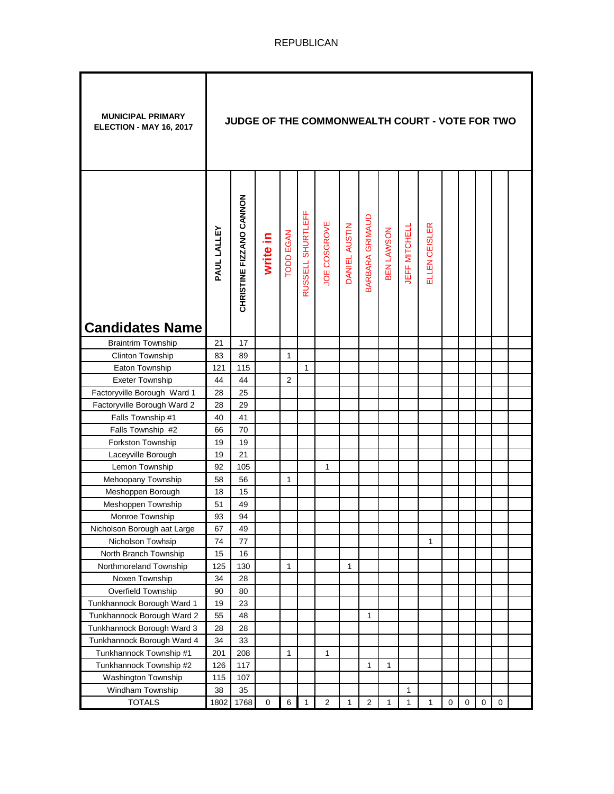| <b>MUNICIPAL PRIMARY</b><br>ELECTION - MAY 16, 2017 |             | JUDGE OF THE COMMONWEALTH COURT - VOTE FOR TWO |             |                  |                   |                |               |                 |                   |               |               |             |             |             |   |  |
|-----------------------------------------------------|-------------|------------------------------------------------|-------------|------------------|-------------------|----------------|---------------|-----------------|-------------------|---------------|---------------|-------------|-------------|-------------|---|--|
| <b>Candidates Name</b>                              | PAUL LALLEY | CHRISTINE FIZZANO CANNON                       | write in    | <b>TODD EGAN</b> | RUSSELL SHURTLEFF | JOE COSGROVE   | DANIEL AUSTIN | BARBARA GRIMAUD | <b>SEN LAWSON</b> | JEFF MITCHELL | ELLEN CEISLER |             |             |             |   |  |
| <b>Braintrim Township</b>                           | 21          | 17                                             |             |                  |                   |                |               |                 |                   |               |               |             |             |             |   |  |
| Clinton Township                                    | 83          | 89                                             |             | 1                |                   |                |               |                 |                   |               |               |             |             |             |   |  |
| Eaton Township                                      | 121         | 115                                            |             |                  | $\mathbf{1}$      |                |               |                 |                   |               |               |             |             |             |   |  |
| <b>Exeter Township</b>                              | 44          | 44                                             |             | $\overline{2}$   |                   |                |               |                 |                   |               |               |             |             |             |   |  |
| Factoryville Borough Ward 1                         | 28          | 25                                             |             |                  |                   |                |               |                 |                   |               |               |             |             |             |   |  |
| Factoryville Borough Ward 2                         | 28          | 29                                             |             |                  |                   |                |               |                 |                   |               |               |             |             |             |   |  |
| Falls Township #1                                   | 40          | 41                                             |             |                  |                   |                |               |                 |                   |               |               |             |             |             |   |  |
| Falls Township #2                                   | 66          | 70                                             |             |                  |                   |                |               |                 |                   |               |               |             |             |             |   |  |
| Forkston Township                                   | 19          | 19                                             |             |                  |                   |                |               |                 |                   |               |               |             |             |             |   |  |
| Laceyville Borough                                  | 19          | 21                                             |             |                  |                   |                |               |                 |                   |               |               |             |             |             |   |  |
| Lemon Township                                      | 92          | 105                                            |             |                  |                   | 1              |               |                 |                   |               |               |             |             |             |   |  |
| Mehoopany Township                                  | 58          | 56                                             |             | 1                |                   |                |               |                 |                   |               |               |             |             |             |   |  |
| Meshoppen Borough                                   | 18          | 15                                             |             |                  |                   |                |               |                 |                   |               |               |             |             |             |   |  |
| Meshoppen Township                                  | 51          | 49                                             |             |                  |                   |                |               |                 |                   |               |               |             |             |             |   |  |
| Monroe Township                                     | 93          | 94                                             |             |                  |                   |                |               |                 |                   |               |               |             |             |             |   |  |
| Nicholson Borough aat Large                         | 67          | 49                                             |             |                  |                   |                |               |                 |                   |               |               |             |             |             |   |  |
| Nicholson Towhsip                                   | 74          | 77                                             |             |                  |                   |                |               |                 |                   |               | 1             |             |             |             |   |  |
| North Branch Township                               | 15          | 16                                             |             |                  |                   |                |               |                 |                   |               |               |             |             |             |   |  |
| Northmoreland Township                              | 125         | 130                                            |             | 1                |                   |                | 1             |                 |                   |               |               |             |             |             |   |  |
| Noxen Township                                      | 34          | 28                                             |             |                  |                   |                |               |                 |                   |               |               |             |             |             |   |  |
| Overfield Township                                  | 90          | 80                                             |             |                  |                   |                |               |                 |                   |               |               |             |             |             |   |  |
| Tunkhannock Borough Ward 1                          | 19          | 23                                             |             |                  |                   |                |               |                 |                   |               |               |             |             |             |   |  |
| Tunkhannock Borough Ward 2                          | 55          | 48                                             |             |                  |                   |                |               | 1               |                   |               |               |             |             |             |   |  |
| Tunkhannock Borough Ward 3                          | 28          | 28                                             |             |                  |                   |                |               |                 |                   |               |               |             |             |             |   |  |
| Tunkhannock Borough Ward 4                          | 34          | 33                                             |             |                  |                   |                |               |                 |                   |               |               |             |             |             |   |  |
| Tunkhannock Township #1                             | 201         | 208                                            |             | 1                |                   | 1              |               |                 |                   |               |               |             |             |             |   |  |
| Tunkhannock Township #2                             | 126         | 117                                            |             |                  |                   |                |               | $\mathbf{1}$    | 1                 |               |               |             |             |             |   |  |
| Washington Township                                 | 115         | 107                                            |             |                  |                   |                |               |                 |                   |               |               |             |             |             |   |  |
| Windham Township                                    | 38          | 35                                             |             |                  |                   |                |               |                 |                   | $\mathbf 1$   |               |             |             |             |   |  |
| <b>TOTALS</b>                                       | 1802        | 1768                                           | $\mathbf 0$ | 6                | 1                 | $\overline{2}$ | 1             | 2               | 1                 | $\mathbf{1}$  | 1             | $\mathbf 0$ | $\mathbf 0$ | $\mathbf 0$ | 0 |  |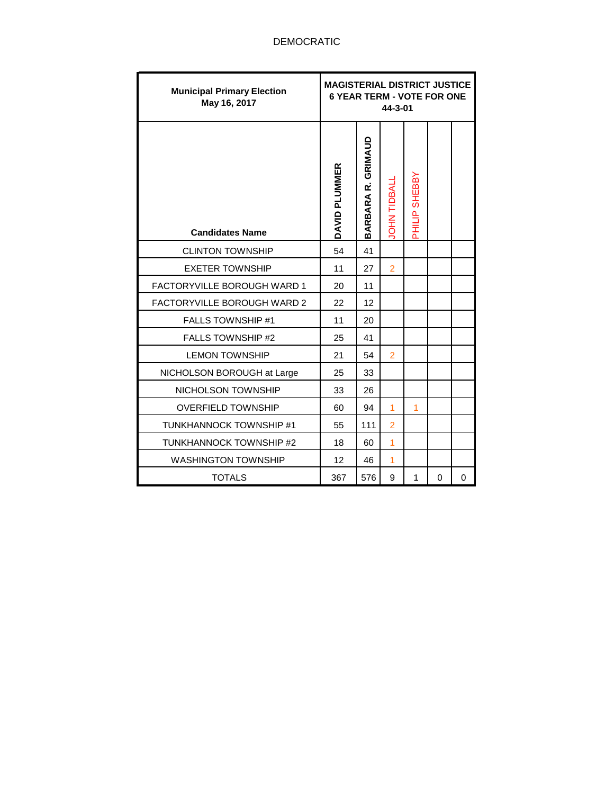| <b>Municipal Primary Election</b><br>May 16, 2017 | <b>MAGISTERIAL DISTRICT JUSTICE</b><br><b>6 YEAR TERM - VOTE FOR ONE</b> |                    | 44-3-01           |                |   |          |
|---------------------------------------------------|--------------------------------------------------------------------------|--------------------|-------------------|----------------|---|----------|
| <b>Candidates Name</b>                            | DAVID PLUMMER                                                            | BARBARA R. GRIMAUD | <b>OHN TIDBAL</b> | PHILIP SHEBBY  |   |          |
| <b>CLINTON TOWNSHIP</b>                           | 54                                                                       | 41                 |                   |                |   |          |
| <b>EXETER TOWNSHIP</b>                            | 11                                                                       | 27                 | $\overline{2}$    |                |   |          |
| <b>FACTORYVILLE BOROUGH WARD 1</b>                | 20                                                                       | 11                 |                   |                |   |          |
| FACTORYVILLE BOROUGH WARD 2                       | 22                                                                       | 12                 |                   |                |   |          |
| <b>FALLS TOWNSHIP #1</b>                          | 11                                                                       | 20                 |                   |                |   |          |
| <b>FALLS TOWNSHIP #2</b>                          | 25                                                                       | 41                 |                   |                |   |          |
| <b>LEMON TOWNSHIP</b>                             | 21                                                                       | 54                 | $\overline{2}$    |                |   |          |
| NICHOLSON BOROUGH at Large                        | 25                                                                       | 33                 |                   |                |   |          |
| NICHOLSON TOWNSHIP                                | 33                                                                       | 26                 |                   |                |   |          |
| <b>OVERFIELD TOWNSHIP</b>                         | 60                                                                       | 94                 | 1                 | $\overline{1}$ |   |          |
| TUNKHANNOCK TOWNSHIP #1                           | 55                                                                       | 111                | $\overline{2}$    |                |   |          |
| TUNKHANNOCK TOWNSHIP #2                           | 18                                                                       | 60                 | 1                 |                |   |          |
| <b>WASHINGTON TOWNSHIP</b>                        | 12                                                                       | 46                 | 1                 |                |   |          |
| <b>TOTALS</b>                                     | 367                                                                      | 576                | 9                 | 1              | 0 | $\Omega$ |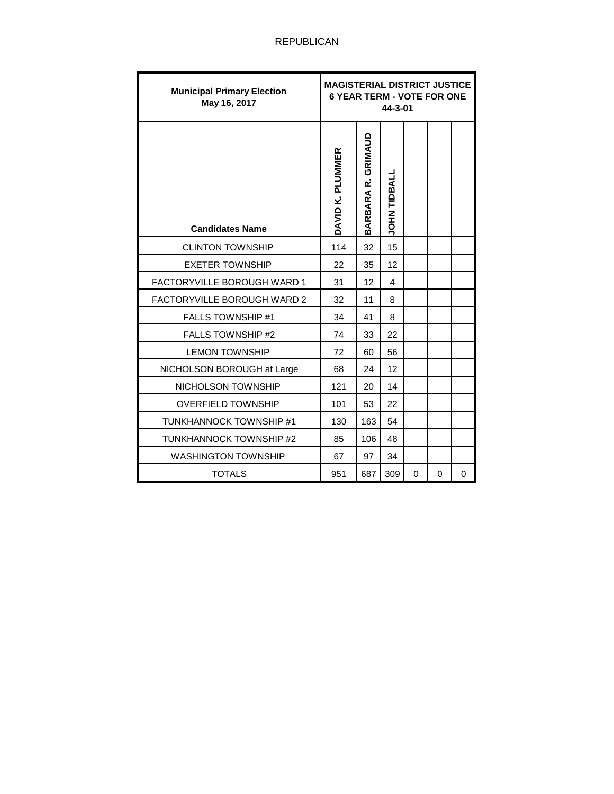| <b>Municipal Primary Election</b><br>May 16, 2017 | <b>MAGISTERIAL DISTRICT JUSTICE</b><br><b>6 YEAR TERM - VOTE FOR ONE</b> |                    | 44-3-01            |   |   |   |
|---------------------------------------------------|--------------------------------------------------------------------------|--------------------|--------------------|---|---|---|
| <b>Candidates Name</b>                            | DAVID K. PLUMMER                                                         | BARBARA R. GRIMAUD | <b>JOHN TIDBAL</b> |   |   |   |
| <b>CLINTON TOWNSHIP</b>                           | 114                                                                      | 32                 | 15                 |   |   |   |
| <b>EXETER TOWNSHIP</b>                            | 22                                                                       | 35                 | 12                 |   |   |   |
| <b>FACTORYVILLE BOROUGH WARD 1</b>                | 31                                                                       | 12                 | 4                  |   |   |   |
| <b>FACTORYVILLE BOROUGH WARD 2</b>                | 32                                                                       | 11                 | 8                  |   |   |   |
| <b>FALLS TOWNSHIP #1</b>                          | 34                                                                       | 41                 | 8                  |   |   |   |
| <b>FALLS TOWNSHIP #2</b>                          | 74                                                                       | 33                 | 22                 |   |   |   |
| <b>LEMON TOWNSHIP</b>                             | 72                                                                       | 60                 | 56                 |   |   |   |
| NICHOLSON BOROUGH at Large                        | 68                                                                       | 24                 | 12                 |   |   |   |
| NICHOLSON TOWNSHIP                                | 121                                                                      | 20                 | 14                 |   |   |   |
| <b>OVERFIELD TOWNSHIP</b>                         | 101                                                                      | 53                 | 22                 |   |   |   |
| TUNKHANNOCK TOWNSHIP #1                           | 130                                                                      | 163                | 54                 |   |   |   |
| TUNKHANNOCK TOWNSHIP #2                           | 85                                                                       | 106                | 48                 |   |   |   |
| <b>WASHINGTON TOWNSHIP</b>                        | 67                                                                       | 97                 | 34                 |   |   |   |
| <b>TOTALS</b>                                     | 951                                                                      | 687                | 309                | 0 | 0 | 0 |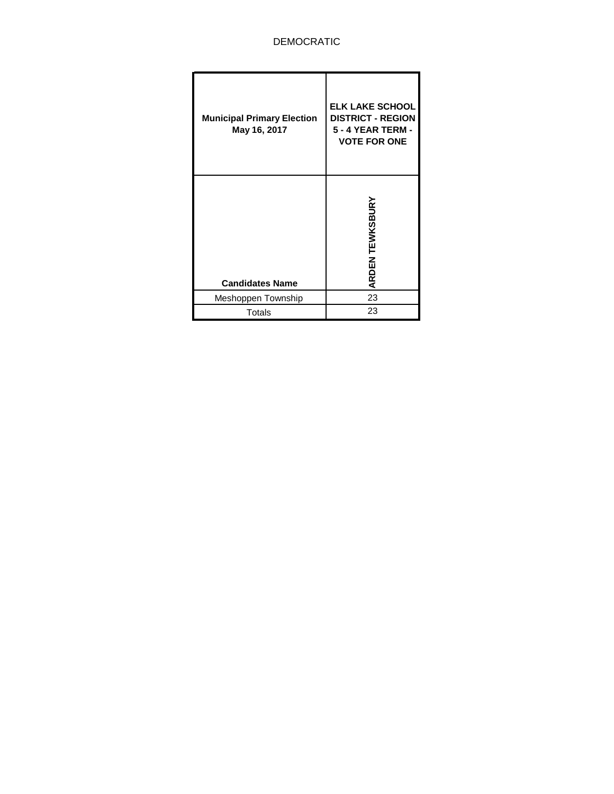# DEMOCRATIC

| <b>Municipal Primary Election</b><br>May 16, 2017 | <b>ELK LAKE SCHOOL</b><br><b>DISTRICT - REGION</b><br><b>5 - 4 YEAR TERM -</b><br><b>VOTE FOR ONE</b> |
|---------------------------------------------------|-------------------------------------------------------------------------------------------------------|
| <b>Candidates Name</b>                            | <b>TEWKSBURY</b><br><b>ARDEN</b>                                                                      |
| Meshoppen Township                                | 23                                                                                                    |
| <b>Totals</b>                                     | 23                                                                                                    |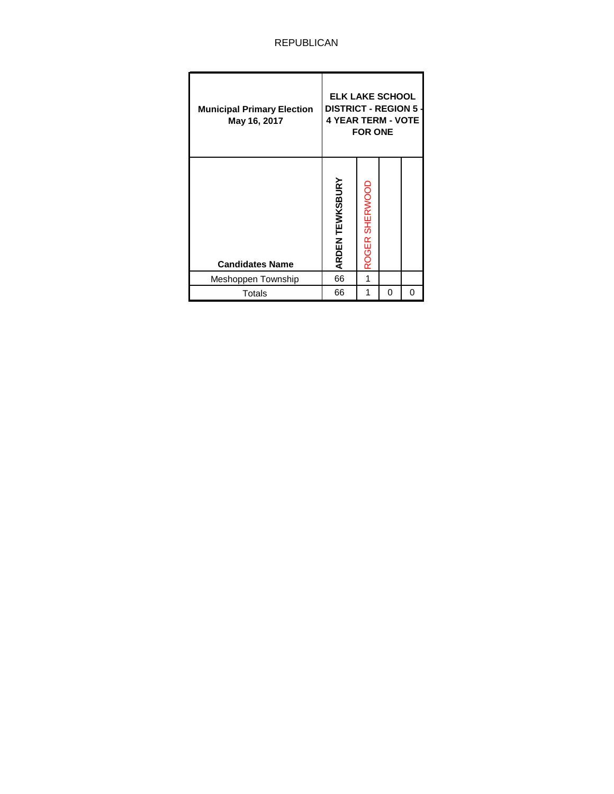### REPUBLICAN

| <b>Municipal Primary Election</b><br>May 16, 2017 | <b>ELK LAKE SCHOOL</b><br><b>DISTRICT - REGION 5 -</b><br><b>4 YEAR TERM - VOTE</b> | <b>FOR ONE</b> |   |   |
|---------------------------------------------------|-------------------------------------------------------------------------------------|----------------|---|---|
| <b>Candidates Name</b>                            | <b>ARDEN TEWKSBURY</b>                                                              | ROGER SHERWOOD |   |   |
| Meshoppen Township                                | 66                                                                                  |                |   |   |
| Totals                                            | 66                                                                                  | 1              | 0 | 0 |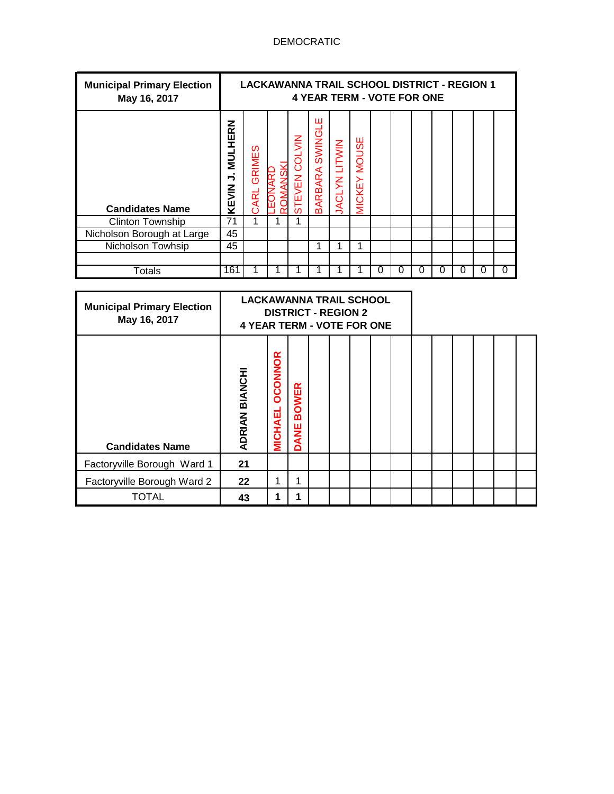# DEMOCRATIC

| <b>Municipal Primary Election</b><br>May 16, 2017 |                                                     | <b>LACKAWANNA TRAIL SCHOOL DISTRICT - REGION 1</b> |                         |                              |                      | <b>4 YEAR TERM - VOTE FOR ONE</b> |   |   |   |   |   |   |
|---------------------------------------------------|-----------------------------------------------------|----------------------------------------------------|-------------------------|------------------------------|----------------------|-----------------------------------|---|---|---|---|---|---|
| <b>Candidates Name</b>                            | <b>MULHERN</b><br>$\overline{\phantom{a}}$<br>KEVIN | GRIMES<br><b>ARL</b>                               | $\leq$<br>ಕ್ಷ<br>STEVEN | ш<br>SWING<br><b>BARBARA</b> | <b>JACLYN LITWIN</b> | <b>MOUSE</b><br><b>MICKEY</b>     |   |   |   |   |   |   |
| <b>Clinton Township</b>                           | 71                                                  | 1                                                  |                         |                              |                      |                                   |   |   |   |   |   |   |
| Nicholson Borough at Large                        | 45                                                  |                                                    |                         |                              |                      |                                   |   |   |   |   |   |   |
| Nicholson Towhsip                                 | 45                                                  |                                                    |                         |                              |                      | 4                                 |   |   |   |   |   |   |
|                                                   |                                                     |                                                    |                         |                              |                      |                                   |   |   |   |   |   |   |
| Totals                                            | 161                                                 |                                                    |                         |                              |                      |                                   | 0 | 0 | 0 | 0 | O | 0 |

| <b>Municipal Primary Election</b><br>May 16, 2017 | <b>LACKAWANNA TRAIL SCHOOL</b><br><b>4 YEAR TERM - VOTE FOR ONE</b> | <b>DISTRICT - REGION 2</b>       |                             |  |  |  |  |  |  |
|---------------------------------------------------|---------------------------------------------------------------------|----------------------------------|-----------------------------|--|--|--|--|--|--|
| <b>Candidates Name</b>                            | ADRIAN BIANCH                                                       | <b>OCONNOR</b><br><b>MICHAEL</b> | <b>BOWER</b><br><b>DANE</b> |  |  |  |  |  |  |
| Factoryville Borough Ward 1                       | 21                                                                  |                                  |                             |  |  |  |  |  |  |
| Factoryville Borough Ward 2                       | 22                                                                  | 1                                | 1                           |  |  |  |  |  |  |
| <b>TOTAL</b>                                      | 43                                                                  | 1                                |                             |  |  |  |  |  |  |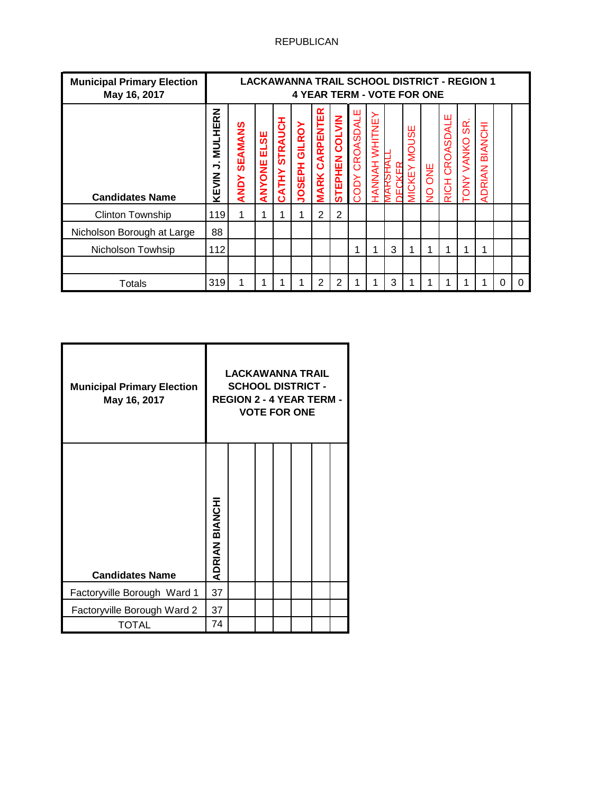## REPUBLICAN

| <b>Municipal Primary Election</b><br>May 16, 2017 |                                      |                        |                |                                | LACKAWANNA TRAIL SCHOOL DISTRICT - REGION 1<br><b>4 YEAR TERM - VOTE FOR ONE</b> |                                 |                |                          |                          |   |                                  |                             |                |                      |                          |   |   |
|---------------------------------------------------|--------------------------------------|------------------------|----------------|--------------------------------|----------------------------------------------------------------------------------|---------------------------------|----------------|--------------------------|--------------------------|---|----------------------------------|-----------------------------|----------------|----------------------|--------------------------|---|---|
| <b>Candidates Name</b>                            | z<br>ᄒ<br><b>NULHE</b><br>っ<br>KEVIN | SEAMANS<br><b>ANDY</b> | ELSE<br>ANYONE | <b>STRAUCH</b><br><b>CATHY</b> | GILROY<br><b>UOSEPH</b>                                                          | <b>CARPENTER</b><br><b>MARK</b> | STEPHEN COLVIN | CROASDALE<br><b>NOO2</b> | WHITNEY<br><b>HANNAH</b> |   | ₩<br><b>NOU:</b><br><b>VICKE</b> | <b>SNC</b><br>$\frac{1}{2}$ | RICH CROASDALE | SR.<br>VANKO<br>TONY | BIANCHI<br><b>ADRIAN</b> |   |   |
| <b>Clinton Township</b>                           | 119                                  | $\mathbf{1}$           | 1              |                                | 4                                                                                | $\overline{2}$                  | $\overline{2}$ |                          |                          |   |                                  |                             |                |                      |                          |   |   |
| Nicholson Borough at Large                        | 88                                   |                        |                |                                |                                                                                  |                                 |                |                          |                          |   |                                  |                             |                |                      |                          |   |   |
| Nicholson Towhsip                                 | 112                                  |                        |                |                                |                                                                                  |                                 |                | 1                        | 1                        | 3 | 1                                |                             | 1              |                      | 1                        |   |   |
|                                                   |                                      |                        |                |                                |                                                                                  |                                 |                |                          |                          |   |                                  |                             |                |                      |                          |   |   |
| <b>Totals</b>                                     | 319                                  |                        | 4              |                                |                                                                                  | 2                               | $\overline{2}$ |                          |                          | 3 |                                  |                             | 4              |                      |                          | 0 | O |

| <b>Municipal Primary Election</b><br>May 16, 2017 |                | <b>LACKAWANNA TRAIL</b><br><b>SCHOOL DISTRICT -</b><br><b>REGION 2 - 4 YEAR TERM -</b> |  | <b>VOTE FOR ONE</b> |  |
|---------------------------------------------------|----------------|----------------------------------------------------------------------------------------|--|---------------------|--|
| <b>Candidates Name</b>                            | ADRIAN BIANCHI |                                                                                        |  |                     |  |
| Factoryville Borough Ward 1                       | 37             |                                                                                        |  |                     |  |
| Factoryville Borough Ward 2                       | 37             |                                                                                        |  |                     |  |
| TOTAL                                             | 74             |                                                                                        |  |                     |  |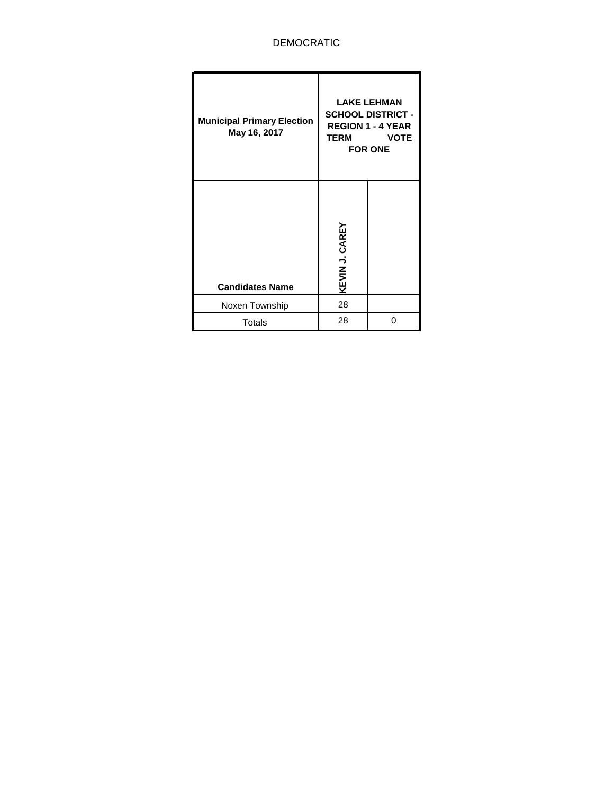### DEMOCRATIC

| <b>Municipal Primary Election</b><br>May 16, 2017 | TERM           | <b>LAKE LEHMAN</b><br><b>SCHOOL DISTRICT -</b><br><b>REGION 1 - 4 YEAR</b><br><b>VOTE</b><br><b>FOR ONE</b> |
|---------------------------------------------------|----------------|-------------------------------------------------------------------------------------------------------------|
| <b>Candidates Name</b>                            | KEVIN J. CAREY |                                                                                                             |
| Noxen Township                                    | 28             |                                                                                                             |
| <b>Totals</b>                                     | 28             | ი                                                                                                           |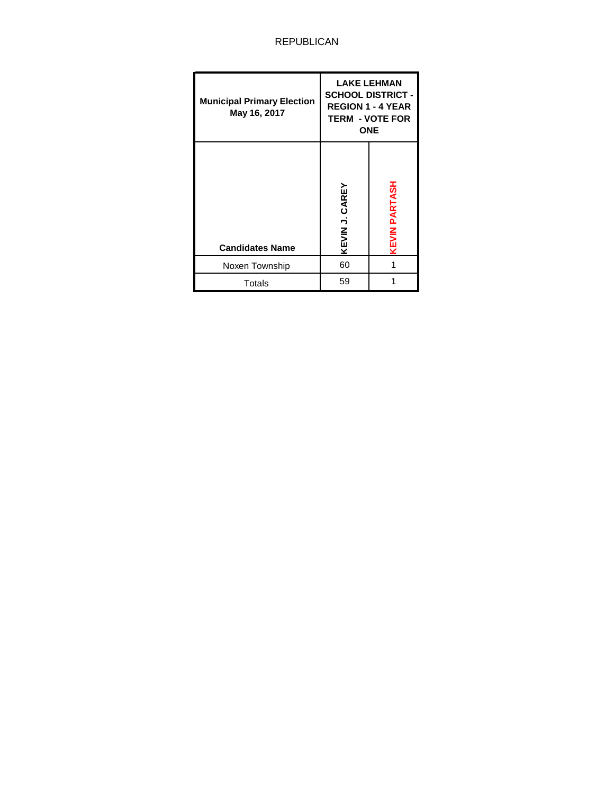# REPUBLICAN

| <b>Municipal Primary Election</b><br>May 16, 2017 |                | <b>LAKE LEHMAN</b><br><b>SCHOOL DISTRICT -</b><br><b>REGION 1 - 4 YEAR</b><br><b>TERM - VOTE FOR</b><br><b>ONE</b> |
|---------------------------------------------------|----------------|--------------------------------------------------------------------------------------------------------------------|
| <b>Candidates Name</b>                            | KEVIN J. CAREY | EVIN PARTASH                                                                                                       |
| Noxen Township                                    | 60             |                                                                                                                    |
| Totals                                            | 59             |                                                                                                                    |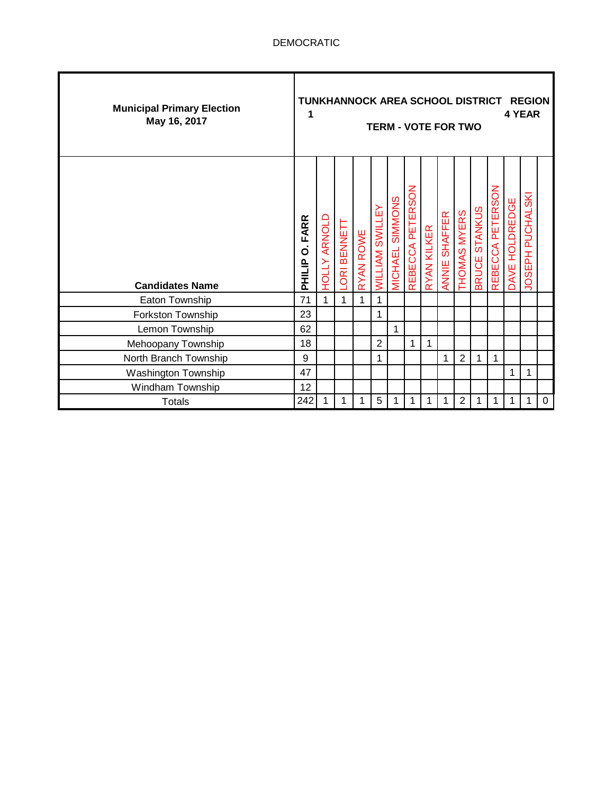| <b>Municipal Primary Election</b><br>May 16, 2017 | TUNKHANNOCK AREA SCHOOL DISTRICT<br>1 |                     |            |           |                        | <b>TERM - VOTE FOR TWO</b> |                  |             |               |                |               |                  |                | <b>REGION</b><br>4 YEAR |             |
|---------------------------------------------------|---------------------------------------|---------------------|------------|-----------|------------------------|----------------------------|------------------|-------------|---------------|----------------|---------------|------------------|----------------|-------------------------|-------------|
| <b>Candidates Name</b>                            | FARR<br>ö<br>PHILIP                   | <b>HOLLY ARNOLD</b> | ORI BENNET | RYAN ROWE | <b>WILLIAM SWILLEY</b> | <b>MICHAEL SIMMONS</b>     | REBECCA PETERSON | RYAN KILKER | ANNIE SHAFFER | THOMAS MYERS   | BRUCE STANKUS | REBECCA PETERSON | DAVE HOLDREDGE | JOSEPH PUCHALSKI        |             |
| Eaton Township                                    | 71                                    | 1                   | 1          | 1         | 1                      |                            |                  |             |               |                |               |                  |                |                         |             |
| Forkston Township                                 | 23                                    |                     |            |           | 1                      |                            |                  |             |               |                |               |                  |                |                         |             |
| Lemon Township                                    | 62                                    |                     |            |           |                        | 1                          |                  |             |               |                |               |                  |                |                         |             |
| Mehoopany Township                                | 18                                    |                     |            |           | 2                      |                            | 1                | 1           |               |                |               |                  |                |                         |             |
| North Branch Township                             | 9                                     |                     |            |           | 1                      |                            |                  |             | 1             | $\overline{2}$ | 1             | 1                |                |                         |             |
| <b>Washington Township</b>                        | 47                                    |                     |            |           |                        |                            |                  |             |               |                |               |                  | 1              | 1                       |             |
| Windham Township                                  | 12                                    |                     |            |           |                        |                            |                  |             |               |                |               |                  |                |                         |             |
| <b>Totals</b>                                     | 242                                   | 1                   |            |           | 5                      |                            | 1                | 1           | 1             | $\overline{2}$ | 1             | 1                | 1              | 1                       | $\mathbf 0$ |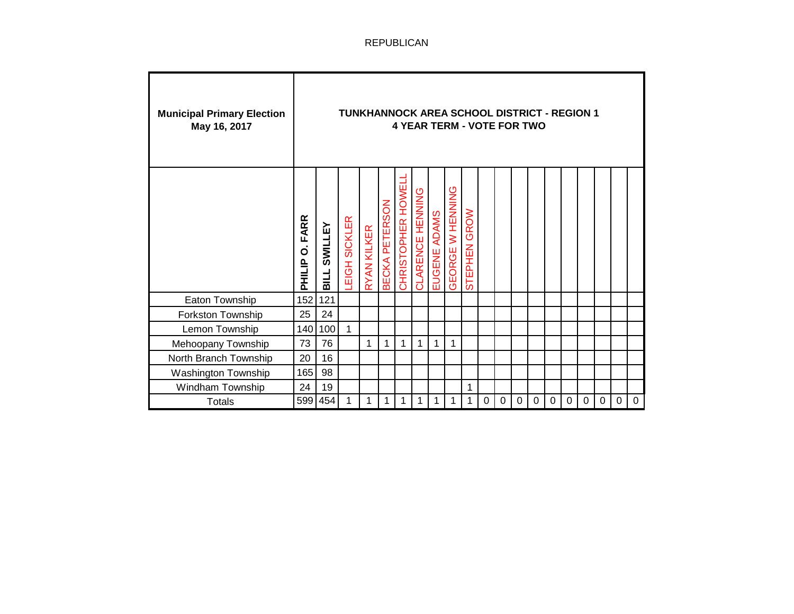| <b>Municipal Primary Election</b><br>May 16, 2017 |                                             |                        | <b>TUNKHANNOCK AREA SCHOOL DISTRICT - REGION 1</b> |             |                |                   | <b>4 YEAR TERM - VOTE FOR TWO</b> |              |                  |                        |   |                  |             |             |             |             |           |                  |             |             |
|---------------------------------------------------|---------------------------------------------|------------------------|----------------------------------------------------|-------------|----------------|-------------------|-----------------------------------|--------------|------------------|------------------------|---|------------------|-------------|-------------|-------------|-------------|-----------|------------------|-------------|-------------|
|                                                   | <b>FARR</b><br>$\dot{\mathbf{o}}$<br>PHILIP | SWILLEY<br><b>BILL</b> | EIGH SICKLER                                       | RYAN KILKER | BECKA PETERSON | CHRISTOPHER HOWEL | CLARENCE HENNING                  | EUGENE ADAMS | GEORGE W HENNING | <b>GROW</b><br>STEPHEN |   |                  |             |             |             |             |           |                  |             |             |
| Eaton Township                                    | 152                                         | 121                    |                                                    |             |                |                   |                                   |              |                  |                        |   |                  |             |             |             |             |           |                  |             |             |
| Forkston Township                                 | 25                                          | 24                     |                                                    |             |                |                   |                                   |              |                  |                        |   |                  |             |             |             |             |           |                  |             |             |
| Lemon Township                                    | 140                                         | 100                    | 1                                                  |             |                |                   |                                   |              |                  |                        |   |                  |             |             |             |             |           |                  |             |             |
| Mehoopany Township                                | 73                                          | 76                     |                                                    | 1           | 1              | 1                 | 1                                 | 1            | 1                |                        |   |                  |             |             |             |             |           |                  |             |             |
| North Branch Township                             | 20                                          | 16                     |                                                    |             |                |                   |                                   |              |                  |                        |   |                  |             |             |             |             |           |                  |             |             |
| Washington Township                               | 165                                         | 98                     |                                                    |             |                |                   |                                   |              |                  |                        |   |                  |             |             |             |             |           |                  |             |             |
| Windham Township                                  | 24                                          | 19                     |                                                    |             |                |                   |                                   |              |                  | 1                      |   |                  |             |             |             |             |           |                  |             |             |
| <b>Totals</b>                                     | 599                                         | 454                    | 1                                                  | 1           | 1              | 1                 | 1                                 | 1            | 1                | 1                      | 0 | $\boldsymbol{0}$ | $\mathbf 0$ | $\mathbf 0$ | $\mathbf 0$ | $\mathbf 0$ | $\pmb{0}$ | $\boldsymbol{0}$ | $\mathbf 0$ | $\mathbf 0$ |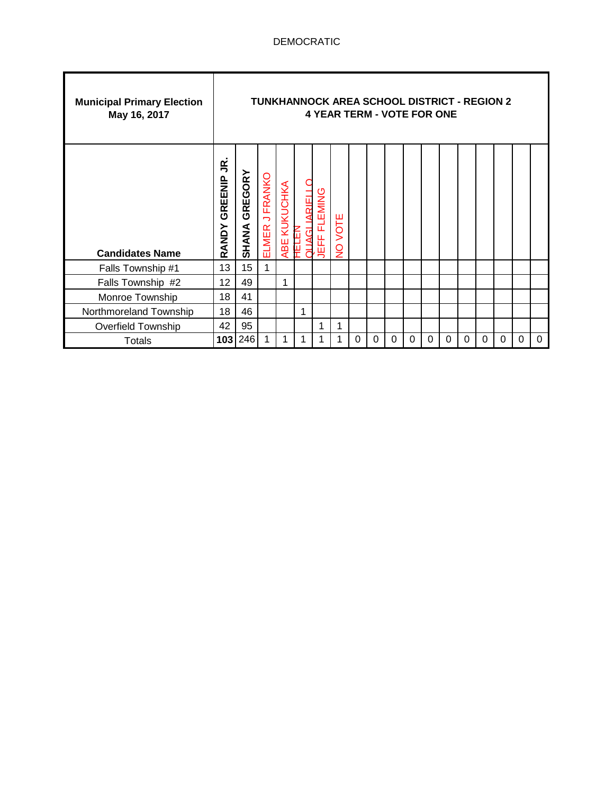| <b>Municipal Primary Election</b><br>May 16, 2017 |                       |                      |                    |              |                             | <b>TUNKHANNOCK AREA SCHOOL DISTRICT - REGION 2</b><br><b>4 YEAR TERM - VOTE FOR ONE</b> |                       |   |          |   |   |   |          |   |          |   |   |          |
|---------------------------------------------------|-----------------------|----------------------|--------------------|--------------|-----------------------------|-----------------------------------------------------------------------------------------|-----------------------|---|----------|---|---|---|----------|---|----------|---|---|----------|
| <b>Candidates Name</b>                            | g<br>GREENIP<br>RANDY | <b>SHANA GREGORY</b> | J FRANKO<br>ELMER. | ABE KUKUCHKA | <b>ARIELI</b><br>1373F<br>ಸ | <b>FLEMING</b><br>出<br>粵                                                                | VOTE<br>$\frac{1}{2}$ |   |          |   |   |   |          |   |          |   |   |          |
| Falls Township #1                                 | 13                    | 15                   | 1                  |              |                             |                                                                                         |                       |   |          |   |   |   |          |   |          |   |   |          |
| Falls Township #2                                 | 12                    | 49                   |                    | 1            |                             |                                                                                         |                       |   |          |   |   |   |          |   |          |   |   |          |
| Monroe Township                                   | 18                    | 41                   |                    |              |                             |                                                                                         |                       |   |          |   |   |   |          |   |          |   |   |          |
| Northmoreland Township                            | 18                    | 46                   |                    |              |                             |                                                                                         |                       |   |          |   |   |   |          |   |          |   |   |          |
| <b>Overfield Township</b>                         | 42                    | 95                   |                    |              |                             |                                                                                         | 1                     |   |          |   |   |   |          |   |          |   |   |          |
| <b>Totals</b>                                     | 103                   | 246                  | 1                  | 1            |                             |                                                                                         |                       | 0 | $\Omega$ | 0 | 0 | 0 | $\Omega$ | 0 | $\Omega$ | 0 | 0 | $\Omega$ |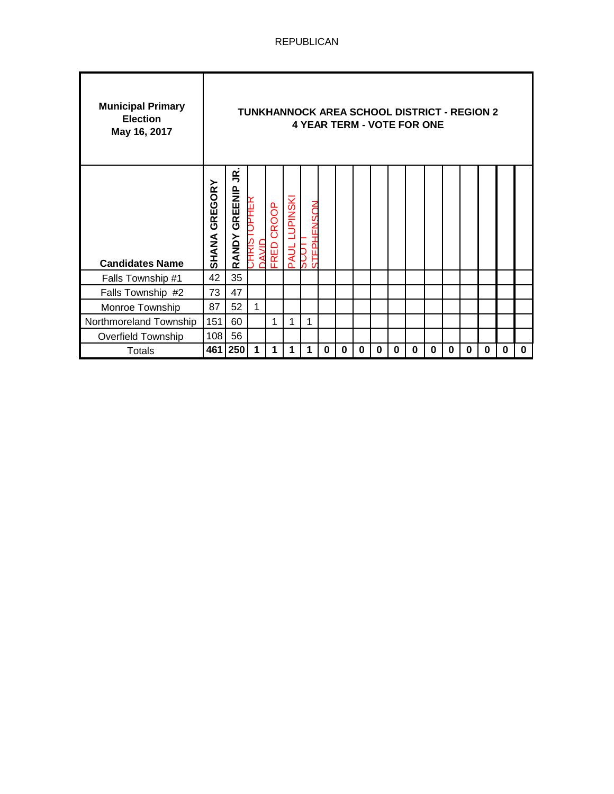| <b>Municipal Primary</b><br><b>Election</b><br>May 16, 2017 |                         |                       |                      |                      |                                |                      |   |   |   |   |   | TUNKHANNOCK AREA SCHOOL DISTRICT - REGION 2<br><b>4 YEAR TERM - VOTE FOR ONE</b> |          |   |   |   |   |   |
|-------------------------------------------------------------|-------------------------|-----------------------|----------------------|----------------------|--------------------------------|----------------------|---|---|---|---|---|----------------------------------------------------------------------------------|----------|---|---|---|---|---|
| <b>Candidates Name</b>                                      | GREGORY<br><b>SHANA</b> | g<br>GREENIP<br>RANDY | JPHEK<br>アエル<br>AVID | CROOP<br><b>FRED</b> | <b>LUPINSKI</b><br><b>PAUL</b> | PHENSON<br>STEI<br>Й |   |   |   |   |   |                                                                                  |          |   |   |   |   |   |
| Falls Township #1                                           | 42                      | 35                    |                      |                      |                                |                      |   |   |   |   |   |                                                                                  |          |   |   |   |   |   |
| Falls Township #2                                           | 73                      | 47                    |                      |                      |                                |                      |   |   |   |   |   |                                                                                  |          |   |   |   |   |   |
| Monroe Township                                             | 87                      | 52                    | 1                    |                      |                                |                      |   |   |   |   |   |                                                                                  |          |   |   |   |   |   |
| Northmoreland Township                                      | 151                     | 60                    |                      | 1                    |                                | 1                    |   |   |   |   |   |                                                                                  |          |   |   |   |   |   |
| <b>Overfield Township</b>                                   | 108                     | 56                    |                      |                      |                                |                      |   |   |   |   |   |                                                                                  |          |   |   |   |   |   |
| <b>Totals</b>                                               | 461                     | 250                   | 1                    | 1                    |                                | 1                    | 0 | 0 | 0 | 0 | 0 | 0                                                                                | $\bf{0}$ | 0 | 0 | 0 | 0 | 0 |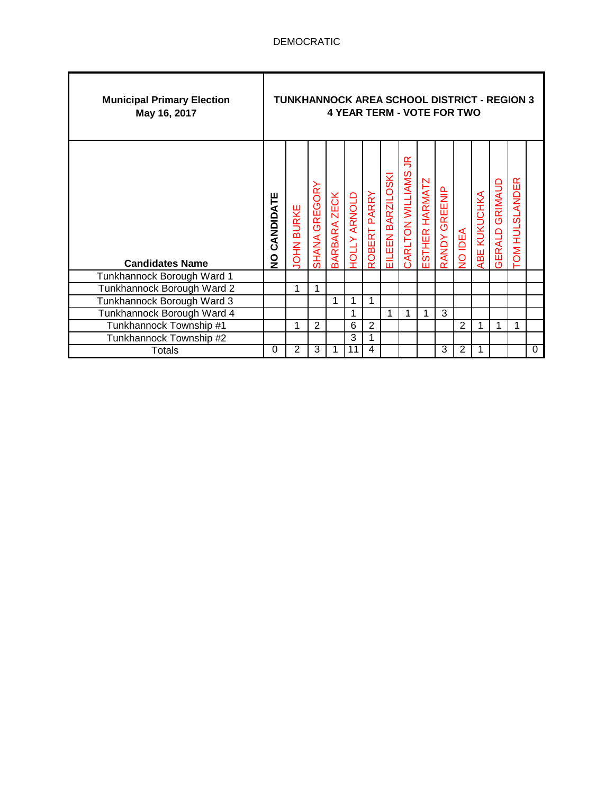| <b>Municipal Primary Election</b><br>May 16, 2017 |              | <b>TUNKHANNOCK AREA SCHOOL DISTRICT - REGION 3</b> |                |                     |                     |              |                   |                       |                |                  | <b>4 YEAR TERM - VOTE FOR TWO</b> |              |                          |                |   |
|---------------------------------------------------|--------------|----------------------------------------------------|----------------|---------------------|---------------------|--------------|-------------------|-----------------------|----------------|------------------|-----------------------------------|--------------|--------------------------|----------------|---|
| <b>Candidates Name</b>                            | NO CANDIDATE | <b>JOHN BURKE</b>                                  | SHANA GREGORY  | <b>BARBARA ZECK</b> | <b>HOLLY ARNOLD</b> | ROBERT PARRY | EILEEN BARZILOSKI | 鸟<br>CARLTON WILLIAMS | ESTHER HARMATZ | GREENIP<br>RANDY | NO IDEA                           | ABE KUKUCHKA | GRIMAUD<br><b>GERALD</b> | TOM HULSLANDER |   |
| Tunkhannock Borough Ward 1                        |              |                                                    |                |                     |                     |              |                   |                       |                |                  |                                   |              |                          |                |   |
| Tunkhannock Borough Ward 2                        |              | 1                                                  |                |                     |                     |              |                   |                       |                |                  |                                   |              |                          |                |   |
| Tunkhannock Borough Ward 3                        |              |                                                    |                | 1                   | 1                   |              |                   |                       |                |                  |                                   |              |                          |                |   |
| Tunkhannock Borough Ward 4                        |              |                                                    |                |                     | 1                   |              | 1                 | 1                     | 1              | 3                |                                   |              |                          |                |   |
| Tunkhannock Township #1                           |              | 1                                                  | $\overline{2}$ |                     | 6                   | 2            |                   |                       |                |                  | 2                                 | 1            |                          | 1              |   |
| Tunkhannock Township #2                           |              |                                                    |                |                     | 3                   | 1            |                   |                       |                |                  |                                   |              |                          |                |   |
| Totals                                            | 0            | 2                                                  | 3              |                     | 11                  | 4            |                   |                       |                | 3                | 2                                 | 1            |                          |                | 0 |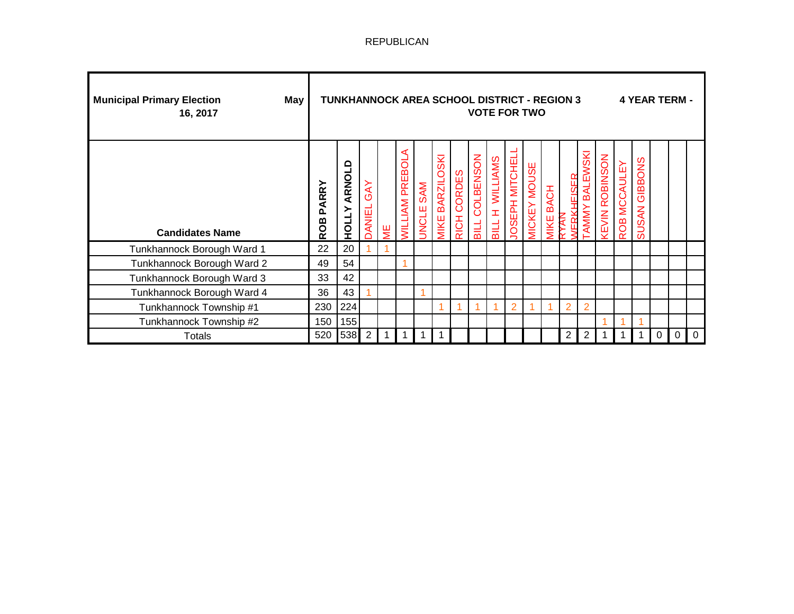| <b>Municipal Primary Election</b><br>May<br>16, 2017 |                     | <b>TUNKHANNOCK AREA SCHOOL DISTRICT - REGION 3</b> |                   |              |                            |                     |                                   |             |                       | <b>VOTE FOR TWO</b>             |                 |                     |                            |                               |                         |                              |             |                         | 4 YEAR TERM - |          |                |
|------------------------------------------------------|---------------------|----------------------------------------------------|-------------------|--------------|----------------------------|---------------------|-----------------------------------|-------------|-----------------------|---------------------------------|-----------------|---------------------|----------------------------|-------------------------------|-------------------------|------------------------------|-------------|-------------------------|---------------|----------|----------------|
| <b>Candidates Name</b>                               | PARRY<br><b>ROB</b> | ≏<br>ARNOL<br><b>HOLLY</b>                         | <b>DANIEL GAY</b> | 쁮            | ⋖<br><b>VILLIAM PREBOL</b> | SAM<br><b>UNCLE</b> | <b>BARZILOSKI</b><br><b>VIIKE</b> | RICH CORDES | <b>BILL COLBENSON</b> | <b>WILLIAMS</b><br><b>BILLH</b> | JOSEPH MITCHELI | <b>AICKEY MOUSE</b> | <b>BACH</b><br><b>IIKE</b> | <b>ERKHEISER</b><br><b>KK</b> | BALEWSKI<br><b>AMMY</b> | <b><i>IEVIN ROBINSON</i></b> | OB MCCAULEY | GIBBONS<br><b>SUSAN</b> |               |          |                |
| Tunkhannock Borough Ward 1                           | 22                  | 20                                                 |                   |              |                            |                     |                                   |             |                       |                                 |                 |                     |                            |                               |                         |                              |             |                         |               |          |                |
| Tunkhannock Borough Ward 2                           | 49                  | 54                                                 |                   |              |                            |                     |                                   |             |                       |                                 |                 |                     |                            |                               |                         |                              |             |                         |               |          |                |
| Tunkhannock Borough Ward 3                           | 33                  | 42                                                 |                   |              |                            |                     |                                   |             |                       |                                 |                 |                     |                            |                               |                         |                              |             |                         |               |          |                |
| Tunkhannock Borough Ward 4                           | 36                  | 43                                                 |                   |              |                            |                     |                                   |             |                       |                                 |                 |                     |                            |                               |                         |                              |             |                         |               |          |                |
| Tunkhannock Township #1                              | 230                 | 224                                                |                   |              |                            |                     |                                   |             | 4                     |                                 | $\overline{2}$  |                     |                            | $\overline{2}$                | $\overline{2}$          |                              |             |                         |               |          |                |
| Tunkhannock Township #2                              | 150                 | 155                                                |                   |              |                            |                     |                                   |             |                       |                                 |                 |                     |                            |                               |                         |                              |             |                         |               |          |                |
| Totals                                               | 520                 | 538                                                | 2                 | $\mathbf{1}$ | $\overline{\mathbf{1}}$    |                     |                                   |             |                       |                                 |                 |                     |                            | 2                             | $\overline{2}$          |                              |             |                         | $\Omega$      | $\Omega$ | $\overline{0}$ |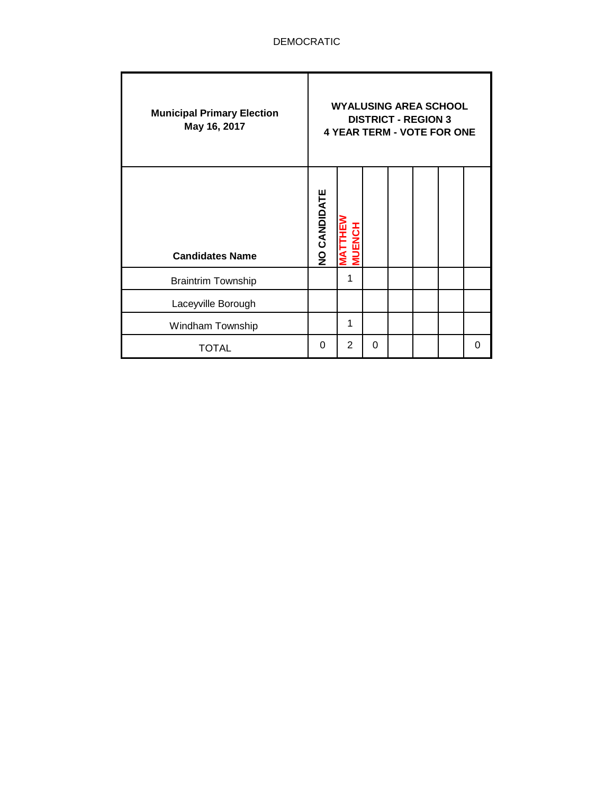| <b>Municipal Primary Election</b><br>May 16, 2017 |              | <b>WYALUSING AREA SCHOOL</b><br><b>4 YEAR TERM - VOTE FOR ONE</b> |   | <b>DISTRICT - REGION 3</b> |  |          |
|---------------------------------------------------|--------------|-------------------------------------------------------------------|---|----------------------------|--|----------|
| <b>Candidates Name</b>                            | NO CANDIDATE |                                                                   |   |                            |  |          |
| <b>Braintrim Township</b>                         |              | 1                                                                 |   |                            |  |          |
| Laceyville Borough                                |              |                                                                   |   |                            |  |          |
| Windham Township                                  |              | 1                                                                 |   |                            |  |          |
| TOTAL                                             | 0            | $\overline{2}$                                                    | 0 |                            |  | $\Omega$ |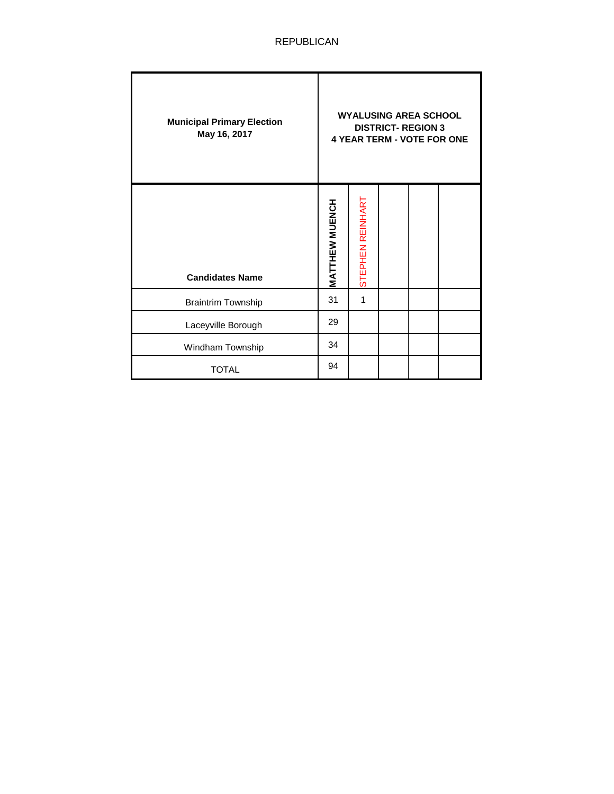| <b>Municipal Primary Election</b><br>May 16, 2017 |                       |                  | <b>WYALUSING AREA SCHOOL</b><br><b>DISTRICT- REGION 3</b> | <b>4 YEAR TERM - VOTE FOR ONE</b> |
|---------------------------------------------------|-----------------------|------------------|-----------------------------------------------------------|-----------------------------------|
| <b>Candidates Name</b>                            | <b>MATTHEW MUENCH</b> | STEPHEN REINHART |                                                           |                                   |
| <b>Braintrim Township</b>                         | 31                    | 1                |                                                           |                                   |
| Laceyville Borough                                | 29                    |                  |                                                           |                                   |
| Windham Township                                  | 34                    |                  |                                                           |                                   |
| <b>TOTAL</b>                                      | 94                    |                  |                                                           |                                   |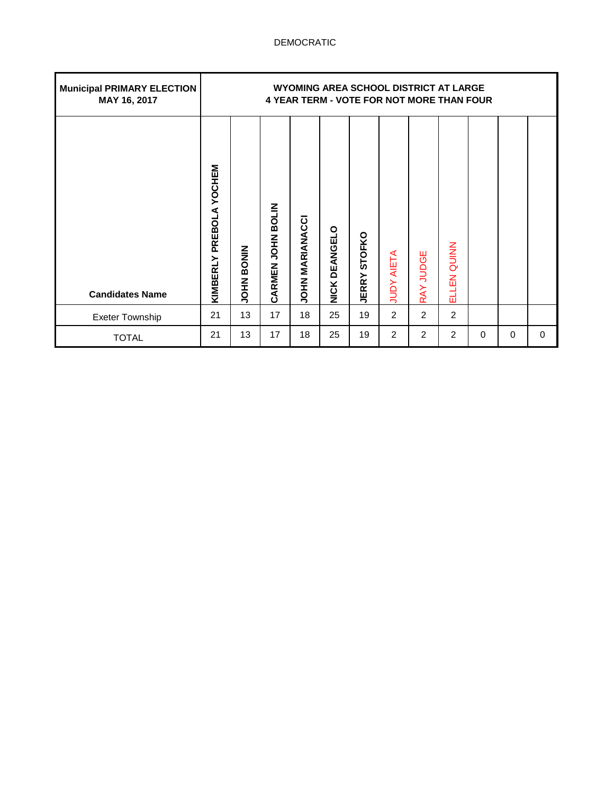| <b>Municipal PRIMARY ELECTION</b><br>MAY 16, 2017 |                               |             |                   |                        |                    |                               |                   |           | WYOMING AREA SCHOOL DISTRICT AT LARGE<br><b>4 YEAR TERM - VOTE FOR NOT MORE THAN FOUR</b> |   |          |   |
|---------------------------------------------------|-------------------------------|-------------|-------------------|------------------------|--------------------|-------------------------------|-------------------|-----------|-------------------------------------------------------------------------------------------|---|----------|---|
| <b>Candidates Name</b>                            | YOCHEM<br>PREBOLA<br>KIMBERLY | NINOSI NHOL | CARMEN JOHN BOLIN | <b>JOHN MARIANACCI</b> | DEANGELO<br>NICK I | <b>STOFKO</b><br><b>JERRY</b> | <b>JUDY AIETA</b> | RAY JUDGE | ELLEN QUINN                                                                               |   |          |   |
| <b>Exeter Township</b>                            | 21                            | 13          | 17                | 18                     | 25                 | 19                            | $\overline{2}$    | 2         | 2                                                                                         |   |          |   |
| <b>TOTAL</b>                                      | 21                            | 13          | 17                | 18                     | 25                 | 19                            | $\overline{2}$    | 2         | 2                                                                                         | 0 | $\Omega$ | 0 |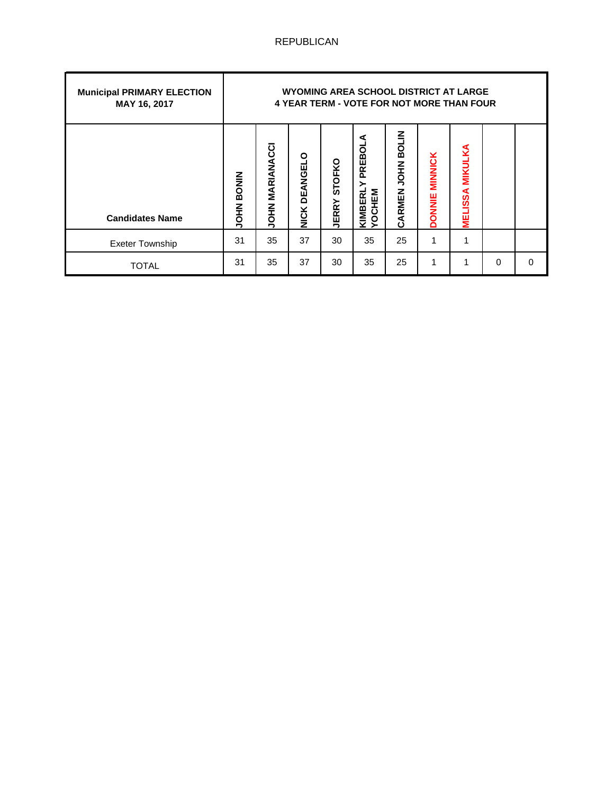| <b>Municipal PRIMARY ELECTION</b><br>MAY 16, 2017 |                             |                        |                         |                               | WYOMING AREA SCHOOL DISTRICT AT LARGE<br><b>4 YEAR TERM - VOTE FOR NOT MORE THAN FOUR</b> |                             |                                 |                                  |   |          |
|---------------------------------------------------|-----------------------------|------------------------|-------------------------|-------------------------------|-------------------------------------------------------------------------------------------|-----------------------------|---------------------------------|----------------------------------|---|----------|
| <b>Candidates Name</b>                            | <b>BONIN</b><br><b>NHOL</b> | <b>JOHN MARIANACCI</b> | DEANGELO<br><b>NICK</b> | <b>STOFKO</b><br><b>JERRY</b> | PREBOLA<br>YOCHEM<br>KIMBERI                                                              | <b>BOLIN</b><br>CARMEN JOHN | <b>MINNICK</b><br><b>DONNIE</b> | <b>MIKULKA</b><br><b>MELISSA</b> |   |          |
| <b>Exeter Township</b>                            | 31                          | 35                     | 37                      | 30                            | 35                                                                                        | 25                          |                                 | 1                                |   |          |
| TOTAL                                             | 31                          | 35                     | 37                      | 30                            | 35                                                                                        | 25                          | 1                               |                                  | 0 | $\Omega$ |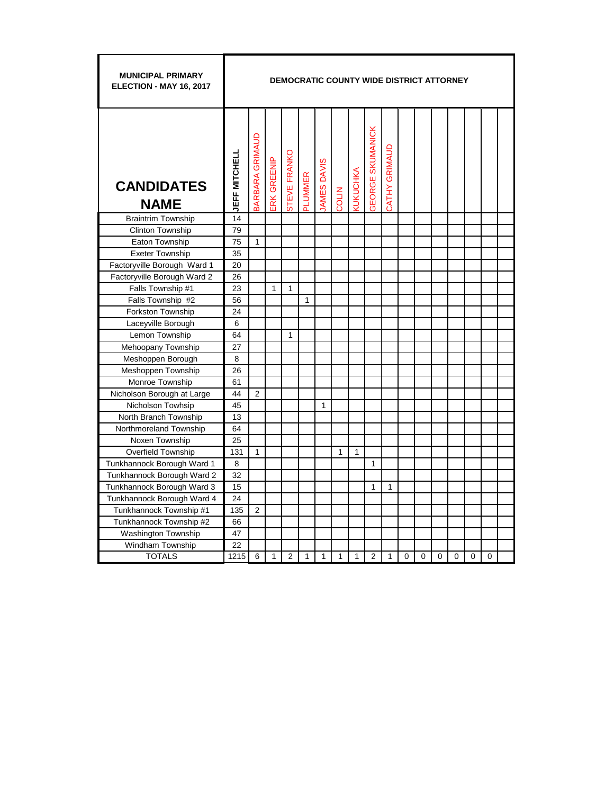| <b>MUNICIPAL PRIMARY</b><br>ELECTION - MAY 16, 2017 |                      |                        |             |              |         |                    |       |                        | <b>DEMOCRATIC COUNTY WIDE DISTRICT ATTORNEY</b> |               |          |          |          |          |          |          |  |
|-----------------------------------------------------|----------------------|------------------------|-------------|--------------|---------|--------------------|-------|------------------------|-------------------------------------------------|---------------|----------|----------|----------|----------|----------|----------|--|
| <b>CANDIDATES</b><br><b>NAME</b>                    | <b>JEFF MITCHELL</b> | <b>BARBARA GRIMAUD</b> | ERK GREENIP | STEVE FRANKO | PLUMMER | <b>IAMES DAVIS</b> | COLIN | <b><i>KUKUCHKA</i></b> | <b>GEORGE SKUMANICK</b>                         | CATHY GRIMAUD |          |          |          |          |          |          |  |
| <b>Braintrim Township</b>                           | 14                   |                        |             |              |         |                    |       |                        |                                                 |               |          |          |          |          |          |          |  |
| Clinton Township                                    | 79                   |                        |             |              |         |                    |       |                        |                                                 |               |          |          |          |          |          |          |  |
| Eaton Township                                      | 75                   | $\mathbf{1}$           |             |              |         |                    |       |                        |                                                 |               |          |          |          |          |          |          |  |
| <b>Exeter Township</b>                              | 35                   |                        |             |              |         |                    |       |                        |                                                 |               |          |          |          |          |          |          |  |
| Factoryville Borough Ward 1                         | 20                   |                        |             |              |         |                    |       |                        |                                                 |               |          |          |          |          |          |          |  |
| Factoryville Borough Ward 2                         | 26                   |                        |             |              |         |                    |       |                        |                                                 |               |          |          |          |          |          |          |  |
| Falls Township #1                                   | 23                   |                        | 1           | 1            |         |                    |       |                        |                                                 |               |          |          |          |          |          |          |  |
| Falls Township #2                                   | 56                   |                        |             |              | 1       |                    |       |                        |                                                 |               |          |          |          |          |          |          |  |
| Forkston Township                                   | 24                   |                        |             |              |         |                    |       |                        |                                                 |               |          |          |          |          |          |          |  |
| Laceyville Borough                                  | 6                    |                        |             |              |         |                    |       |                        |                                                 |               |          |          |          |          |          |          |  |
| Lemon Township                                      | 64                   |                        |             | 1            |         |                    |       |                        |                                                 |               |          |          |          |          |          |          |  |
| Mehoopany Township                                  | 27                   |                        |             |              |         |                    |       |                        |                                                 |               |          |          |          |          |          |          |  |
| Meshoppen Borough                                   | 8                    |                        |             |              |         |                    |       |                        |                                                 |               |          |          |          |          |          |          |  |
| Meshoppen Township                                  | 26                   |                        |             |              |         |                    |       |                        |                                                 |               |          |          |          |          |          |          |  |
| Monroe Township                                     | 61                   |                        |             |              |         |                    |       |                        |                                                 |               |          |          |          |          |          |          |  |
| Nicholson Borough at Large                          | 44                   | $\overline{2}$         |             |              |         |                    |       |                        |                                                 |               |          |          |          |          |          |          |  |
| Nicholson Towhsip                                   | 45                   |                        |             |              |         | $\mathbf{1}$       |       |                        |                                                 |               |          |          |          |          |          |          |  |
| North Branch Township                               | 13                   |                        |             |              |         |                    |       |                        |                                                 |               |          |          |          |          |          |          |  |
| Northmoreland Township                              | 64                   |                        |             |              |         |                    |       |                        |                                                 |               |          |          |          |          |          |          |  |
| Noxen Township                                      | 25                   |                        |             |              |         |                    |       |                        |                                                 |               |          |          |          |          |          |          |  |
| <b>Overfield Township</b>                           | 131                  | $\mathbf{1}$           |             |              |         |                    | 1     | 1                      |                                                 |               |          |          |          |          |          |          |  |
| Tunkhannock Borough Ward 1                          | 8                    |                        |             |              |         |                    |       |                        | 1                                               |               |          |          |          |          |          |          |  |
| Tunkhannock Borough Ward 2                          | 32                   |                        |             |              |         |                    |       |                        |                                                 |               |          |          |          |          |          |          |  |
| Tunkhannock Borough Ward 3                          | 15                   |                        |             |              |         |                    |       |                        | 1                                               | 1             |          |          |          |          |          |          |  |
| Tunkhannock Borough Ward 4                          | 24                   |                        |             |              |         |                    |       |                        |                                                 |               |          |          |          |          |          |          |  |
| Tunkhannock Township #1                             | 135                  | $\overline{2}$         |             |              |         |                    |       |                        |                                                 |               |          |          |          |          |          |          |  |
| Tunkhannock Township #2                             | 66                   |                        |             |              |         |                    |       |                        |                                                 |               |          |          |          |          |          |          |  |
| Washington Township                                 | 47                   |                        |             |              |         |                    |       |                        |                                                 |               |          |          |          |          |          |          |  |
| Windham Township                                    | 22                   |                        |             |              |         |                    |       |                        |                                                 |               |          |          |          |          |          |          |  |
| <b>TOTALS</b>                                       | 1215                 | 6                      | 1           | 2            | 1       | 1                  | 1     | 1                      | 2                                               | 1             | $\Omega$ | $\Omega$ | $\Omega$ | $\Omega$ | $\Omega$ | $\Omega$ |  |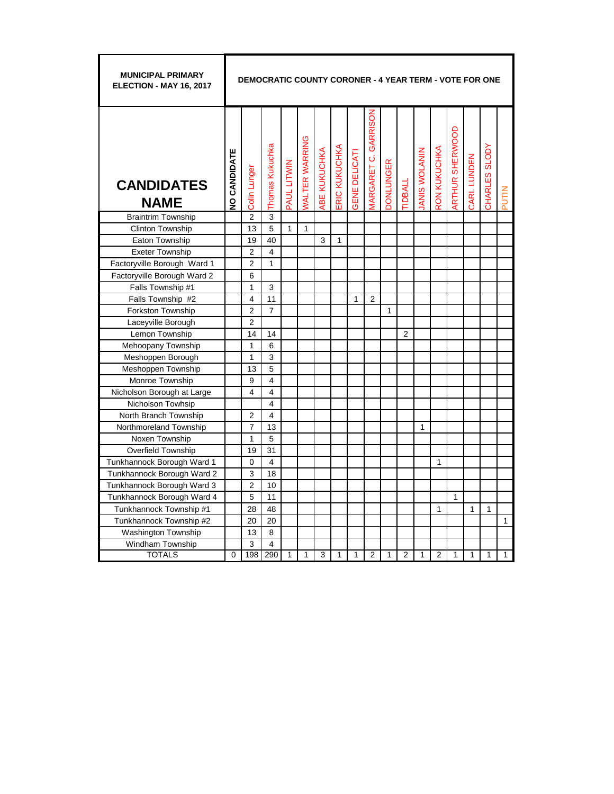| <b>MUNICIPAL PRIMARY</b><br><b>ELECTION - MAY 16, 2017</b> |                     | <b>DEMOCRATIC COUNTY CORONER - 4 YEAR TERM - VOTE FOR ONE</b> |                 |              |                       |             |                     |                      |                                |                  |                |                     |                |                |              |               |              |
|------------------------------------------------------------|---------------------|---------------------------------------------------------------|-----------------|--------------|-----------------------|-------------|---------------------|----------------------|--------------------------------|------------------|----------------|---------------------|----------------|----------------|--------------|---------------|--------------|
| <b>CANDIDATES</b><br><b>NAME</b>                           | <b>NO CANDIDATE</b> | Colin Lunger                                                  | Thomas Kukuchka | PAUL LITWIN  | <b>VALTER WARRING</b> | BE KUKUCHKA | <b>RIC KUKUCHKA</b> | <b>GENE DELICATI</b> | GARRISON<br><b>MARGARET C.</b> | <b>DONLUNGER</b> | <b>IDBALL</b>  | <b>ANIS WOLANIN</b> | RON KUKUCHKA   | RTHUR SHERWOOD | CARL LUNDEN  | CHARLES SLODY | PUTIN        |
| <b>Braintrim Township</b>                                  |                     | $\overline{2}$                                                | 3               |              |                       |             |                     |                      |                                |                  |                |                     |                |                |              |               |              |
| <b>Clinton Township</b>                                    |                     | 13                                                            | 5               | $\mathbf{1}$ | 1                     |             |                     |                      |                                |                  |                |                     |                |                |              |               |              |
| Eaton Township                                             |                     | 19                                                            | 40              |              |                       | 3           | $\mathbf{1}$        |                      |                                |                  |                |                     |                |                |              |               |              |
| <b>Exeter Township</b>                                     |                     | $\overline{c}$                                                | 4               |              |                       |             |                     |                      |                                |                  |                |                     |                |                |              |               |              |
| Factoryville Borough Ward 1                                |                     | $\overline{2}$                                                | $\mathbf{1}$    |              |                       |             |                     |                      |                                |                  |                |                     |                |                |              |               |              |
| Factoryville Borough Ward 2                                |                     | 6                                                             |                 |              |                       |             |                     |                      |                                |                  |                |                     |                |                |              |               |              |
| Falls Township #1                                          |                     | 1                                                             | 3               |              |                       |             |                     |                      |                                |                  |                |                     |                |                |              |               |              |
| Falls Township #2                                          |                     | 4                                                             | 11              |              |                       |             |                     | 1                    | $\overline{2}$                 |                  |                |                     |                |                |              |               |              |
| Forkston Township                                          |                     | $\overline{2}$                                                | $\overline{7}$  |              |                       |             |                     |                      |                                | 1                |                |                     |                |                |              |               |              |
| Laceyville Borough                                         |                     | $\overline{2}$                                                |                 |              |                       |             |                     |                      |                                |                  |                |                     |                |                |              |               |              |
| Lemon Township                                             |                     | 14                                                            | 14              |              |                       |             |                     |                      |                                |                  | $\overline{2}$ |                     |                |                |              |               |              |
| Mehoopany Township                                         |                     | 1                                                             | 6               |              |                       |             |                     |                      |                                |                  |                |                     |                |                |              |               |              |
| Meshoppen Borough                                          |                     | 1                                                             | 3               |              |                       |             |                     |                      |                                |                  |                |                     |                |                |              |               |              |
| Meshoppen Township                                         |                     | 13                                                            | 5               |              |                       |             |                     |                      |                                |                  |                |                     |                |                |              |               |              |
| Monroe Township                                            |                     | 9                                                             | 4               |              |                       |             |                     |                      |                                |                  |                |                     |                |                |              |               |              |
| Nicholson Borough at Large                                 |                     | 4                                                             | 4               |              |                       |             |                     |                      |                                |                  |                |                     |                |                |              |               |              |
| Nicholson Towhsip                                          |                     |                                                               | 4               |              |                       |             |                     |                      |                                |                  |                |                     |                |                |              |               |              |
| North Branch Township                                      |                     | 2                                                             | 4               |              |                       |             |                     |                      |                                |                  |                |                     |                |                |              |               |              |
| Northmoreland Township                                     |                     | $\overline{7}$                                                | 13              |              |                       |             |                     |                      |                                |                  |                | 1                   |                |                |              |               |              |
| Noxen Township                                             |                     | 1                                                             | 5               |              |                       |             |                     |                      |                                |                  |                |                     |                |                |              |               |              |
| <b>Overfield Township</b>                                  |                     | 19                                                            | 31              |              |                       |             |                     |                      |                                |                  |                |                     |                |                |              |               |              |
| Tunkhannock Borough Ward 1                                 |                     | 0                                                             | 4               |              |                       |             |                     |                      |                                |                  |                |                     | 1              |                |              |               |              |
| Tunkhannock Borough Ward 2                                 |                     | 3                                                             | 18              |              |                       |             |                     |                      |                                |                  |                |                     |                |                |              |               |              |
| Tunkhannock Borough Ward 3                                 |                     | $\overline{2}$                                                | 10              |              |                       |             |                     |                      |                                |                  |                |                     |                |                |              |               |              |
| Tunkhannock Borough Ward 4                                 |                     | 5                                                             | 11              |              |                       |             |                     |                      |                                |                  |                |                     |                | $\mathbf{1}$   |              |               |              |
| Tunkhannock Township #1                                    |                     | 28                                                            | 48              |              |                       |             |                     |                      |                                |                  |                |                     | 1              |                | $\mathbf{1}$ | 1             |              |
| Tunkhannock Township #2                                    |                     | 20                                                            | 20              |              |                       |             |                     |                      |                                |                  |                |                     |                |                |              |               | 1            |
| <b>Washington Township</b>                                 |                     | 13                                                            | 8               |              |                       |             |                     |                      |                                |                  |                |                     |                |                |              |               |              |
| Windham Township                                           |                     | 3                                                             | 4               |              |                       |             |                     |                      |                                |                  |                |                     |                |                |              |               |              |
| <b>TOTALS</b>                                              | $\mathbf 0$         | 198                                                           | 290             | $\mathbf{1}$ | 1                     | 3           | $\mathbf{1}$        | $\mathbf{1}$         | $\overline{2}$                 | 1                | $\overline{2}$ | 1                   | $\overline{2}$ | $\mathbf{1}$   | $\mathbf{1}$ | 1             | $\mathbf{1}$ |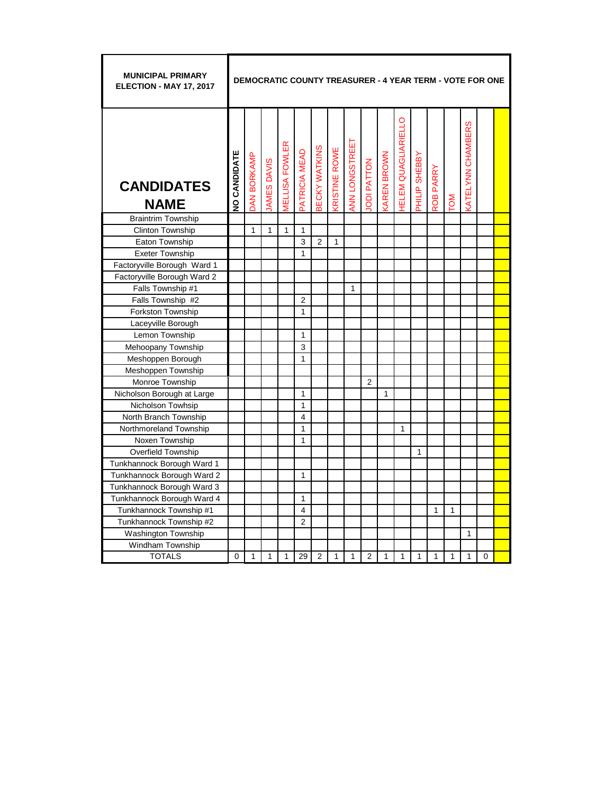| <b>MUNICIPAL PRIMARY</b><br>ELECTION - MAY 17, 2017 |                     |                    |              |                              |                         |                |                      |                |                   |                   |                    |               |                           |              | <b>DEMOCRATIC COUNTY TREASURER - 4 YEAR TERM - VOTE FOR ONE</b> |          |  |
|-----------------------------------------------------|---------------------|--------------------|--------------|------------------------------|-------------------------|----------------|----------------------|----------------|-------------------|-------------------|--------------------|---------------|---------------------------|--------------|-----------------------------------------------------------------|----------|--|
| <b>CANDIDATES</b><br><b>NAME</b>                    | <b>JO CANDIDATE</b> | <b>OAN BORKAMP</b> | AMES DAVIS   | <b><i>MELLISA FOWLER</i></b> | PATRICIA MEAD           | BECKY WATKINS  | <b>KRISTINE ROWE</b> | ANN LONGSTREET | <b>ODI PATTON</b> | <b>AREN BROWN</b> | ELEM QUAGLIARIELLO | PHILIP SHEBBY | PARRY<br>ROB <sub>I</sub> | <b>NO</b>    | <b>ATELYNN CHAMBERS</b>                                         |          |  |
| <b>Braintrim Township</b>                           |                     |                    |              |                              |                         |                |                      |                |                   |                   |                    |               |                           |              |                                                                 |          |  |
| Clinton Township                                    |                     | $\mathbf{1}$       | $\mathbf{1}$ | $\mathbf{1}$                 | 1                       |                |                      |                |                   |                   |                    |               |                           |              |                                                                 |          |  |
| Eaton Township                                      |                     |                    |              |                              | 3                       | $\overline{2}$ | 1                    |                |                   |                   |                    |               |                           |              |                                                                 |          |  |
| <b>Exeter Township</b>                              |                     |                    |              |                              | 1                       |                |                      |                |                   |                   |                    |               |                           |              |                                                                 |          |  |
| Factoryville Borough Ward 1                         |                     |                    |              |                              |                         |                |                      |                |                   |                   |                    |               |                           |              |                                                                 |          |  |
| Factoryville Borough Ward 2                         |                     |                    |              |                              |                         |                |                      |                |                   |                   |                    |               |                           |              |                                                                 |          |  |
| Falls Township #1                                   |                     |                    |              |                              |                         |                |                      | 1              |                   |                   |                    |               |                           |              |                                                                 |          |  |
| Falls Township #2                                   |                     |                    |              |                              | $\overline{2}$          |                |                      |                |                   |                   |                    |               |                           |              |                                                                 |          |  |
| Forkston Township                                   |                     |                    |              |                              | 1                       |                |                      |                |                   |                   |                    |               |                           |              |                                                                 |          |  |
| Laceyville Borough                                  |                     |                    |              |                              |                         |                |                      |                |                   |                   |                    |               |                           |              |                                                                 |          |  |
| Lemon Township                                      |                     |                    |              |                              | $\mathbf{1}$            |                |                      |                |                   |                   |                    |               |                           |              |                                                                 |          |  |
| Mehoopany Township                                  |                     |                    |              |                              | 3                       |                |                      |                |                   |                   |                    |               |                           |              |                                                                 |          |  |
| Meshoppen Borough                                   |                     |                    |              |                              | 1                       |                |                      |                |                   |                   |                    |               |                           |              |                                                                 |          |  |
| Meshoppen Township                                  |                     |                    |              |                              |                         |                |                      |                |                   |                   |                    |               |                           |              |                                                                 |          |  |
| Monroe Township                                     |                     |                    |              |                              |                         |                |                      |                | $\overline{2}$    |                   |                    |               |                           |              |                                                                 |          |  |
| Nicholson Borough at Large                          |                     |                    |              |                              | 1                       |                |                      |                |                   | $\mathbf{1}$      |                    |               |                           |              |                                                                 |          |  |
| Nicholson Towhsip                                   |                     |                    |              |                              | 1                       |                |                      |                |                   |                   |                    |               |                           |              |                                                                 |          |  |
| North Branch Township                               |                     |                    |              |                              | $\overline{\mathbf{4}}$ |                |                      |                |                   |                   |                    |               |                           |              |                                                                 |          |  |
| Northmoreland Township                              |                     |                    |              |                              | 1                       |                |                      |                |                   |                   | 1                  |               |                           |              |                                                                 |          |  |
| Noxen Township                                      |                     |                    |              |                              | 1                       |                |                      |                |                   |                   |                    |               |                           |              |                                                                 |          |  |
| Overfield Township                                  |                     |                    |              |                              |                         |                |                      |                |                   |                   |                    | 1             |                           |              |                                                                 |          |  |
| Tunkhannock Borough Ward 1                          |                     |                    |              |                              |                         |                |                      |                |                   |                   |                    |               |                           |              |                                                                 |          |  |
| Tunkhannock Borough Ward 2                          |                     |                    |              |                              | 1                       |                |                      |                |                   |                   |                    |               |                           |              |                                                                 |          |  |
| Tunkhannock Borough Ward 3                          |                     |                    |              |                              |                         |                |                      |                |                   |                   |                    |               |                           |              |                                                                 |          |  |
| Tunkhannock Borough Ward 4                          |                     |                    |              |                              | 1                       |                |                      |                |                   |                   |                    |               |                           |              |                                                                 |          |  |
| Tunkhannock Township #1                             |                     |                    |              |                              | $\overline{\mathbf{4}}$ |                |                      |                |                   |                   |                    |               | 1                         | 1            |                                                                 |          |  |
| Tunkhannock Township #2                             |                     |                    |              |                              | $\overline{2}$          |                |                      |                |                   |                   |                    |               |                           |              |                                                                 |          |  |
| <b>Washington Township</b>                          |                     |                    |              |                              |                         |                |                      |                |                   |                   |                    |               |                           |              | 1                                                               |          |  |
| Windham Township                                    |                     |                    |              |                              |                         |                |                      |                |                   |                   |                    |               |                           |              |                                                                 |          |  |
| <b>TOTALS</b>                                       | $\Omega$            | 1                  | 1            | 1                            | 29                      | $\overline{2}$ | 1                    | 1              | $\overline{2}$    | 1                 | 1                  | 1             | 1                         | $\mathbf{1}$ | $\mathbf{1}$                                                    | $\Omega$ |  |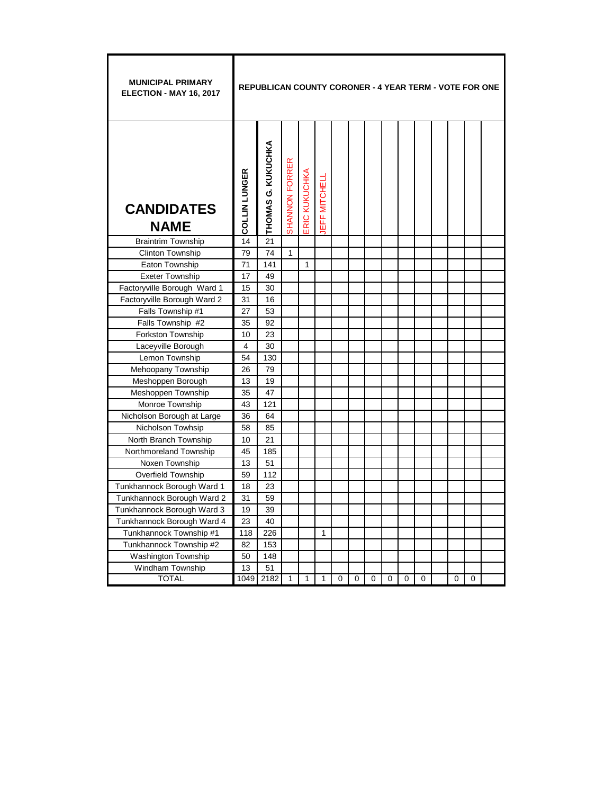| <b>MUNICIPAL PRIMARY</b><br><b>ELECTION - MAY 16, 2017</b> |               | <b>REPUBLICAN COUNTY CORONER - 4 YEAR TERM - VOTE FOR ONE</b> |                |               |              |   |          |          |          |   |          |   |   |  |
|------------------------------------------------------------|---------------|---------------------------------------------------------------|----------------|---------------|--------------|---|----------|----------|----------|---|----------|---|---|--|
| <b>CANDIDATES</b><br><b>NAME</b>                           | COLLIN LUNGER | THOMAS G. KUKUCHKA                                            | SHANNON FORRER | ERIC KUKUCHKA | EFF MITCHELI |   |          |          |          |   |          |   |   |  |
| <b>Braintrim Township</b>                                  | 14            | 21                                                            |                |               |              |   |          |          |          |   |          |   |   |  |
| Clinton Township                                           | 79            | 74                                                            | $\mathbf{1}$   |               |              |   |          |          |          |   |          |   |   |  |
| Eaton Township                                             | 71            | 141                                                           |                | 1             |              |   |          |          |          |   |          |   |   |  |
| <b>Exeter Township</b>                                     | 17            | 49                                                            |                |               |              |   |          |          |          |   |          |   |   |  |
| Factoryville Borough Ward 1                                | 15            | 30                                                            |                |               |              |   |          |          |          |   |          |   |   |  |
| Factoryville Borough Ward 2                                | 31            | 16                                                            |                |               |              |   |          |          |          |   |          |   |   |  |
| Falls Township #1                                          | 27            | 53                                                            |                |               |              |   |          |          |          |   |          |   |   |  |
| Falls Township #2                                          | 35            | 92                                                            |                |               |              |   |          |          |          |   |          |   |   |  |
| Forkston Township                                          | 10            | 23                                                            |                |               |              |   |          |          |          |   |          |   |   |  |
| Laceyville Borough                                         | 4             | 30                                                            |                |               |              |   |          |          |          |   |          |   |   |  |
| Lemon Township                                             | 54            | 130                                                           |                |               |              |   |          |          |          |   |          |   |   |  |
| Mehoopany Township                                         | 26            | 79                                                            |                |               |              |   |          |          |          |   |          |   |   |  |
| Meshoppen Borough                                          | 13            | 19                                                            |                |               |              |   |          |          |          |   |          |   |   |  |
| Meshoppen Township                                         | 35            | 47                                                            |                |               |              |   |          |          |          |   |          |   |   |  |
| Monroe Township                                            | 43            | 121                                                           |                |               |              |   |          |          |          |   |          |   |   |  |
| Nicholson Borough at Large                                 | 36            | 64                                                            |                |               |              |   |          |          |          |   |          |   |   |  |
| Nicholson Towhsip                                          | 58            | 85                                                            |                |               |              |   |          |          |          |   |          |   |   |  |
| North Branch Township                                      | 10            | 21                                                            |                |               |              |   |          |          |          |   |          |   |   |  |
| Northmoreland Township                                     | 45            | 185                                                           |                |               |              |   |          |          |          |   |          |   |   |  |
| Noxen Township                                             | 13            | 51                                                            |                |               |              |   |          |          |          |   |          |   |   |  |
| <b>Overfield Township</b>                                  | 59            | 112                                                           |                |               |              |   |          |          |          |   |          |   |   |  |
| Tunkhannock Borough Ward 1                                 | 18            | 23                                                            |                |               |              |   |          |          |          |   |          |   |   |  |
| Tunkhannock Borough Ward 2                                 | 31            | 59                                                            |                |               |              |   |          |          |          |   |          |   |   |  |
| Tunkhannock Borough Ward 3                                 | 19            | 39                                                            |                |               |              |   |          |          |          |   |          |   |   |  |
| Tunkhannock Borough Ward 4                                 | 23            | 40                                                            |                |               |              |   |          |          |          |   |          |   |   |  |
| Tunkhannock Township #1                                    | 118           | 226                                                           |                |               | 1            |   |          |          |          |   |          |   |   |  |
| Tunkhannock Township #2                                    | 82            | 153                                                           |                |               |              |   |          |          |          |   |          |   |   |  |
| <b>Washington Township</b>                                 | 50            | 148                                                           |                |               |              |   |          |          |          |   |          |   |   |  |
| Windham Township                                           | 13            | 51                                                            |                |               |              |   |          |          |          |   |          |   |   |  |
| <b>TOTAL</b>                                               | 1049          | 2182                                                          | 1              | 1             | 1            | 0 | $\Omega$ | $\Omega$ | $\Omega$ | 0 | $\Omega$ | 0 | 0 |  |

F

т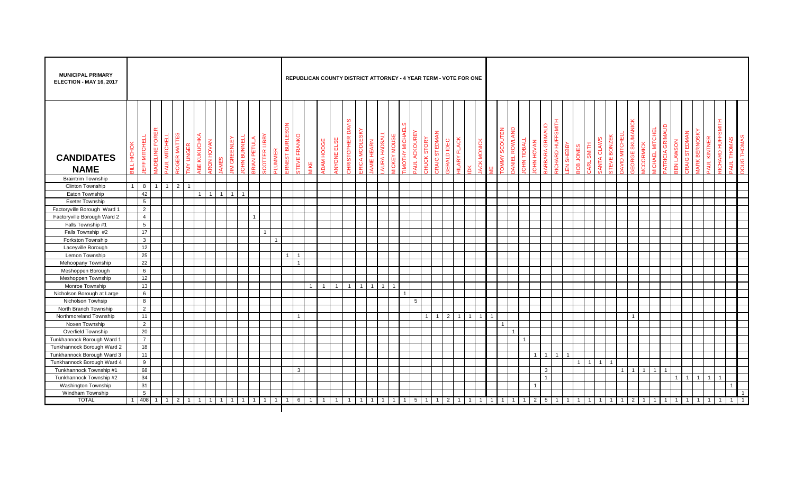| <b>MUNICIPAL PRIMARY</b><br>ELECTION - MAY 16, 2017 |             |                 |                |                                   |                 |                   |              |      |              |                                          |          |                |                |                    |                |                   |                   |                                   |               |                |                |                     |                                |                            |                     | REPUBLICAN COUNTY DISTRICT ATTORNEY - 4 YEAR TERM - VOTE FOR ONE |                              |                |                             |              |               |                                        |                           |                  |           |                |                            |                    |              |                |         |                                        |              |                |                                    |                           |                  |                             |                |
|-----------------------------------------------------|-------------|-----------------|----------------|-----------------------------------|-----------------|-------------------|--------------|------|--------------|------------------------------------------|----------|----------------|----------------|--------------------|----------------|-------------------|-------------------|-----------------------------------|---------------|----------------|----------------|---------------------|--------------------------------|----------------------------|---------------------|------------------------------------------------------------------|------------------------------|----------------|-----------------------------|--------------|---------------|----------------------------------------|---------------------------|------------------|-----------|----------------|----------------------------|--------------------|--------------|----------------|---------|----------------------------------------|--------------|----------------|------------------------------------|---------------------------|------------------|-----------------------------|----------------|
| <b>CANDIDATES</b><br><b>NAME</b>                    | HICHOK<br>달 | EFF MITCHELL    | IADELINE FORE  | ER MATTE<br><b>MITCHEL</b><br>ЯUL | <b>MY UNGER</b> | <b>BE KUKUCHK</b> | RON HOVAN    | AMES | GREENLE<br>⋝ | <b>OHN BUNNELL</b><br><b>RIAN PETULA</b> | LIBB     | <b>LUMMER</b>  | RNEST BURLESO  | <b>TEVE FRANKO</b> | <b>AIKE</b>    | <b>JOAM HODGE</b> | <b>NYONE ELSE</b> | <b>DAVIS</b><br><b>HRISTOPHER</b> | RICA MODLESKY | AMIE HEARN     |                | <b>IICKEY MOUSE</b> | IMOTHY MICHAELS<br>AUL ACKOURE | <b>STOR</b><br><b>HOCK</b> | STEDMA<br>RAIG      | ERALD IDEC                                                       | <b>FLACK</b><br><b>ILARY</b> | ¥              | <b>MONICK</b><br><b>ACK</b> | OMMY SCOUTEN | ANIEL ROWLAND | <b>TIVBOLI NHO</b><br><b>DHN HOVAN</b> | <b>IMAUD</b><br>ARBARA GR | ICHARD HUFFSMITH | EN SHEBBY | B              | <b>SMITH</b><br><b>ARL</b> | <b>TEVE BONZEK</b> | AVID MITCHEI |                | CORMICI | <b>ATRICIA GRIMAU</b><br>ICHAEL MITCHE |              |                | <b>ARK BERNOSK</b><br>RAIG STEDMAN | KINTNEI<br>$\overline{4}$ | ICHARD HUFFSMITH | <b>THOMAS</b><br><b>AUL</b> | pood           |
| <b>Braintrim Township</b>                           |             |                 |                |                                   |                 |                   |              |      |              |                                          |          |                |                |                    |                |                   |                   |                                   |               |                |                |                     |                                |                            |                     |                                                                  |                              |                |                             |              |               |                                        |                           |                  |           |                |                            |                    |              |                |         |                                        |              |                |                                    |                           |                  |                             |                |
| <b>Clinton Township</b>                             |             | $1 \quad 8$     | $\overline{1}$ | 2<br>$\overline{1}$               | $\overline{1}$  |                   |              |      |              |                                          |          |                |                |                    |                |                   |                   |                                   |               |                |                |                     |                                |                            |                     |                                                                  |                              |                |                             |              |               |                                        |                           |                  |           |                |                            |                    |              |                |         |                                        |              |                |                                    |                           |                  |                             |                |
| Eaton Township                                      |             | 42              |                |                                   |                 |                   |              |      |              | $\blacktriangleleft$                     |          |                |                |                    |                |                   |                   |                                   |               |                |                |                     |                                |                            |                     |                                                                  |                              |                |                             |              |               |                                        |                           |                  |           |                |                            |                    |              |                |         |                                        |              |                |                                    |                           |                  |                             |                |
| <b>Exeter Township</b>                              |             | 5               |                |                                   |                 |                   |              |      |              |                                          |          |                |                |                    |                |                   |                   |                                   |               |                |                |                     |                                |                            |                     |                                                                  |                              |                |                             |              |               |                                        |                           |                  |           |                |                            |                    |              |                |         |                                        |              |                |                                    |                           |                  |                             |                |
| Factoryville Borough_Ward 1                         |             | $\overline{2}$  |                |                                   |                 |                   |              |      |              |                                          |          |                |                |                    |                |                   |                   |                                   |               |                |                |                     |                                |                            |                     |                                                                  |                              |                |                             |              |               |                                        |                           |                  |           |                |                            |                    |              |                |         |                                        |              |                |                                    |                           |                  |                             |                |
| Factoryville Borough Ward 2                         |             | $\overline{4}$  |                |                                   |                 |                   |              |      |              | $\overline{1}$                           |          |                |                |                    |                |                   |                   |                                   |               |                |                |                     |                                |                            |                     |                                                                  |                              |                |                             |              |               |                                        |                           |                  |           |                |                            |                    |              |                |         |                                        |              |                |                                    |                           |                  |                             |                |
| Falls Township #1                                   |             | 5               |                |                                   |                 |                   |              |      |              |                                          |          |                |                |                    |                |                   |                   |                                   |               |                |                |                     |                                |                            |                     |                                                                  |                              |                |                             |              |               |                                        |                           |                  |           |                |                            |                    |              |                |         |                                        |              |                |                                    |                           |                  |                             |                |
| Falls Township #2                                   |             | 17              |                |                                   |                 |                   |              |      |              |                                          |          |                |                |                    |                |                   |                   |                                   |               |                |                |                     |                                |                            |                     |                                                                  |                              |                |                             |              |               |                                        |                           |                  |           |                |                            |                    |              |                |         |                                        |              |                |                                    |                           |                  |                             |                |
| Forkston Township                                   |             | $\mathbf{3}$    |                |                                   |                 |                   |              |      |              |                                          |          | $\mathbf{1}$   |                |                    |                |                   |                   |                                   |               |                |                |                     |                                |                            |                     |                                                                  |                              |                |                             |              |               |                                        |                           |                  |           |                |                            |                    |              |                |         |                                        |              |                |                                    |                           |                  |                             |                |
| Laceyville Borough                                  |             | 12              |                |                                   |                 |                   |              |      |              |                                          |          |                |                |                    |                |                   |                   |                                   |               |                |                |                     |                                |                            |                     |                                                                  |                              |                |                             |              |               |                                        |                           |                  |           |                |                            |                    |              |                |         |                                        |              |                |                                    |                           |                  |                             |                |
| Lemon Township                                      |             | 25              |                |                                   |                 |                   |              |      |              |                                          |          |                | $\overline{1}$ | $\overline{1}$     |                |                   |                   |                                   |               |                |                |                     |                                |                            |                     |                                                                  |                              |                |                             |              |               |                                        |                           |                  |           |                |                            |                    |              |                |         |                                        |              |                |                                    |                           |                  |                             |                |
| Mehoopany Township                                  |             | 22              |                |                                   |                 |                   |              |      |              |                                          |          |                |                |                    |                |                   |                   |                                   |               |                |                |                     |                                |                            |                     |                                                                  |                              |                |                             |              |               |                                        |                           |                  |           |                |                            |                    |              |                |         |                                        |              |                |                                    |                           |                  |                             |                |
| Meshoppen Borough                                   |             | $6\phantom{.0}$ |                |                                   |                 |                   |              |      |              |                                          |          |                |                |                    |                |                   |                   |                                   |               |                |                |                     |                                |                            |                     |                                                                  |                              |                |                             |              |               |                                        |                           |                  |           |                |                            |                    |              |                |         |                                        |              |                |                                    |                           |                  |                             |                |
| Meshoppen Township                                  |             | $12$            |                |                                   |                 |                   |              |      |              |                                          |          |                |                |                    |                |                   |                   |                                   |               |                |                |                     |                                |                            |                     |                                                                  |                              |                |                             |              |               |                                        |                           |                  |           |                |                            |                    |              |                |         |                                        |              |                |                                    |                           |                  |                             |                |
| Monroe Township                                     |             | 13              |                |                                   |                 |                   |              |      |              |                                          |          |                |                |                    | $\overline{1}$ | $\overline{1}$    | $\mathbf{1}$      | $\overline{1}$                    | $\mathbf{1}$  | $\overline{1}$ | $\overline{1}$ | $\overline{1}$      |                                |                            |                     |                                                                  |                              |                |                             |              |               |                                        |                           |                  |           |                |                            |                    |              |                |         |                                        |              |                |                                    |                           |                  |                             |                |
| Nicholson Borough at Large                          |             | 6               |                |                                   |                 |                   |              |      |              |                                          |          |                |                |                    |                |                   |                   |                                   |               |                |                |                     |                                |                            |                     |                                                                  |                              |                |                             |              |               |                                        |                           |                  |           |                |                            |                    |              |                |         |                                        |              |                |                                    |                           |                  |                             |                |
| Nicholson Towhsip                                   |             | 8               |                |                                   |                 |                   |              |      |              |                                          |          |                |                |                    |                |                   |                   |                                   |               |                |                |                     |                                | $5\overline{)}$            |                     |                                                                  |                              |                |                             |              |               |                                        |                           |                  |           |                |                            |                    |              |                |         |                                        |              |                |                                    |                           |                  |                             |                |
| North Branch Township                               |             | $\overline{2}$  |                |                                   |                 |                   |              |      |              |                                          |          |                |                |                    |                |                   |                   |                                   |               |                |                |                     |                                |                            |                     |                                                                  |                              |                |                             |              |               |                                        |                           |                  |           |                |                            |                    |              |                |         |                                        |              |                |                                    |                           |                  |                             |                |
| Northmoreland Township                              |             | 11              |                |                                   |                 |                   |              |      |              |                                          |          |                |                | $\overline{1}$     |                |                   |                   |                                   |               |                |                |                     |                                |                            | 1<br>$\overline{1}$ | 2                                                                | $\overline{1}$               | 1 <sup>1</sup> | $\overline{1}$              |              |               |                                        |                           |                  |           |                |                            |                    |              | $\overline{1}$ |         |                                        |              |                |                                    |                           |                  |                             |                |
| Noxen Township                                      |             | $\overline{2}$  |                |                                   |                 |                   |              |      |              |                                          |          |                |                |                    |                |                   |                   |                                   |               |                |                |                     |                                |                            |                     |                                                                  |                              |                |                             | $\mathbf{1}$ |               |                                        |                           |                  |           |                |                            |                    |              |                |         |                                        |              |                |                                    |                           |                  |                             |                |
| Overfield Township                                  |             | 20              |                |                                   |                 |                   |              |      |              |                                          |          |                |                |                    |                |                   |                   |                                   |               |                |                |                     |                                |                            |                     |                                                                  |                              |                |                             |              |               |                                        |                           |                  |           |                |                            |                    |              |                |         |                                        |              |                |                                    |                           |                  |                             |                |
| Tunkhannock Borough Ward 1                          |             | $\overline{7}$  |                |                                   |                 |                   |              |      |              |                                          |          |                |                |                    |                |                   |                   |                                   |               |                |                |                     |                                |                            |                     |                                                                  |                              |                |                             |              |               | $\overline{1}$                         |                           |                  |           |                |                            |                    |              |                |         |                                        |              |                |                                    |                           |                  |                             |                |
| Tunkhannock Borough Ward 2                          |             | 18              |                |                                   |                 |                   |              |      |              |                                          |          |                |                |                    |                |                   |                   |                                   |               |                |                |                     |                                |                            |                     |                                                                  |                              |                |                             |              |               |                                        |                           |                  |           |                |                            |                    |              |                |         |                                        |              |                |                                    |                           |                  |                             |                |
| Tunkhannock Borough Ward 3                          |             | 11              |                |                                   |                 |                   |              |      |              |                                          |          |                |                |                    |                |                   |                   |                                   |               |                |                |                     |                                |                            |                     |                                                                  |                              |                |                             |              |               |                                        | 1<br>$\overline{1}$       | $\mathbf{1}$     |           |                |                            |                    |              |                |         |                                        |              |                |                                    |                           |                  |                             |                |
| Tunkhannock Borough Ward 4                          |             | 9               |                |                                   |                 |                   |              |      |              |                                          |          |                |                |                    |                |                   |                   |                                   |               |                |                |                     |                                |                            |                     |                                                                  |                              |                |                             |              |               |                                        |                           |                  |           | $\overline{1}$ |                            | $\mathbf{1}$       |              |                |         |                                        |              |                |                                    |                           |                  |                             |                |
| Tunkhannock Township #1                             |             | 68              |                |                                   |                 |                   |              |      |              |                                          |          |                |                | $\mathbf{3}$       |                |                   |                   |                                   |               |                |                |                     |                                |                            |                     |                                                                  |                              |                |                             |              |               |                                        | $\mathbf{3}$              |                  |           |                |                            |                    |              |                |         |                                        |              |                |                                    |                           |                  |                             |                |
| Tunkhannock Township #2                             |             | 34              |                |                                   |                 |                   |              |      |              |                                          |          |                |                |                    |                |                   |                   |                                   |               |                |                |                     |                                |                            |                     |                                                                  |                              |                |                             |              |               |                                        | $\overline{1}$            |                  |           |                |                            |                    |              |                |         |                                        |              | $\overline{1}$ |                                    |                           | $\overline{1}$   |                             |                |
| Washington Township                                 |             | 31              |                |                                   |                 |                   |              |      |              |                                          |          |                |                |                    |                |                   |                   |                                   |               |                |                |                     |                                |                            |                     |                                                                  |                              |                |                             |              |               |                                        | $\mathbf{1}$              |                  |           |                |                            |                    |              |                |         |                                        |              |                |                                    |                           |                  |                             |                |
| Windham Township                                    |             | $5\phantom{.0}$ |                |                                   |                 |                   |              |      |              |                                          |          |                |                |                    |                |                   |                   |                                   |               |                |                |                     |                                |                            |                     |                                                                  |                              |                |                             |              |               |                                        |                           |                  |           |                |                            |                    |              |                |         |                                        |              |                |                                    |                           |                  |                             | $\mathbf{1}$   |
| <b>TOTAL</b>                                        |             | 1 408           |                | $\overline{2}$                    |                 |                   | $\mathbf{1}$ |      |              | 1                                        | $1 \mid$ | $\overline{1}$ |                | 6                  | $\overline{1}$ | $\overline{1}$    | $\mathbf{1}$      | $\mathbf 1$                       | $\mathbf{1}$  |                |                |                     |                                | 5 <sup>5</sup>             |                     | $\overline{2}$                                                   |                              | $\mathbf{1}$   |                             | $\mathbf{1}$ |               | 1                                      | $\overline{2}$<br>5       |                  |           | $\overline{1}$ |                            | $\mathbf{1}$       |              |                |         |                                        | $\mathbf{1}$ |                |                                    |                           |                  |                             | $\overline{1}$ |
|                                                     |             |                 |                |                                   |                 |                   |              |      |              |                                          |          |                |                |                    |                |                   |                   |                                   |               |                |                |                     |                                |                            |                     |                                                                  |                              |                |                             |              |               |                                        |                           |                  |           |                |                            |                    |              |                |         |                                        |              |                |                                    |                           |                  |                             |                |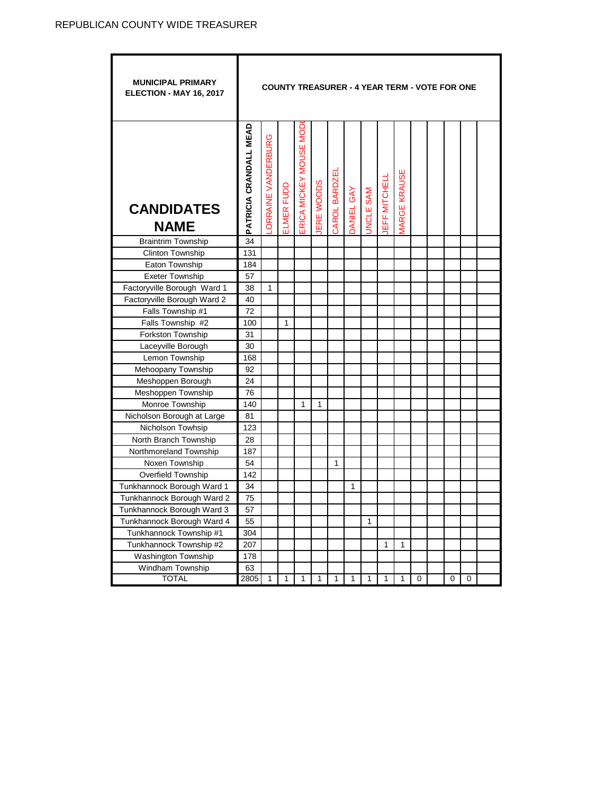$\overline{\phantom{0}}$ 

| <b>MUNICIPAL PRIMARY</b><br>ELECTION - MAY 16, 2017      |                               |                    |              |                        |              |               |              |          |              |                     |   | <b>COUNTY TREASURER - 4 YEAR TERM - VOTE FOR ONE</b> |   |  |
|----------------------------------------------------------|-------------------------------|--------------------|--------------|------------------------|--------------|---------------|--------------|----------|--------------|---------------------|---|------------------------------------------------------|---|--|
| <b>CANDIDATES</b><br><b>NAME</b>                         | <b>PATRICIA CRANDALL MEAD</b> | ORRAINE VANDERBURG | ELMER FUDD   | ERICA MICKEY MOUSE MOD | ERE WOODS    | CAROL BARDZEI | DANIEL GAY   | NCLE SAM | EFF MITCHELL | <b>MARGE KRAUSE</b> |   |                                                      |   |  |
| <b>Braintrim Township</b>                                | 34                            |                    |              |                        |              |               |              |          |              |                     |   |                                                      |   |  |
| Clinton Township                                         | 131                           |                    |              |                        |              |               |              |          |              |                     |   |                                                      |   |  |
| Eaton Township                                           | 184                           |                    |              |                        |              |               |              |          |              |                     |   |                                                      |   |  |
| <b>Exeter Township</b>                                   | 57                            |                    |              |                        |              |               |              |          |              |                     |   |                                                      |   |  |
| Factoryville Borough Ward 1                              | 38                            | $\mathbf{1}$       |              |                        |              |               |              |          |              |                     |   |                                                      |   |  |
| Factoryville Borough Ward 2                              | 40                            |                    |              |                        |              |               |              |          |              |                     |   |                                                      |   |  |
| Falls Township #1                                        | 72                            |                    |              |                        |              |               |              |          |              |                     |   |                                                      |   |  |
| Falls Township #2                                        | 100                           |                    | 1            |                        |              |               |              |          |              |                     |   |                                                      |   |  |
| Forkston Township                                        | 31                            |                    |              |                        |              |               |              |          |              |                     |   |                                                      |   |  |
| Laceyville Borough                                       | 30                            |                    |              |                        |              |               |              |          |              |                     |   |                                                      |   |  |
| Lemon Township                                           | 168                           |                    |              |                        |              |               |              |          |              |                     |   |                                                      |   |  |
| Mehoopany Township                                       | 92                            |                    |              |                        |              |               |              |          |              |                     |   |                                                      |   |  |
| Meshoppen Borough                                        | 24                            |                    |              |                        |              |               |              |          |              |                     |   |                                                      |   |  |
| Meshoppen Township                                       | 76                            |                    |              |                        |              |               |              |          |              |                     |   |                                                      |   |  |
| Monroe Township                                          | 140                           |                    |              | 1                      | $\mathbf{1}$ |               |              |          |              |                     |   |                                                      |   |  |
| Nicholson Borough at Large                               | 81                            |                    |              |                        |              |               |              |          |              |                     |   |                                                      |   |  |
| Nicholson Towhsip                                        | 123                           |                    |              |                        |              |               |              |          |              |                     |   |                                                      |   |  |
| North Branch Township                                    | 28                            |                    |              |                        |              |               |              |          |              |                     |   |                                                      |   |  |
| Northmoreland Township                                   | 187                           |                    |              |                        |              |               |              |          |              |                     |   |                                                      |   |  |
| Noxen Township                                           | 54<br>142                     |                    |              |                        |              | 1             |              |          |              |                     |   |                                                      |   |  |
| Overfield Township                                       | 34                            |                    |              |                        |              |               |              |          |              |                     |   |                                                      |   |  |
| Tunkhannock Borough Ward 1                               | 75                            |                    |              |                        |              |               | 1            |          |              |                     |   |                                                      |   |  |
| Tunkhannock Borough Ward 2<br>Tunkhannock Borough Ward 3 | 57                            |                    |              |                        |              |               |              |          |              |                     |   |                                                      |   |  |
| Tunkhannock Borough Ward 4                               | 55                            |                    |              |                        |              |               |              | 1        |              |                     |   |                                                      |   |  |
| Tunkhannock Township #1                                  | 304                           |                    |              |                        |              |               |              |          |              |                     |   |                                                      |   |  |
| Tunkhannock Township #2                                  |                               |                    |              |                        |              |               |              |          | 1            | $\mathbf{1}$        |   |                                                      |   |  |
| Washington Township                                      | 207                           |                    |              |                        |              |               |              |          |              |                     |   |                                                      |   |  |
| Windham Township                                         | 178<br>63                     |                    |              |                        |              |               |              |          |              |                     |   |                                                      |   |  |
| <b>TOTAL</b>                                             | 2805                          | $\mathbf{1}$       | $\mathbf{1}$ | 1                      | $\mathbf{1}$ | 1             | $\mathbf{1}$ | 1        | $\mathbf{1}$ | $\mathbf{1}$        | 0 | 0                                                    | 0 |  |

ī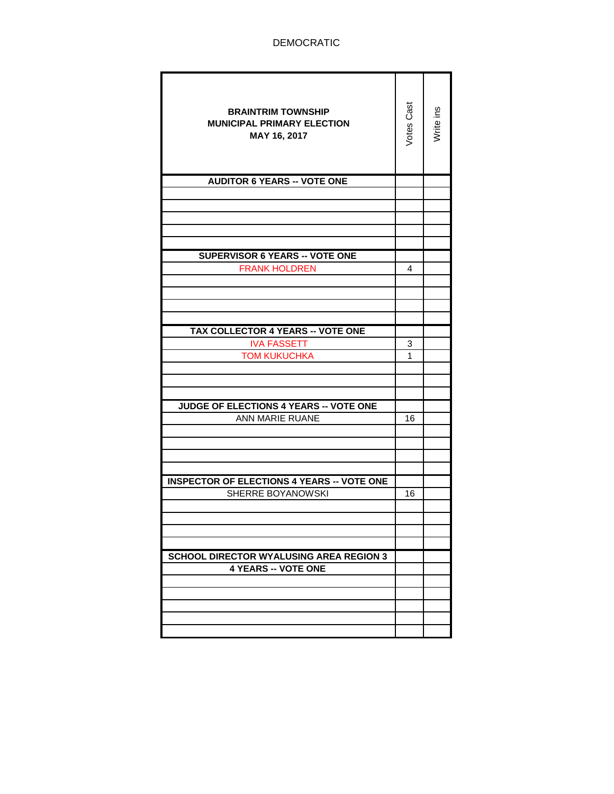| <b>BRAINTRIM TOWNSHIP</b><br><b>MUNICIPAL PRIMARY ELECTION</b><br>MAY 16, 2017 | Votes Cast | Write ins |
|--------------------------------------------------------------------------------|------------|-----------|
| <b>AUDITOR 6 YEARS -- VOTE ONE</b>                                             |            |           |
|                                                                                |            |           |
|                                                                                |            |           |
|                                                                                |            |           |
|                                                                                |            |           |
| SUPERVISOR 6 YEARS -- VOTE ONE                                                 |            |           |
| <b>FRANK HOLDREN</b>                                                           | 4          |           |
|                                                                                |            |           |
|                                                                                |            |           |
|                                                                                |            |           |
|                                                                                |            |           |
| TAX COLLECTOR 4 YEARS -- VOTE ONE                                              |            |           |
| <b>IVA FASSETT</b>                                                             | 3          |           |
| <b>TOM KUKUCHKA</b>                                                            | 1          |           |
|                                                                                |            |           |
|                                                                                |            |           |
| JUDGE OF ELECTIONS 4 YEARS -- VOTE ONE                                         |            |           |
| ANN MARIE RUANE                                                                | 16         |           |
|                                                                                |            |           |
|                                                                                |            |           |
|                                                                                |            |           |
|                                                                                |            |           |
| <b>INSPECTOR OF ELECTIONS 4 YEARS -- VOTE ONE</b>                              |            |           |
| SHERRE BOYANOWSKI                                                              | 16         |           |
|                                                                                |            |           |
|                                                                                |            |           |
|                                                                                |            |           |
| <b>SCHOOL DIRECTOR WYALUSING AREA REGION 3</b>                                 |            |           |
| <b>4 YEARS -- VOTE ONE</b>                                                     |            |           |
|                                                                                |            |           |
|                                                                                |            |           |
|                                                                                |            |           |
|                                                                                |            |           |
|                                                                                |            |           |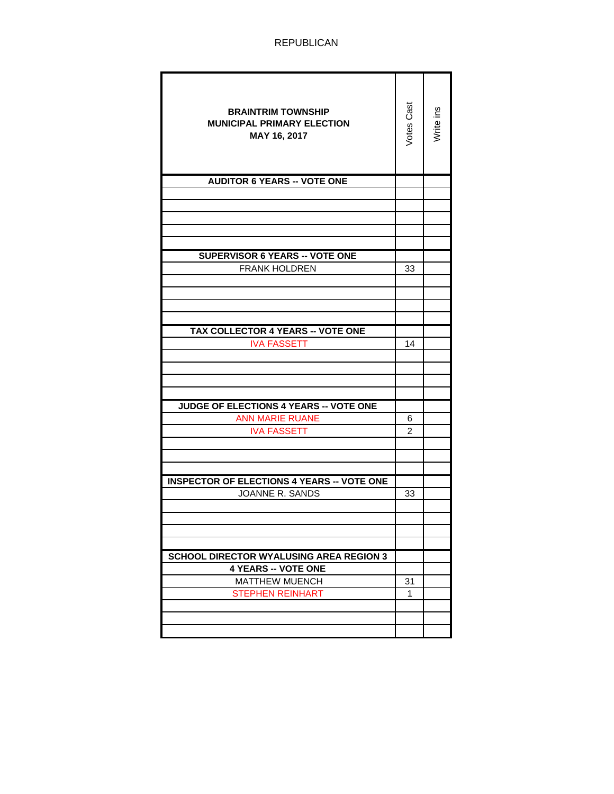| <b>BRAINTRIM TOWNSHIP</b><br><b>MUNICIPAL PRIMARY ELECTION</b><br>MAY 16, 2017 | Votes Cast | Write ins |
|--------------------------------------------------------------------------------|------------|-----------|
| <b>AUDITOR 6 YEARS -- VOTE ONE</b>                                             |            |           |
|                                                                                |            |           |
|                                                                                |            |           |
|                                                                                |            |           |
|                                                                                |            |           |
| <b>SUPERVISOR 6 YEARS -- VOTE ONE</b>                                          |            |           |
| <b>FRANK HOLDREN</b>                                                           | 33         |           |
|                                                                                |            |           |
|                                                                                |            |           |
|                                                                                |            |           |
|                                                                                |            |           |
| TAX COLLECTOR 4 YEARS -- VOTE ONE                                              |            |           |
| <b>IVA FASSETT</b>                                                             | 14         |           |
|                                                                                |            |           |
|                                                                                |            |           |
|                                                                                |            |           |
| <b>JUDGE OF ELECTIONS 4 YEARS -- VOTE ONE</b>                                  |            |           |
| <b>ANN MARIE RUANE</b>                                                         | 6          |           |
| <b>IVA FASSETT</b>                                                             | 2          |           |
|                                                                                |            |           |
|                                                                                |            |           |
|                                                                                |            |           |
| <b>INSPECTOR OF ELECTIONS 4 YEARS -- VOTE ONE</b><br>JOANNE R. SANDS           |            |           |
|                                                                                | 33         |           |
|                                                                                |            |           |
|                                                                                |            |           |
|                                                                                |            |           |
| <b>SCHOOL DIRECTOR WYALUSING AREA REGION 3</b>                                 |            |           |
| <b>4 YEARS -- VOTE ONE</b>                                                     |            |           |
| MATTHEW MUENCH                                                                 | 31         |           |
| <b>STEPHEN REINHART</b>                                                        | 1          |           |
|                                                                                |            |           |
|                                                                                |            |           |
|                                                                                |            |           |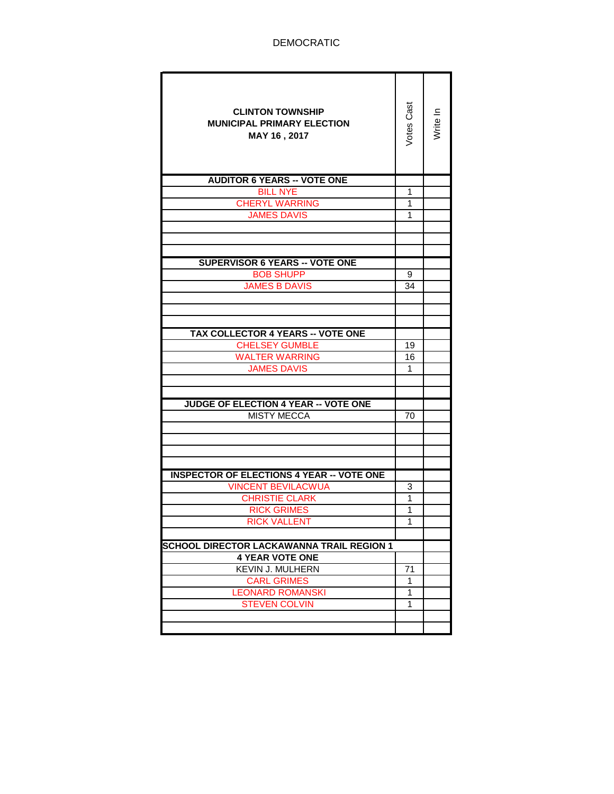| <b>CLINTON TOWNSHIP</b><br><b>MUNICIPAL PRIMARY ELECTION</b><br>MAY 16, 2017 | Votes Cast   | Write In |
|------------------------------------------------------------------------------|--------------|----------|
| <b>AUDITOR 6 YEARS -- VOTE ONE</b>                                           |              |          |
| <b>BILL NYE</b>                                                              | 1            |          |
| <b>CHERYL WARRING</b>                                                        | 1            |          |
| <b>JAMES DAVIS</b>                                                           | 1            |          |
|                                                                              |              |          |
|                                                                              |              |          |
|                                                                              |              |          |
| <b>SUPERVISOR 6 YEARS -- VOTE ONE</b>                                        |              |          |
| <b>BOB SHUPP</b>                                                             | 9            |          |
| <b>JAMES B DAVIS</b>                                                         | 34           |          |
|                                                                              |              |          |
|                                                                              |              |          |
| <b>TAX COLLECTOR 4 YEARS -- VOTE ONE</b>                                     |              |          |
| <b>CHELSEY GUMBLE</b>                                                        | 19           |          |
| <b>WALTER WARRING</b>                                                        | 16           |          |
| <b>JAMES DAVIS</b>                                                           | 1            |          |
|                                                                              |              |          |
|                                                                              |              |          |
| <b>JUDGE OF ELECTION 4 YEAR -- VOTE ONE</b>                                  |              |          |
| <b>MISTY MECCA</b>                                                           | 70           |          |
|                                                                              |              |          |
|                                                                              |              |          |
|                                                                              |              |          |
|                                                                              |              |          |
| <b>INSPECTOR OF ELECTIONS 4 YEAR -- VOTE ONE</b>                             |              |          |
| <b>VINCENT BEVILACWUA</b>                                                    | 3            |          |
| <b>CHRISTIE CLARK</b>                                                        | 1            |          |
| <b>RICK GRIMES</b>                                                           | $\mathbf{1}$ |          |
| <b>RICK VALLENT</b>                                                          | 1            |          |
|                                                                              |              |          |
| <b>SCHOOL DIRECTOR LACKAWANNA TRAIL REGION 1</b>                             |              |          |
| <b>4 YEAR VOTE ONE</b>                                                       |              |          |
| KEVIN J. MULHERN                                                             | 71           |          |
| <b>CARL GRIMES</b>                                                           | 1            |          |
| <b>LEONARD ROMANSKI</b>                                                      | 1<br>1       |          |
| <b>STEVEN COLVIN</b>                                                         |              |          |
|                                                                              |              |          |
|                                                                              |              |          |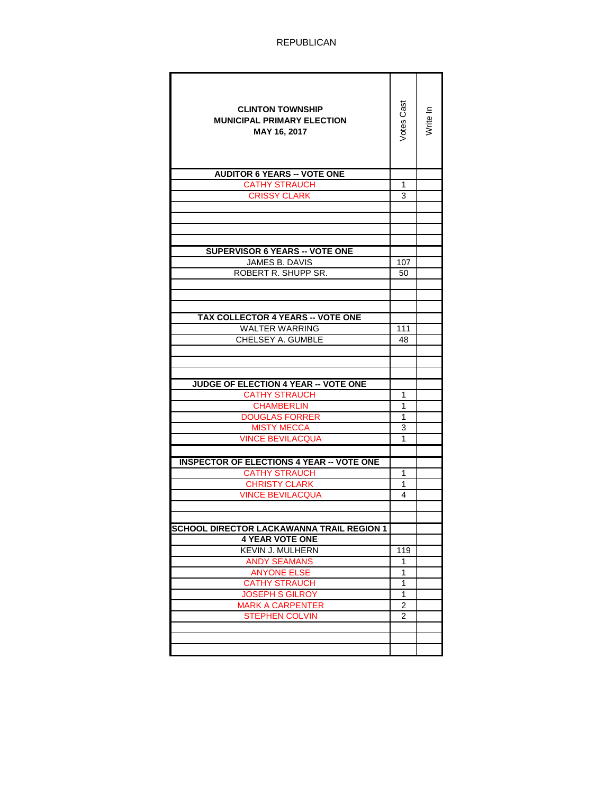| <b>CLINTON TOWNSHIP</b><br><b>MUNICIPAL PRIMARY ELECTION</b><br>MAY 16, 2017 | Votes Cas    | Write In |
|------------------------------------------------------------------------------|--------------|----------|
| <b>AUDITOR 6 YEARS -- VOTE ONE</b>                                           |              |          |
| <b>CATHY STRAUCH</b>                                                         | 1            |          |
| <b>CRISSY CLARK</b>                                                          | 3            |          |
|                                                                              |              |          |
|                                                                              |              |          |
|                                                                              |              |          |
|                                                                              |              |          |
| <b>SUPERVISOR 6 YEARS -- VOTE ONE</b>                                        |              |          |
| JAMES B. DAVIS                                                               | 107          |          |
| ROBERT R. SHUPP SR.                                                          | 50           |          |
|                                                                              |              |          |
|                                                                              |              |          |
|                                                                              |              |          |
| TAX COLLECTOR 4 YEARS -- VOTE ONE                                            |              |          |
| <b>WALTER WARRING</b>                                                        | 111          |          |
| <b>CHELSEY A. GUMBLE</b>                                                     | 48           |          |
|                                                                              |              |          |
|                                                                              |              |          |
|                                                                              |              |          |
| JUDGE OF ELECTION 4 YEAR -- VOTE ONE                                         |              |          |
| <b>CATHY STRAUCH</b>                                                         | 1            |          |
| <b>CHAMBERLIN</b>                                                            | 1            |          |
| <b>DOUGLAS FORRER</b>                                                        | 1            |          |
| <b>MISTY MECCA</b>                                                           | 3            |          |
| <b>VINCE BEVILACQUA</b>                                                      | 1            |          |
|                                                                              |              |          |
| <b>INSPECTOR OF ELECTIONS 4 YEAR -- VOTE ONE</b>                             |              |          |
| <b>CATHY STRAUCH</b>                                                         | 1            |          |
| <b>CHRISTY CLARK</b>                                                         | 1            |          |
| <b>VINCE BEVILACQUA</b>                                                      | 4            |          |
|                                                                              |              |          |
|                                                                              |              |          |
| <b>SCHOOL DIRECTOR LACKAWANNA TRAIL REGION 1</b>                             |              |          |
| <b>4 YEAR VOTE ONE</b>                                                       |              |          |
| KEVIN J. MULHERN                                                             | 119          |          |
| <b>ANDY SEAMANS</b>                                                          | 1            |          |
| <b>ANYONE ELSE</b>                                                           | 1            |          |
| <b>CATHY STRAUCH</b>                                                         | 1            |          |
| <b>JOSEPH S GILROY</b>                                                       | $\mathbf{1}$ |          |
| <b>MARK A CARPENTER</b>                                                      | 2            |          |
| <b>STEPHEN COLVIN</b>                                                        | 2            |          |
|                                                                              |              |          |
|                                                                              |              |          |
|                                                                              |              |          |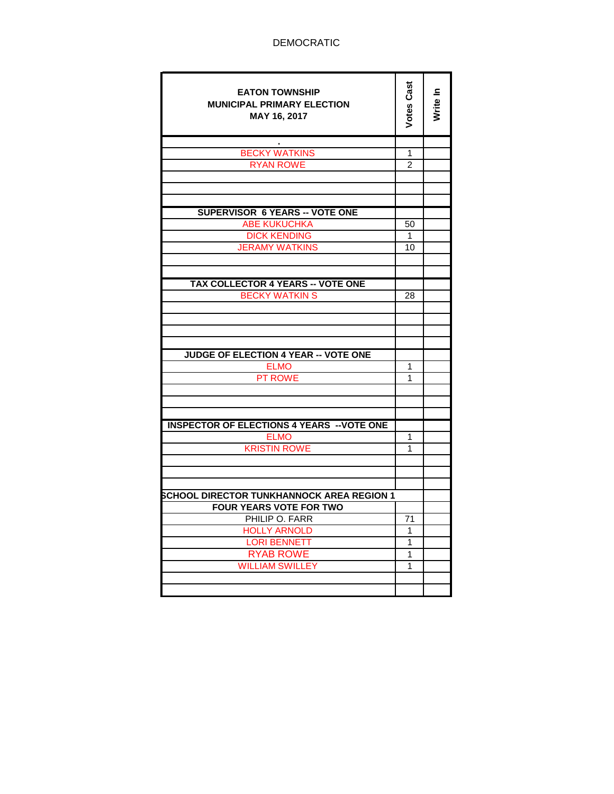| <b>EATON TOWNSHIP</b><br><b>MUNICIPAL PRIMARY ELECTION</b><br>MAY 16, 2017  | <b>Votes Cast</b> | Write In |
|-----------------------------------------------------------------------------|-------------------|----------|
| <b>BECKY WATKINS</b>                                                        | 1                 |          |
| <b>RYAN ROWE</b>                                                            | 2                 |          |
|                                                                             |                   |          |
|                                                                             |                   |          |
|                                                                             |                   |          |
| <b>SUPERVISOR 6 YEARS -- VOTE ONE</b>                                       |                   |          |
| <b>ABE KUKUCHKA</b>                                                         | 50                |          |
| <b>DICK KENDING</b>                                                         | 1                 |          |
| <b>JERAMY WATKINS</b>                                                       | 10                |          |
|                                                                             |                   |          |
| <b>TAX COLLECTOR 4 YEARS -- VOTE ONE</b>                                    |                   |          |
| <b>BECKY WATKIN S</b>                                                       | 28                |          |
|                                                                             |                   |          |
|                                                                             |                   |          |
|                                                                             |                   |          |
|                                                                             |                   |          |
| <b>JUDGE OF ELECTION 4 YEAR -- VOTE ONE</b>                                 |                   |          |
| <b>ELMO</b>                                                                 | 1                 |          |
| <b>PT ROWE</b>                                                              | 1                 |          |
|                                                                             |                   |          |
|                                                                             |                   |          |
| <b>INSPECTOR OF ELECTIONS 4 YEARS -- VOTE ONE</b>                           |                   |          |
| <b>ELMO</b>                                                                 | 1                 |          |
| <b>KRISTIN ROWE</b>                                                         | 1                 |          |
|                                                                             |                   |          |
|                                                                             |                   |          |
|                                                                             |                   |          |
| SCHOOL DIRECTOR TUNKHANNOCK AREA REGION 1<br><b>FOUR YEARS VOTE FOR TWO</b> |                   |          |
| PHILIP O. FARR                                                              | 71                |          |
| <b>HOLLY ARNOLD</b>                                                         | 1                 |          |
| <b>LORI BENNETT</b>                                                         | 1                 |          |
| <b>RYAB ROWE</b>                                                            | 1                 |          |
| <b>WILLIAM SWILLEY</b>                                                      | 1                 |          |
|                                                                             |                   |          |
|                                                                             |                   |          |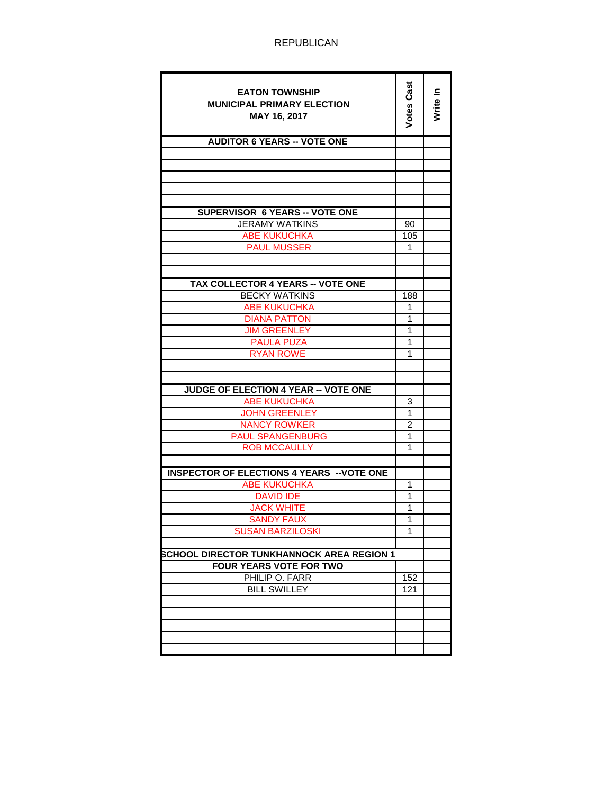| <b>EATON TOWNSHIP</b><br><b>MUNICIPAL PRIMARY ELECTION</b><br>MAY 16, 2017 | Votes Cast              | Write In |
|----------------------------------------------------------------------------|-------------------------|----------|
| <b>AUDITOR 6 YEARS -- VOTE ONE</b>                                         |                         |          |
|                                                                            |                         |          |
|                                                                            |                         |          |
|                                                                            |                         |          |
|                                                                            |                         |          |
| <b>SUPERVISOR 6 YEARS -- VOTE ONE</b>                                      |                         |          |
| <b>JERAMY WATKINS</b>                                                      | 90                      |          |
| <b>ABE KUKUCHKA</b>                                                        | 105                     |          |
| <b>PAUL MUSSER</b>                                                         | 1                       |          |
|                                                                            |                         |          |
|                                                                            |                         |          |
| <b>TAX COLLECTOR 4 YEARS -- VOTE ONE</b>                                   |                         |          |
| <b>BECKY WATKINS</b>                                                       | 188                     |          |
| <b>ABE KUKUCHKA</b>                                                        | 1                       |          |
| <b>DIANA PATTON</b>                                                        | 1                       |          |
| <b>JIM GREENLEY</b>                                                        | 1                       |          |
| <b>PAULA PUZA</b>                                                          | 1                       |          |
| <b>RYAN ROWE</b>                                                           | 1                       |          |
|                                                                            |                         |          |
|                                                                            |                         |          |
| <b>JUDGE OF ELECTION 4 YEAR -- VOTE ONE</b>                                | 3                       |          |
| <b>ABE KUKUCHKA</b><br><b>JOHN GREENLEY</b>                                | 1                       |          |
| <b>NANCY ROWKER</b>                                                        | 2                       |          |
| <b>PAUL SPANGENBURG</b>                                                    | 1                       |          |
| <b>ROB MCCAULLY</b>                                                        | 1                       |          |
|                                                                            |                         |          |
| <b>INSPECTOR OF ELECTIONS 4 YEARS -- VOTE ONE</b>                          |                         |          |
| <b>ABE KUKUCHKA</b>                                                        | 1                       |          |
| <b>DAVID IDE</b>                                                           | 1                       |          |
| <b>JACK WHITE</b>                                                          | 1                       |          |
| <b>SANDY FAUX</b>                                                          | 1                       |          |
| <b>SUSAN BARZILOSKI</b>                                                    | 1                       |          |
|                                                                            |                         |          |
| <b>SCHOOL DIRECTOR TUNKHANNOCK AREA REGION 1</b>                           |                         |          |
| <b>FOUR YEARS VOTE FOR TWO</b><br>PHILIP O. FARR                           |                         |          |
| <b>BILL SWILLEY</b>                                                        | 152<br>$\overline{121}$ |          |
|                                                                            |                         |          |
|                                                                            |                         |          |
|                                                                            |                         |          |
|                                                                            |                         |          |
|                                                                            |                         |          |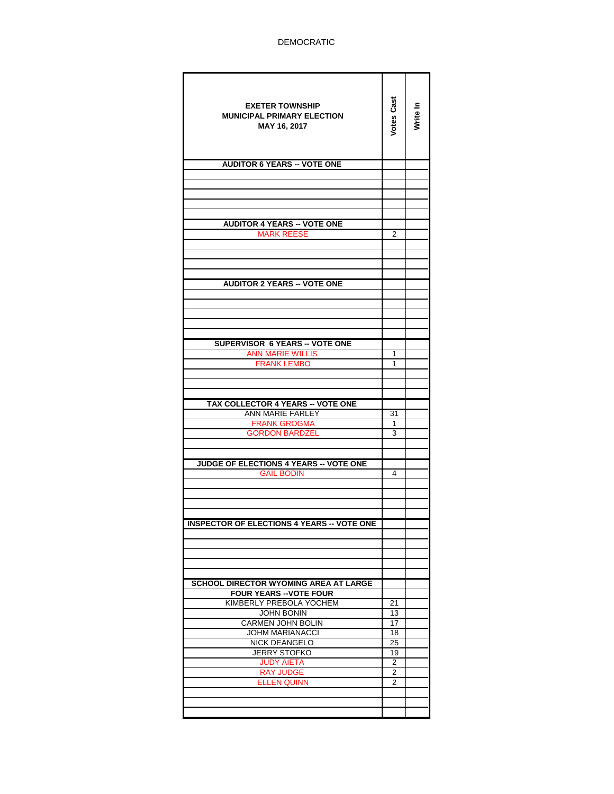| <b>EXETER TOWNSHIP</b><br><b>MUNICIPAL PRIMARY ELECTION</b><br>MAY 16, 2017 | Votes Cas      | Write In |
|-----------------------------------------------------------------------------|----------------|----------|
| <b>AUDITOR 6 YEARS -- VOTE ONE</b>                                          |                |          |
|                                                                             |                |          |
|                                                                             |                |          |
|                                                                             |                |          |
|                                                                             |                |          |
| <b>AUDITOR 4 YEARS -- VOTE ONE</b><br><b>MARK REESE</b>                     | 2              |          |
|                                                                             |                |          |
|                                                                             |                |          |
|                                                                             |                |          |
| <b>AUDITOR 2 YEARS -- VOTE ONE</b>                                          |                |          |
|                                                                             |                |          |
|                                                                             |                |          |
|                                                                             |                |          |
|                                                                             |                |          |
| <b>SUPERVISOR 6 YEARS -- VOTE ONE</b>                                       |                |          |
| <b>ANN MARIE WILLIS</b>                                                     | 1              |          |
| <b>FRANK LEMBO</b>                                                          | 1              |          |
|                                                                             |                |          |
|                                                                             |                |          |
| <b>TAX COLLECTOR 4 YEARS -- VOTE ONE</b>                                    |                |          |
| ANN MARIE FARLEY<br><b>FRANK GROGMA</b>                                     | 31<br>1        |          |
| <b>GORDON BARDZEL</b>                                                       | 3              |          |
|                                                                             |                |          |
|                                                                             |                |          |
| JUDGE OF ELECTIONS 4 YEARS -- VOTE ONE<br><b>GAIL BODIN</b>                 | 4              |          |
|                                                                             |                |          |
|                                                                             |                |          |
|                                                                             |                |          |
| ∙ VOTE ON<br><b>INSPECTOR OF ELECTIONS 4 YEARS -</b>                        |                |          |
|                                                                             |                |          |
|                                                                             |                |          |
|                                                                             |                |          |
|                                                                             |                |          |
| <b>SCHOOL DIRECTOR WYOMING AREA AT LARGE</b>                                |                |          |
| <b>FOUR YEARS -- VOTE FOUR</b>                                              |                |          |
| KIMBERLY PREBOLA YOCHEM<br>JOHN BONIN                                       | 21<br>13       |          |
| <b>CARMEN JOHN BOLIN</b>                                                    | 17             |          |
| <b>JOHM MARIANACCI</b>                                                      | 18             |          |
| <b>NICK DEANGELO</b><br><b>JERRY STOFKO</b>                                 | 25<br>19       |          |
| <b>JUDY AIETA</b>                                                           | $\overline{2}$ |          |
| <b>RAY JUDGE</b>                                                            | $\overline{2}$ |          |
| <b>ELLEN QUINN</b>                                                          | 2              |          |
|                                                                             |                |          |
|                                                                             |                |          |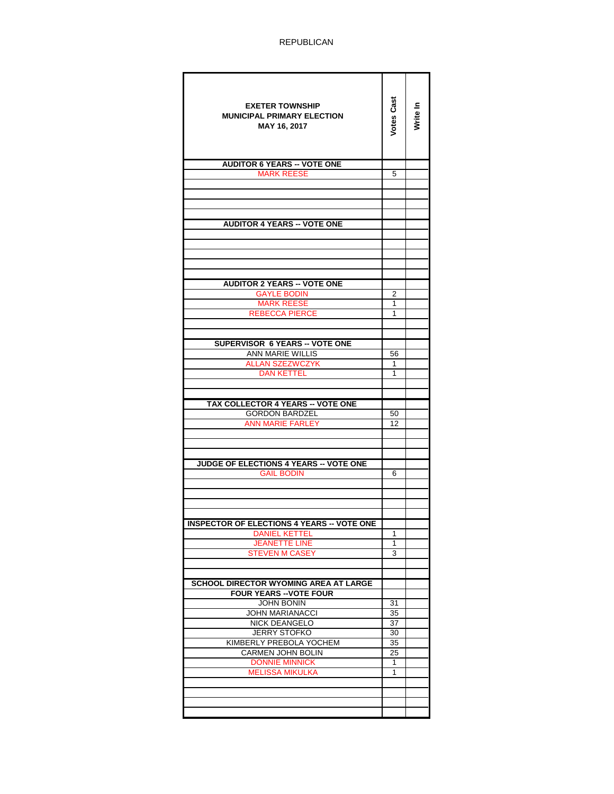| <b>EXETER TOWNSHIP</b>                                   | Votes Cast |          |
|----------------------------------------------------------|------------|----------|
| <b>MUNICIPAL PRIMARY ELECTION</b>                        |            | Write In |
| MAY 16, 2017                                             |            |          |
|                                                          |            |          |
|                                                          |            |          |
| <b>AUDITOR 6 YEARS -- VOTE ONE</b>                       |            |          |
| <b>MARK REESE</b>                                        | 5          |          |
|                                                          |            |          |
|                                                          |            |          |
|                                                          |            |          |
| <b>AUDITOR 4 YEARS -- VOTE ONE</b>                       |            |          |
|                                                          |            |          |
|                                                          |            |          |
|                                                          |            |          |
|                                                          |            |          |
|                                                          |            |          |
| <b>AUDITOR 2 YEARS -- VOTE ONE</b><br><b>GAYLE BODIN</b> | 2          |          |
| <b>MARK REESE</b>                                        | 1          |          |
| <b>REBECCA PIERCE</b>                                    | 1          |          |
|                                                          |            |          |
|                                                          |            |          |
| <b>SUPERVISOR 6 YEARS -- VOTE ONE</b>                    |            |          |
| ANN MARIE WILLIS                                         | 56         |          |
| <b>ALLAN SZEZWCZYK</b>                                   | 1          |          |
| DAN KETTEL                                               | 1          |          |
|                                                          |            |          |
| TAX COLLECTOR 4 YEARS -- VOTE ONE                        |            |          |
| <b>GORDON BARDZEL</b>                                    | 50         |          |
| ANN MARIE FARLEY                                         | 12         |          |
|                                                          |            |          |
|                                                          |            |          |
| <b>JUDGE OF ELECTIONS 4 YEARS -- VOTE ONE</b>            |            |          |
| <b>GAIL BODIN</b>                                        | 6          |          |
|                                                          |            |          |
|                                                          |            |          |
|                                                          |            |          |
|                                                          |            |          |
| <b>INSPECTOR OF ELECTIONS 4 YEARS -- VOTE ONE</b>        |            |          |
| <b>DANIEL KETTEL</b><br><b>JEANETTE LINE</b>             | 1<br>1     |          |
| <b>STEVEN M CASEY</b>                                    | 3          |          |
|                                                          |            |          |
|                                                          |            |          |
| SCHOOL DIRECTOR WYOMING AREA AT LARGE                    |            |          |
| <b>FOUR YEARS -- VOTE FOUR</b>                           |            |          |
| <b>JOHN BONIN</b>                                        | 31         |          |
| <b>JOHN MARIANACCI</b>                                   | 35         |          |
| NICK DEANGELO<br><b>JERRY STOFKO</b>                     | 37<br>30   |          |
| KIMBERLY PREBOLA YOCHEM                                  | 35         |          |
| CARMEN JOHN BOLIN                                        | 25         |          |
| <b>DONNIE MINNICK</b>                                    | 1          |          |
| <b>MELISSA MIKULKA</b>                                   | 1          |          |
|                                                          |            |          |
|                                                          |            |          |
|                                                          |            |          |
|                                                          |            |          |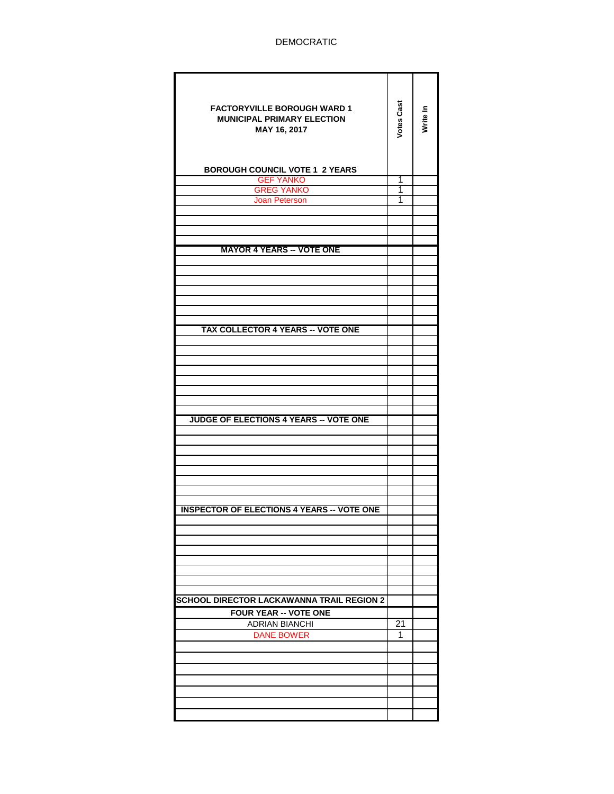| <b>FACTORYVILLE BOROUGH WARD 1</b><br><b>MUNICIPAL PRIMARY ELECTION</b><br>MAY 16, 2017 | <b>Votes Cast</b> | Write In |
|-----------------------------------------------------------------------------------------|-------------------|----------|
| <b>BOROUGH COUNCIL VOTE 1 2 YEARS</b>                                                   |                   |          |
| <b>GEF YANKO</b><br><b>GREG YANKO</b>                                                   | 1<br>1            |          |
| <b>Joan Peterson</b>                                                                    | 1                 |          |
|                                                                                         |                   |          |
|                                                                                         |                   |          |
|                                                                                         |                   |          |
| <b>MAYOR 4 YEARS -- VOTE ONE</b>                                                        |                   |          |
|                                                                                         |                   |          |
|                                                                                         |                   |          |
|                                                                                         |                   |          |
|                                                                                         |                   |          |
|                                                                                         |                   |          |
| <b>TAX COLLECTOR 4 YEARS -- VOTE ONE</b>                                                |                   |          |
|                                                                                         |                   |          |
|                                                                                         |                   |          |
|                                                                                         |                   |          |
|                                                                                         |                   |          |
|                                                                                         |                   |          |
|                                                                                         |                   |          |
| JUDGE OF ELECTIONS 4 YEARS -- VOTE ONE                                                  |                   |          |
|                                                                                         |                   |          |
|                                                                                         |                   |          |
|                                                                                         |                   |          |
|                                                                                         |                   |          |
|                                                                                         |                   |          |
|                                                                                         |                   |          |
|                                                                                         |                   |          |
| <b>INSPECTOR OF ELECTIONS 4 YEARS -- VOTE ONE</b>                                       |                   |          |
|                                                                                         |                   |          |
|                                                                                         |                   |          |
|                                                                                         |                   |          |
|                                                                                         |                   |          |
|                                                                                         |                   |          |
|                                                                                         |                   |          |
| SCHOOL DIRECTOR LACKAWANNA TRAIL REGION 2                                               |                   |          |
| <b>FOUR YEAR -- VOTE ONE</b><br><b>ADRIAN BIANCHI</b>                                   | 21                |          |
| <b>DANE BOWER</b>                                                                       | 1                 |          |
|                                                                                         |                   |          |
|                                                                                         |                   |          |
|                                                                                         |                   |          |
|                                                                                         |                   |          |
|                                                                                         |                   |          |
|                                                                                         |                   |          |
|                                                                                         |                   |          |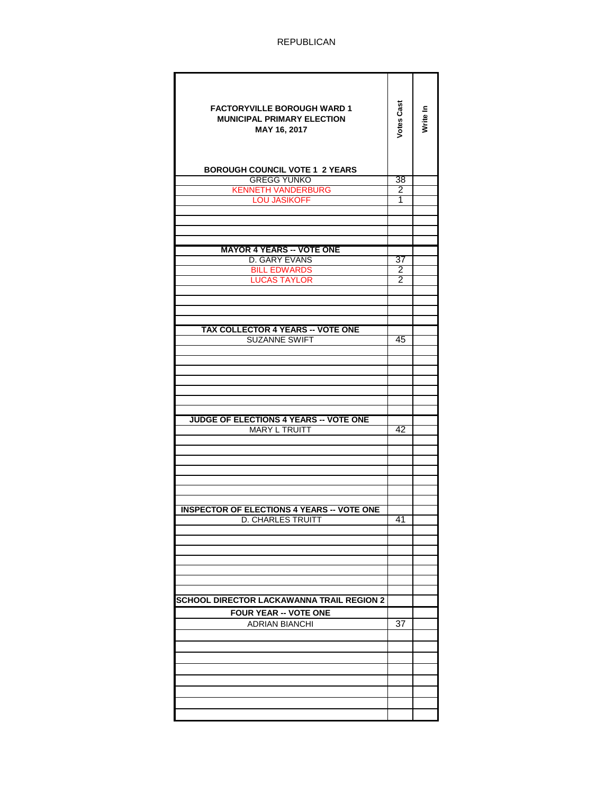| <b>FACTORYVILLE BOROUGH WARD 1</b><br><b>MUNICIPAL PRIMARY ELECTION</b><br>MAY 16, 2017<br><b>BOROUGH COUNCIL VOTE 1 2 YEARS</b> | <b>Votes Cast</b> | Write In |
|----------------------------------------------------------------------------------------------------------------------------------|-------------------|----------|
| <b>GREGG YUNKO</b>                                                                                                               | 38                |          |
| <b>KENNETH VANDERBURG</b>                                                                                                        | 2                 |          |
| <b>LOU JASIKOFF</b>                                                                                                              | 1                 |          |
|                                                                                                                                  |                   |          |
|                                                                                                                                  |                   |          |
|                                                                                                                                  |                   |          |
| <b>MAYOR 4 YEARS -- VOTE ONE</b>                                                                                                 |                   |          |
| D. GARY EVANS                                                                                                                    | 37                |          |
| <b>BILL EDWARDS</b>                                                                                                              | $\overline{2}$    |          |
| <b>LUCAS TAYLOR</b>                                                                                                              | 2                 |          |
|                                                                                                                                  |                   |          |
|                                                                                                                                  |                   |          |
|                                                                                                                                  |                   |          |
| <b>TAX COLLECTOR 4 YEARS -- VOTE ONE</b>                                                                                         |                   |          |
| <b>SUZANNE SWIFT</b>                                                                                                             | 45                |          |
|                                                                                                                                  |                   |          |
|                                                                                                                                  |                   |          |
|                                                                                                                                  |                   |          |
|                                                                                                                                  |                   |          |
|                                                                                                                                  |                   |          |
|                                                                                                                                  |                   |          |
| <b>JUDGE OF ELECTIONS 4 YEARS -- VOTE ONE</b>                                                                                    |                   |          |
| <b>MARY L TRUITT</b>                                                                                                             | 42                |          |
|                                                                                                                                  |                   |          |
|                                                                                                                                  |                   |          |
|                                                                                                                                  |                   |          |
|                                                                                                                                  |                   |          |
|                                                                                                                                  |                   |          |
|                                                                                                                                  |                   |          |
| <b>INSPECTOR OF ELECTIONS 4 YEARS -- VOTE ONE</b>                                                                                |                   |          |
| <b>D. CHARLES TRUITT</b>                                                                                                         | 41                |          |
|                                                                                                                                  |                   |          |
|                                                                                                                                  |                   |          |
|                                                                                                                                  |                   |          |
|                                                                                                                                  |                   |          |
|                                                                                                                                  |                   |          |
|                                                                                                                                  |                   |          |
| SCHOOL DIRECTOR LACKAWANNA TRAIL REGION 2                                                                                        |                   |          |
| <b>FOUR YEAR -- VOTE ONE</b>                                                                                                     |                   |          |
| <b>ADRIAN BIANCHI</b>                                                                                                            | 37                |          |
|                                                                                                                                  |                   |          |
|                                                                                                                                  |                   |          |
|                                                                                                                                  |                   |          |
|                                                                                                                                  |                   |          |
|                                                                                                                                  |                   |          |
|                                                                                                                                  |                   |          |
|                                                                                                                                  |                   |          |
|                                                                                                                                  |                   |          |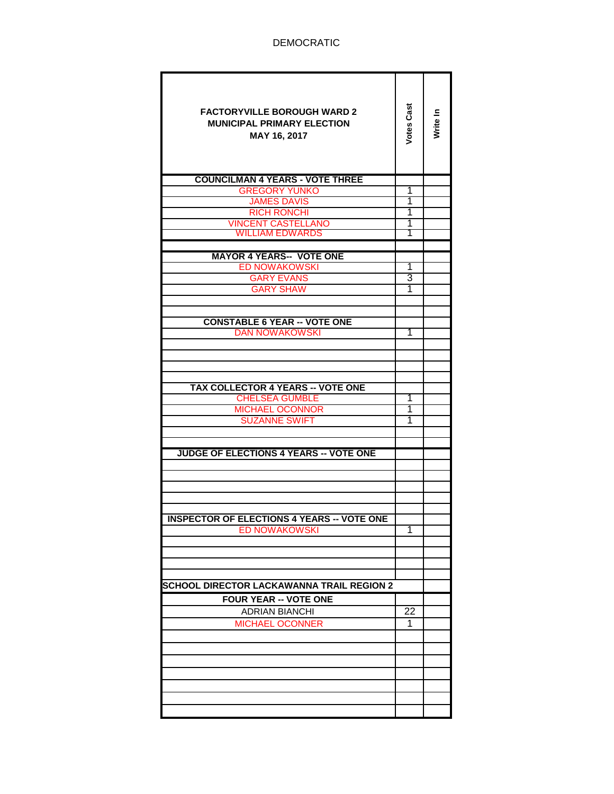| <b>FACTORYVILLE BOROUGH WARD 2</b><br><b>MUNICIPAL PRIMARY ELECTION</b><br>MAY 16, 2017 | Votes Cast | Write In |
|-----------------------------------------------------------------------------------------|------------|----------|
| <b>COUNCILMAN 4 YEARS - VOTE THREE</b>                                                  |            |          |
| <b>GREGORY YUNKO</b>                                                                    | 1          |          |
| <b>JAMES DAVIS</b>                                                                      | 1          |          |
| <b>RICH RONCHI</b>                                                                      | 1          |          |
| <b>VINCENT CASTELLANO</b>                                                               | 1          |          |
| <b>WILLIAM EDWARDS</b>                                                                  | 1          |          |
|                                                                                         |            |          |
| <b>MAYOR 4 YEARS-- VOTE ONE</b>                                                         |            |          |
| <b>ED NOWAKOWSKI</b>                                                                    | 1          |          |
| <b>GARY EVANS</b>                                                                       | 3          |          |
| <b>GARY SHAW</b>                                                                        | 1          |          |
|                                                                                         |            |          |
|                                                                                         |            |          |
| <b>CONSTABLE 6 YEAR -- VOTE ONE</b>                                                     |            |          |
| <b>DAN NOWAKOWSKI</b>                                                                   | 1          |          |
|                                                                                         |            |          |
|                                                                                         |            |          |
|                                                                                         |            |          |
| <b>TAX COLLECTOR 4 YEARS -- VOTE ONE</b>                                                |            |          |
| <b>CHELSEA GUMBLE</b>                                                                   | 1          |          |
| <b>MICHAEL OCONNOR</b>                                                                  | 1          |          |
| <b>SUZANNE SWIFT</b>                                                                    | 1          |          |
|                                                                                         |            |          |
|                                                                                         |            |          |
| <b>JUDGE OF ELECTIONS 4 YEARS -- VOTE ONE</b>                                           |            |          |
|                                                                                         |            |          |
|                                                                                         |            |          |
|                                                                                         |            |          |
|                                                                                         |            |          |
|                                                                                         |            |          |
| <b>INSPECTOR OF ELECTIONS 4 YEARS -- VOTE ONE</b>                                       |            |          |
| <b>ED NOWAKOWSKI</b>                                                                    | 1          |          |
|                                                                                         |            |          |
|                                                                                         |            |          |
|                                                                                         |            |          |
|                                                                                         |            |          |
| <b>SCHOOL DIRECTOR LACKAWANNA TRAIL REGION 2</b>                                        |            |          |
| <b>FOUR YEAR -- VOTE ONE</b>                                                            |            |          |
| <b>ADRIAN BIANCHI</b>                                                                   | 22         |          |
| <b>MICHAEL OCONNER</b>                                                                  | 1          |          |
|                                                                                         |            |          |
|                                                                                         |            |          |
|                                                                                         |            |          |
|                                                                                         |            |          |
|                                                                                         |            |          |
|                                                                                         |            |          |
|                                                                                         |            |          |
|                                                                                         |            |          |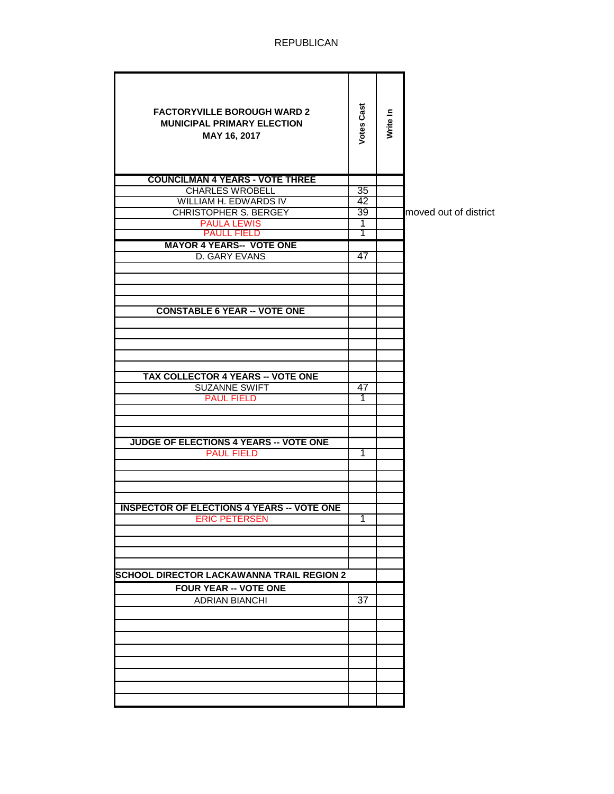| <b>FACTORYVILLE BOROUGH WARD 2</b><br><b>MUNICIPAL PRIMARY ELECTION</b><br>MAY 16, 2017 | <b>Votes Cast</b> | Write In |                       |
|-----------------------------------------------------------------------------------------|-------------------|----------|-----------------------|
| <b>COUNCILMAN 4 YEARS - VOTE THREE</b>                                                  |                   |          |                       |
| <b>CHARLES WROBELL</b>                                                                  | 35                |          |                       |
| WILLIAM H. EDWARDS IV                                                                   | 42                |          |                       |
| <b>CHRISTOPHER S. BERGEY</b>                                                            | 39                |          | moved out of district |
| <b>PAULA LEWIS</b><br><b>PAULL FIELD</b>                                                | 1<br>Τ            |          |                       |
| <b>MAYOR 4 YEARS-- VOTE ONE</b>                                                         |                   |          |                       |
| D. GARY EVANS                                                                           | 47                |          |                       |
|                                                                                         |                   |          |                       |
|                                                                                         |                   |          |                       |
|                                                                                         |                   |          |                       |
|                                                                                         |                   |          |                       |
| <b>CONSTABLE 6 YEAR -- VOTE ONE</b>                                                     |                   |          |                       |
|                                                                                         |                   |          |                       |
|                                                                                         |                   |          |                       |
|                                                                                         |                   |          |                       |
|                                                                                         |                   |          |                       |
| <b>TAX COLLECTOR 4 YEARS -- VOTE ONE</b>                                                |                   |          |                       |
| <b>SUZANNE SWIFT</b>                                                                    | 47                |          |                       |
| <b>PAUL FIELD</b>                                                                       | 1                 |          |                       |
|                                                                                         |                   |          |                       |
|                                                                                         |                   |          |                       |
|                                                                                         |                   |          |                       |
| <b>JUDGE OF ELECTIONS 4 YEARS -- VOTE ONE</b>                                           |                   |          |                       |
| <b>PAUL FIELD</b>                                                                       | 1                 |          |                       |
|                                                                                         |                   |          |                       |
|                                                                                         |                   |          |                       |
|                                                                                         |                   |          |                       |
| <b>INSPECTOR OF ELECTIONS 4 YEARS -- VOTE ONE</b>                                       |                   |          |                       |
| <b>ERIC PETERSEN</b>                                                                    | 1                 |          |                       |
|                                                                                         |                   |          |                       |
|                                                                                         |                   |          |                       |
|                                                                                         |                   |          |                       |
|                                                                                         |                   |          |                       |
| <b>SCHOOL DIRECTOR LACKAWANNA TRAIL REGION 2</b>                                        |                   |          |                       |
| <b>FOUR YEAR -- VOTE ONE</b>                                                            |                   |          |                       |
| <b>ADRIAN BIANCHI</b>                                                                   | 37                |          |                       |
|                                                                                         |                   |          |                       |
|                                                                                         |                   |          |                       |
|                                                                                         |                   |          |                       |
|                                                                                         |                   |          |                       |
|                                                                                         |                   |          |                       |
|                                                                                         |                   |          |                       |
|                                                                                         |                   |          |                       |
|                                                                                         |                   |          |                       |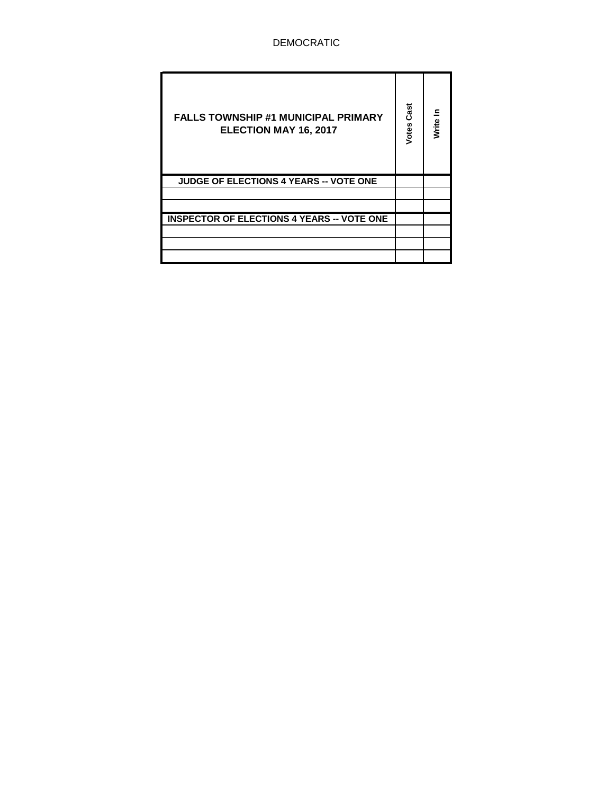| <b>FALLS TOWNSHIP #1 MUNICIPAL PRIMARY</b><br>ELECTION MAY 16, 2017 | Cast<br>Votes | Write |
|---------------------------------------------------------------------|---------------|-------|
| <b>JUDGE OF ELECTIONS 4 YEARS -- VOTE ONE</b>                       |               |       |
|                                                                     |               |       |
|                                                                     |               |       |
| <b>INSPECTOR OF ELECTIONS 4 YEARS -- VOTE ONE</b>                   |               |       |
|                                                                     |               |       |
|                                                                     |               |       |
|                                                                     |               |       |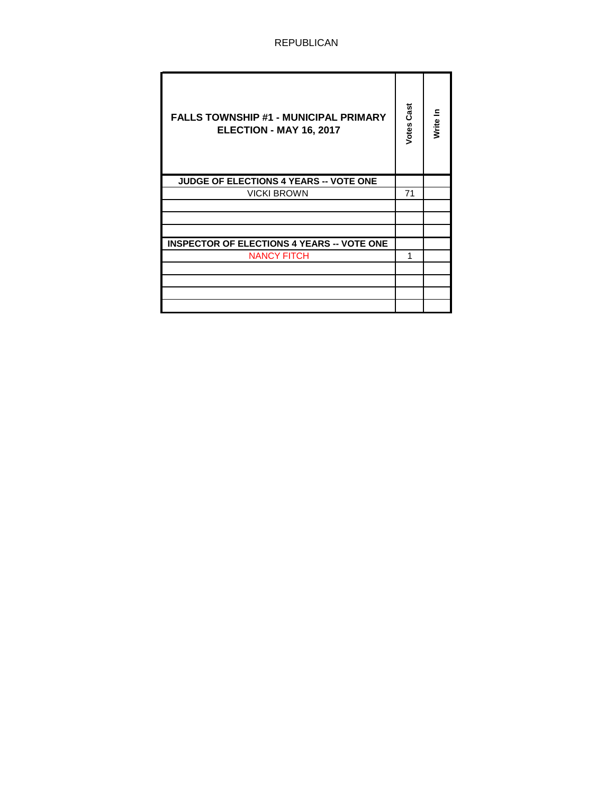| <b>FALLS TOWNSHIP #1 - MUNICIPAL PRIMARY</b><br>ELECTION - MAY 16, 2017 | Cast<br>Votes | Write In |
|-------------------------------------------------------------------------|---------------|----------|
| <b>JUDGE OF ELECTIONS 4 YEARS -- VOTE ONE</b>                           |               |          |
| <b>VICKI BROWN</b>                                                      | 71            |          |
|                                                                         |               |          |
|                                                                         |               |          |
|                                                                         |               |          |
| <b>INSPECTOR OF ELECTIONS 4 YEARS -- VOTE ONE</b>                       |               |          |
| <b>NANCY FITCH</b>                                                      | 1             |          |
|                                                                         |               |          |
|                                                                         |               |          |
|                                                                         |               |          |
|                                                                         |               |          |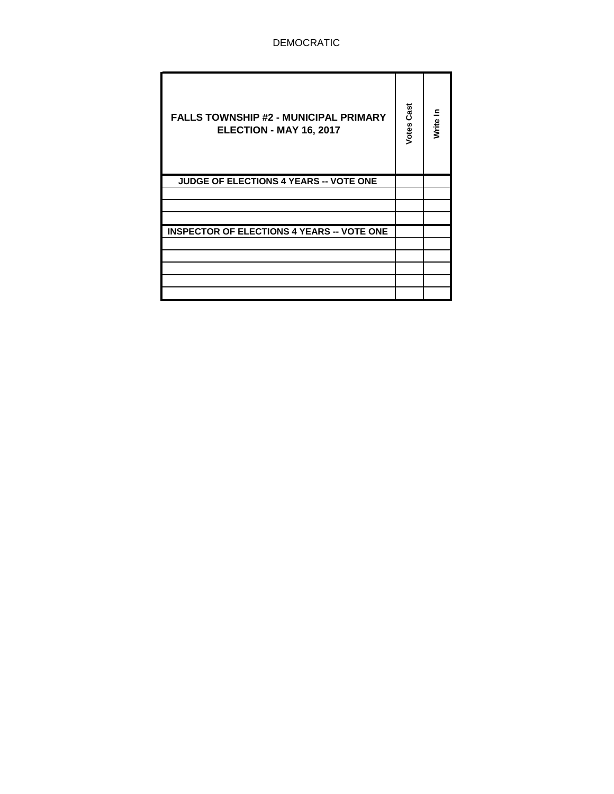| <b>FALLS TOWNSHIP #2 - MUNICIPAL PRIMARY</b><br>ELECTION - MAY 16, 2017 | Cast<br>Votes | Write In |
|-------------------------------------------------------------------------|---------------|----------|
| <b>JUDGE OF ELECTIONS 4 YEARS -- VOTE ONE</b>                           |               |          |
|                                                                         |               |          |
|                                                                         |               |          |
|                                                                         |               |          |
| <b>INSPECTOR OF ELECTIONS 4 YEARS -- VOTE ONE</b>                       |               |          |
|                                                                         |               |          |
|                                                                         |               |          |
|                                                                         |               |          |
|                                                                         |               |          |
|                                                                         |               |          |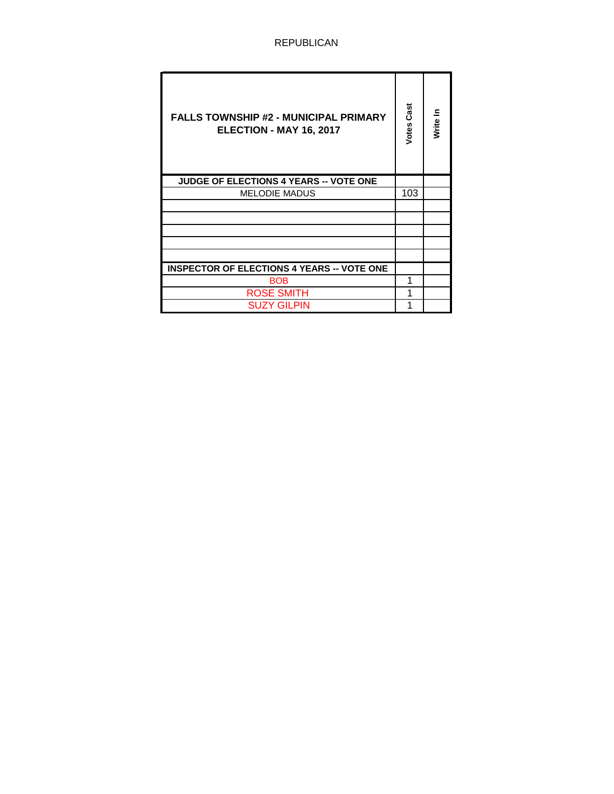| <b>FALLS TOWNSHIP #2 - MUNICIPAL PRIMARY</b><br>ELECTION - MAY 16, 2017 | Cast<br>Votes | Write In |
|-------------------------------------------------------------------------|---------------|----------|
| <b>JUDGE OF ELECTIONS 4 YEARS -- VOTE ONE</b>                           |               |          |
| <b>MELODIE MADUS</b>                                                    | 103           |          |
|                                                                         |               |          |
|                                                                         |               |          |
|                                                                         |               |          |
|                                                                         |               |          |
|                                                                         |               |          |
| <b>INSPECTOR OF ELECTIONS 4 YEARS -- VOTE ONE</b>                       |               |          |
| <b>BOB</b>                                                              |               |          |
| <b>ROSE SMITH</b>                                                       |               |          |
| SUZY GILPIN                                                             |               |          |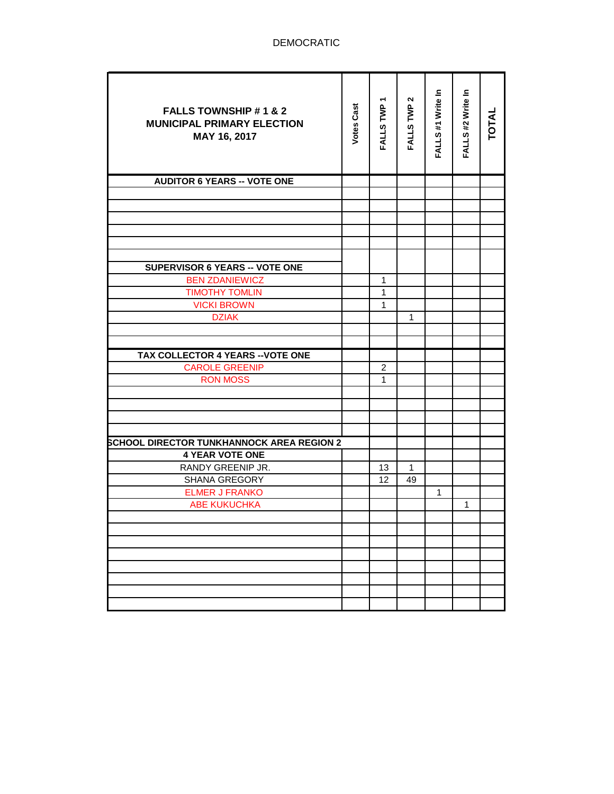| <b>FALLS TOWNSHIP #1 &amp; 2</b><br><b>MUNICIPAL PRIMARY ELECTION</b><br>MAY 16, 2017 | <b>Votes Cast</b> | FALLS TWP 1             | $\mathbf{\Omega}$<br>FALLS TWP | FALLS #1 Write In | FALLS #2 Write In | <b>TOTAL</b> |
|---------------------------------------------------------------------------------------|-------------------|-------------------------|--------------------------------|-------------------|-------------------|--------------|
| <b>AUDITOR 6 YEARS -- VOTE ONE</b>                                                    |                   |                         |                                |                   |                   |              |
|                                                                                       |                   |                         |                                |                   |                   |              |
|                                                                                       |                   |                         |                                |                   |                   |              |
|                                                                                       |                   |                         |                                |                   |                   |              |
|                                                                                       |                   |                         |                                |                   |                   |              |
|                                                                                       |                   |                         |                                |                   |                   |              |
|                                                                                       |                   |                         |                                |                   |                   |              |
| SUPERVISOR 6 YEARS -- VOTE ONE                                                        |                   |                         |                                |                   |                   |              |
| <b>BEN ZDANIEWICZ</b>                                                                 |                   | $\mathbf{1}$            |                                |                   |                   |              |
| <b>TIMOTHY TOMLIN</b>                                                                 |                   | $\mathbf{1}$            |                                |                   |                   |              |
| <b>VICKI BROWN</b>                                                                    |                   | $\mathbf{1}$            |                                |                   |                   |              |
| <b>DZIAK</b>                                                                          |                   |                         | 1                              |                   |                   |              |
|                                                                                       |                   |                         |                                |                   |                   |              |
|                                                                                       |                   |                         |                                |                   |                   |              |
| TAX COLLECTOR 4 YEARS -- VOTE ONE                                                     |                   |                         |                                |                   |                   |              |
| <b>CAROLE GREENIP</b>                                                                 |                   | $\overline{\mathbf{c}}$ |                                |                   |                   |              |
| <b>RON MOSS</b>                                                                       |                   | 1                       |                                |                   |                   |              |
|                                                                                       |                   |                         |                                |                   |                   |              |
|                                                                                       |                   |                         |                                |                   |                   |              |
|                                                                                       |                   |                         |                                |                   |                   |              |
|                                                                                       |                   |                         |                                |                   |                   |              |
| <b>SCHOOL DIRECTOR TUNKHANNOCK AREA REGION 2</b>                                      |                   |                         |                                |                   |                   |              |
| <b>4 YEAR VOTE ONE</b>                                                                |                   |                         |                                |                   |                   |              |
| RANDY GREENIP JR.                                                                     |                   | 13                      | $\mathbf{1}$                   |                   |                   |              |
| SHANA GREGORY                                                                         |                   | 12                      | 49                             |                   |                   |              |
| <b>ELMER J FRANKO</b>                                                                 |                   |                         |                                | 1                 |                   |              |
| <b>ABE KUKUCHKA</b>                                                                   |                   |                         |                                |                   | $\mathbf{1}$      |              |
|                                                                                       |                   |                         |                                |                   |                   |              |
|                                                                                       |                   |                         |                                |                   |                   |              |
|                                                                                       |                   |                         |                                |                   |                   |              |
|                                                                                       |                   |                         |                                |                   |                   |              |
|                                                                                       |                   |                         |                                |                   |                   |              |
|                                                                                       |                   |                         |                                |                   |                   |              |
|                                                                                       |                   |                         |                                |                   |                   |              |
|                                                                                       |                   |                         |                                |                   |                   |              |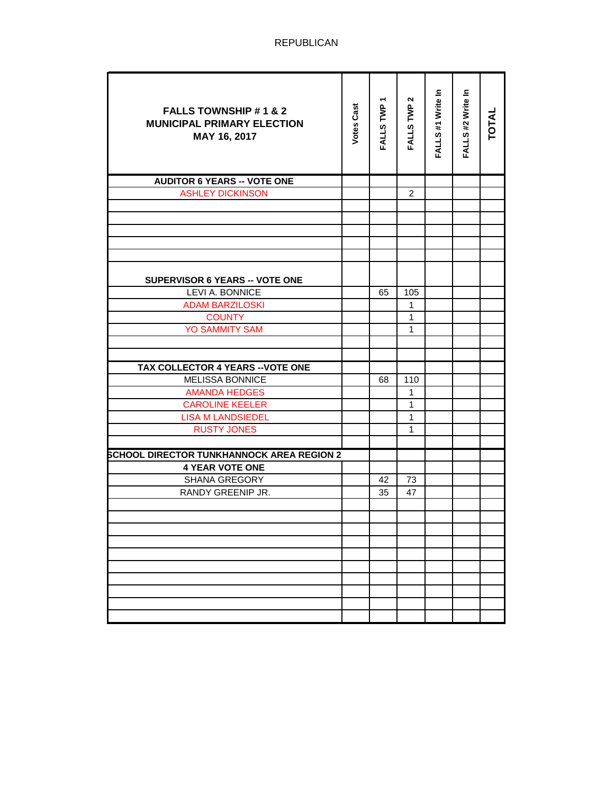| <b>FALLS TOWNSHIP #1 &amp; 2</b><br><b>MUNICIPAL PRIMARY ELECTION</b><br>MAY 16, 2017 | <b>Votes Cast</b> | FALLS TWP 1 | N<br>FALLS TWP | FALLS #1 Write In | FALLS #2 Write In | <b>TOTAL</b> |
|---------------------------------------------------------------------------------------|-------------------|-------------|----------------|-------------------|-------------------|--------------|
| <b>AUDITOR 6 YEARS -- VOTE ONE</b>                                                    |                   |             |                |                   |                   |              |
| <b>ASHLEY DICKINSON</b>                                                               |                   |             | $\overline{2}$ |                   |                   |              |
|                                                                                       |                   |             |                |                   |                   |              |
|                                                                                       |                   |             |                |                   |                   |              |
|                                                                                       |                   |             |                |                   |                   |              |
|                                                                                       |                   |             |                |                   |                   |              |
|                                                                                       |                   |             |                |                   |                   |              |
| SUPERVISOR 6 YEARS -- VOTE ONE                                                        |                   |             |                |                   |                   |              |
| LEVI A. BONNICE                                                                       |                   | 65          | 105            |                   |                   |              |
| <b>ADAM BARZILOSKI</b>                                                                |                   |             | $\mathbf{1}$   |                   |                   |              |
| <b>COUNTY</b>                                                                         |                   |             | $\mathbf{1}$   |                   |                   |              |
| <b>YO SAMMITY SAM</b>                                                                 |                   |             | $\mathbf{1}$   |                   |                   |              |
|                                                                                       |                   |             |                |                   |                   |              |
|                                                                                       |                   |             |                |                   |                   |              |
| <b>TAX COLLECTOR 4 YEARS -- VOTE ONE</b>                                              |                   |             |                |                   |                   |              |
| <b>MELISSA BONNICE</b>                                                                |                   | 68          | 110            |                   |                   |              |
| <b>AMANDA HEDGES</b>                                                                  |                   |             | 1              |                   |                   |              |
| <b>CAROLINE KEELER</b>                                                                |                   |             | $\mathbf{1}$   |                   |                   |              |
| <b>LISA M LANDSIEDEL</b>                                                              |                   |             | $\mathbf{1}$   |                   |                   |              |
| <b>RUSTY JONES</b>                                                                    |                   |             | $\mathbf{1}$   |                   |                   |              |
|                                                                                       |                   |             |                |                   |                   |              |
| <b>SCHOOL DIRECTOR TUNKHANNOCK AREA REGION 2</b>                                      |                   |             |                |                   |                   |              |
| <b>4 YEAR VOTE ONE</b>                                                                |                   |             |                |                   |                   |              |
| SHANA GREGORY                                                                         |                   | 42          | 73             |                   |                   |              |
| RANDY GREENIP JR.                                                                     |                   | 35          | 47             |                   |                   |              |
|                                                                                       |                   |             |                |                   |                   |              |
|                                                                                       |                   |             |                |                   |                   |              |
|                                                                                       |                   |             |                |                   |                   |              |
|                                                                                       |                   |             |                |                   |                   |              |
|                                                                                       |                   |             |                |                   |                   |              |
|                                                                                       |                   |             |                |                   |                   |              |
|                                                                                       |                   |             |                |                   |                   |              |
|                                                                                       |                   |             |                |                   |                   |              |
|                                                                                       |                   |             |                |                   |                   |              |
|                                                                                       |                   |             |                |                   |                   |              |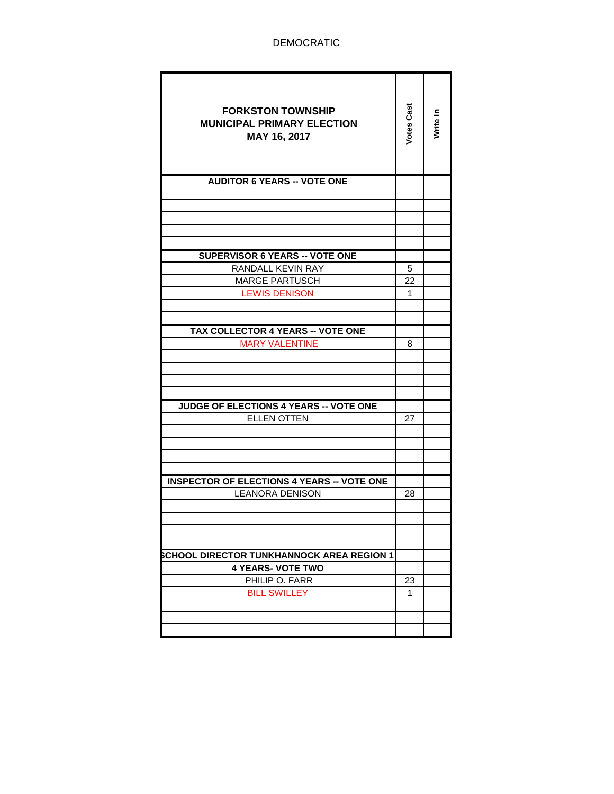| <b>FORKSTON TOWNSHIP</b><br><b>MUNICIPAL PRIMARY ELECTION</b><br>MAY 16, 2017 | Votes Cast | Write In |
|-------------------------------------------------------------------------------|------------|----------|
| <b>AUDITOR 6 YEARS -- VOTE ONE</b>                                            |            |          |
|                                                                               |            |          |
|                                                                               |            |          |
|                                                                               |            |          |
|                                                                               |            |          |
|                                                                               |            |          |
| <b>SUPERVISOR 6 YEARS -- VOTE ONE</b>                                         |            |          |
| RANDALL KEVIN RAY                                                             | 5          |          |
| <b>MARGE PARTUSCH</b>                                                         | 22         |          |
| <b>LEWIS DENISON</b>                                                          | 1          |          |
|                                                                               |            |          |
|                                                                               |            |          |
| TAX COLLECTOR 4 YEARS -- VOTE ONE                                             |            |          |
| <b>MARY VALENTINE</b>                                                         | 8          |          |
|                                                                               |            |          |
|                                                                               |            |          |
|                                                                               |            |          |
|                                                                               |            |          |
| <b>JUDGE OF ELECTIONS 4 YEARS -- VOTE ONE</b>                                 |            |          |
| <b>ELLEN OTTEN</b>                                                            | 27         |          |
|                                                                               |            |          |
|                                                                               |            |          |
|                                                                               |            |          |
| <b>INSPECTOR OF ELECTIONS 4 YEARS -- VOTE ONE</b>                             |            |          |
| <b>LEANORA DENISON</b>                                                        | 28         |          |
|                                                                               |            |          |
|                                                                               |            |          |
|                                                                               |            |          |
|                                                                               |            |          |
| CHOOL DIRECTOR TUNKHANNOCK AREA REGION 1                                      |            |          |
| <b>4 YEARS- VOTE TWO</b>                                                      |            |          |
| PHILIP O. FARR                                                                | 23         |          |
| <b>BILL SWILLEY</b>                                                           | 1          |          |
|                                                                               |            |          |
|                                                                               |            |          |
|                                                                               |            |          |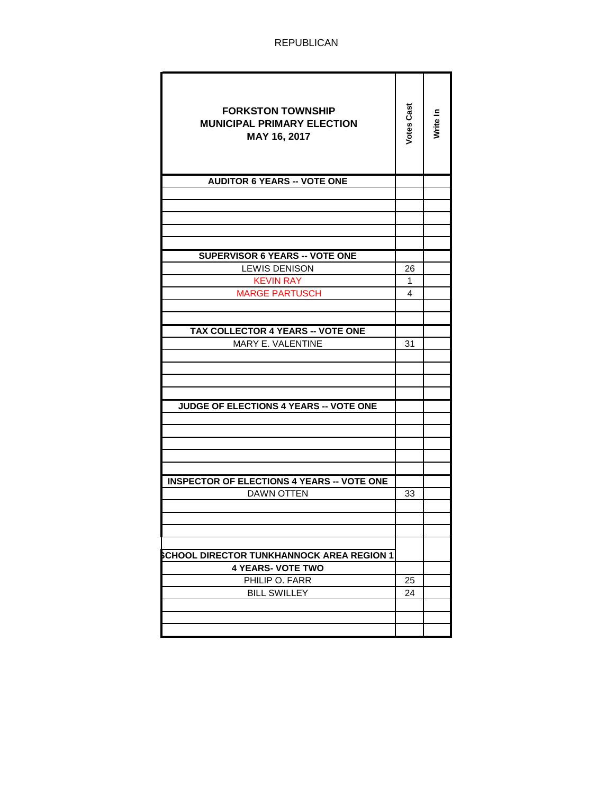| <b>FORKSTON TOWNSHIP</b><br><b>MUNICIPAL PRIMARY ELECTION</b><br>MAY 16, 2017 | <b>Votes Cast</b> | Write In |
|-------------------------------------------------------------------------------|-------------------|----------|
| <b>AUDITOR 6 YEARS -- VOTE ONE</b>                                            |                   |          |
|                                                                               |                   |          |
|                                                                               |                   |          |
|                                                                               |                   |          |
|                                                                               |                   |          |
|                                                                               |                   |          |
| <b>SUPERVISOR 6 YEARS -- VOTE ONE</b>                                         |                   |          |
| LEWIS DENISON                                                                 | 26                |          |
| KEVIN RAY                                                                     | 1                 |          |
| <b>MARGE PARTUSCH</b>                                                         | 4                 |          |
|                                                                               |                   |          |
|                                                                               |                   |          |
| <b>TAX COLLECTOR 4 YEARS -- VOTE ONE</b>                                      |                   |          |
| MARY E. VALENTINE                                                             | 31                |          |
|                                                                               |                   |          |
|                                                                               |                   |          |
|                                                                               |                   |          |
| JUDGE OF ELECTIONS 4 YEARS -- VOTE ONE                                        |                   |          |
|                                                                               |                   |          |
|                                                                               |                   |          |
|                                                                               |                   |          |
|                                                                               |                   |          |
|                                                                               |                   |          |
| <b>INSPECTOR OF ELECTIONS 4 YEARS -- VOTE ONE</b>                             |                   |          |
| <b>DAWN OTTEN</b>                                                             | 33                |          |
|                                                                               |                   |          |
|                                                                               |                   |          |
|                                                                               |                   |          |
|                                                                               |                   |          |
| CHOOL DIRECTOR TUNKHANNOCK AREA REGION 1                                      |                   |          |
| <b>4 YEARS- VOTE TWO</b>                                                      |                   |          |
| PHILIP O. FARR                                                                | 25                |          |
| <b>BILL SWILLEY</b>                                                           | 24                |          |
|                                                                               |                   |          |
|                                                                               |                   |          |
|                                                                               |                   |          |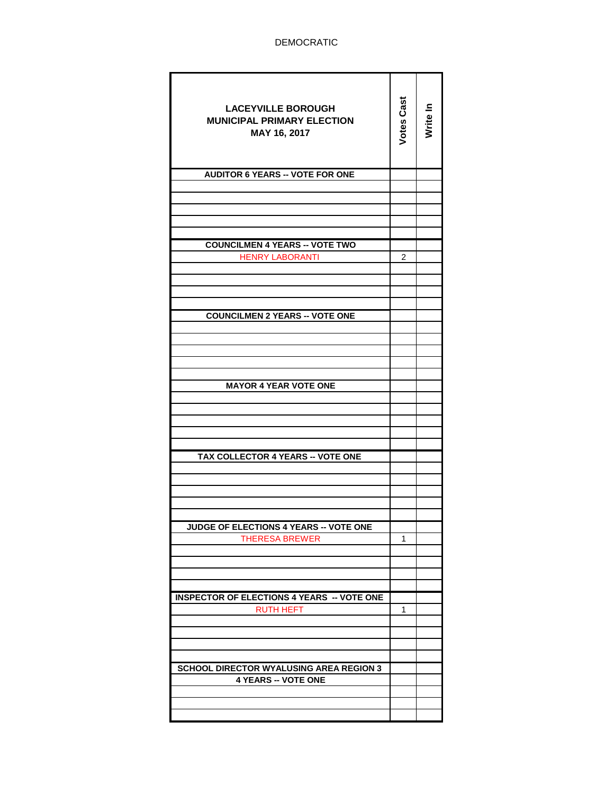| <b>LACEYVILLE BOROUGH</b><br><b>MUNICIPAL PRIMARY ELECTION</b><br>MAY 16, 2017 | <b>Votes Cast</b> | Write In |
|--------------------------------------------------------------------------------|-------------------|----------|
| <b>AUDITOR 6 YEARS -- VOTE FOR ONE</b>                                         |                   |          |
|                                                                                |                   |          |
|                                                                                |                   |          |
|                                                                                |                   |          |
|                                                                                |                   |          |
| <b>COUNCILMEN 4 YEARS -- VOTE TWO</b>                                          |                   |          |
| <b>HENRY LABORANTI</b>                                                         | $\overline{2}$    |          |
|                                                                                |                   |          |
|                                                                                |                   |          |
|                                                                                |                   |          |
| <b>COUNCILMEN 2 YEARS -- VOTE ONE</b>                                          |                   |          |
|                                                                                |                   |          |
|                                                                                |                   |          |
|                                                                                |                   |          |
|                                                                                |                   |          |
| <b>MAYOR 4 YEAR VOTE ONE</b>                                                   |                   |          |
|                                                                                |                   |          |
|                                                                                |                   |          |
|                                                                                |                   |          |
|                                                                                |                   |          |
| TAX COLLECTOR 4 YEARS -- VOTE ONE                                              |                   |          |
|                                                                                |                   |          |
|                                                                                |                   |          |
|                                                                                |                   |          |
|                                                                                |                   |          |
| JUDGE OF ELECTIONS 4 YEARS -- VOTE ONE                                         |                   |          |
| <b>THERESA BREWER</b>                                                          | 1                 |          |
|                                                                                |                   |          |
|                                                                                |                   |          |
|                                                                                |                   |          |
| <b>INSPECTOR OF ELECTIONS 4 YEARS -- VOTE ONE</b>                              |                   |          |
| <b>RUTH HEFT</b>                                                               | 1                 |          |
|                                                                                |                   |          |
|                                                                                |                   |          |
|                                                                                |                   |          |
| <b>SCHOOL DIRECTOR WYALUSING AREA REGION 3</b>                                 |                   |          |
| <b>4 YEARS -- VOTE ONE</b>                                                     |                   |          |
|                                                                                |                   |          |
|                                                                                |                   |          |
|                                                                                |                   |          |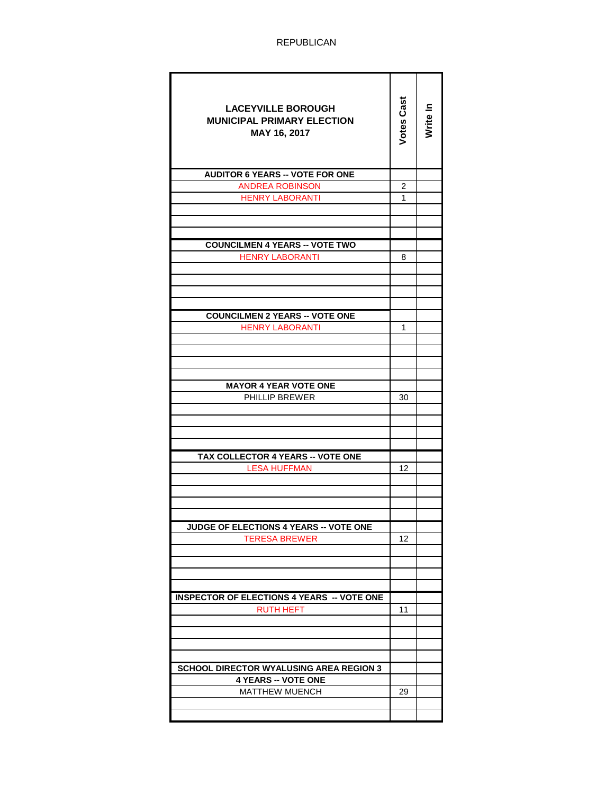| <b>LACEYVILLE BOROUGH</b><br><b>MUNICIPAL PRIMARY ELECTION</b><br>MAY 16, 2017 | Votes Cast | Nrite In |
|--------------------------------------------------------------------------------|------------|----------|
| <b>AUDITOR 6 YEARS -- VOTE FOR ONE</b>                                         |            |          |
| <b>ANDREA ROBINSON</b>                                                         | 2          |          |
| <b>HENRY LABORANTI</b>                                                         | 1          |          |
|                                                                                |            |          |
|                                                                                |            |          |
| <b>COUNCILMEN 4 YEARS -- VOTE TWO</b>                                          |            |          |
| <b>HENRY LABORANTI</b>                                                         | 8          |          |
|                                                                                |            |          |
|                                                                                |            |          |
|                                                                                |            |          |
|                                                                                |            |          |
| <b>COUNCILMEN 2 YEARS -- VOTE ONE</b>                                          |            |          |
| <b>HENRY LABORANTI</b>                                                         | 1          |          |
|                                                                                |            |          |
|                                                                                |            |          |
|                                                                                |            |          |
| <b>MAYOR 4 YEAR VOTE ONE</b>                                                   |            |          |
| PHILLIP BREWER                                                                 | 30         |          |
|                                                                                |            |          |
|                                                                                |            |          |
|                                                                                |            |          |
|                                                                                |            |          |
| TAX COLLECTOR 4 YEARS -- VOTE ONE                                              | 12         |          |
| <b>LESA HUFFMAN</b>                                                            |            |          |
|                                                                                |            |          |
|                                                                                |            |          |
|                                                                                |            |          |
| <b>JUDGE OF ELECTIONS 4 YEARS -- VOTE ONE</b>                                  |            |          |
| <b>TERESA BREWER</b>                                                           | 12         |          |
|                                                                                |            |          |
|                                                                                |            |          |
|                                                                                |            |          |
| <b>INSPECTOR OF ELECTIONS 4 YEARS -- VOTE ONE</b>                              |            |          |
| <b>RUTH HEFT</b>                                                               | 11         |          |
|                                                                                |            |          |
|                                                                                |            |          |
|                                                                                |            |          |
|                                                                                |            |          |
| <b>SCHOOL DIRECTOR WYALUSING AREA REGION 3</b>                                 |            |          |
| <b>4 YEARS -- VOTE ONE</b>                                                     |            |          |
| MATTHEW MUENCH                                                                 | 29         |          |
|                                                                                |            |          |
|                                                                                |            |          |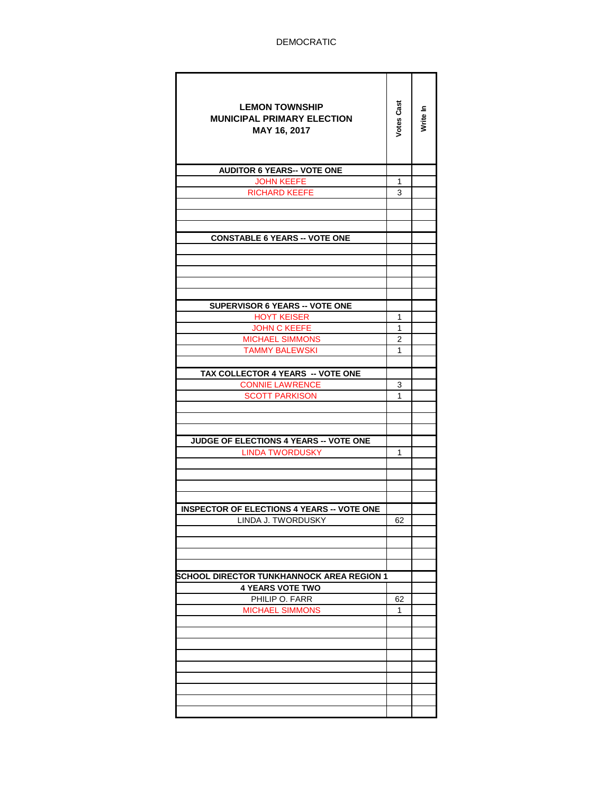| <b>LEMON TOWNSHIP</b><br><b>MUNICIPAL PRIMARY ELECTION</b><br>MAY 16, 2017 | <b>Votes Cast</b> | Write In |
|----------------------------------------------------------------------------|-------------------|----------|
| <b>AUDITOR 6 YEARS-- VOTE ONE</b>                                          |                   |          |
| <b>JOHN KEEFE</b>                                                          | 1                 |          |
| <b>RICHARD KEEFE</b>                                                       | 3                 |          |
|                                                                            |                   |          |
|                                                                            |                   |          |
| <b>CONSTABLE 6 YEARS -- VOTE ONE</b>                                       |                   |          |
|                                                                            |                   |          |
|                                                                            |                   |          |
|                                                                            |                   |          |
|                                                                            |                   |          |
|                                                                            |                   |          |
| <b>SUPERVISOR 6 YEARS -- VOTE ONE</b>                                      |                   |          |
| <b>HOYT KEISER</b>                                                         | 1                 |          |
| <b>JOHN C KEEFE</b>                                                        | 1                 |          |
| <b>MICHAEL SIMMONS</b>                                                     | 2                 |          |
| <b>TAMMY BALEWSKI</b>                                                      | 1                 |          |
|                                                                            |                   |          |
| TAX COLLECTOR 4 YEARS -- VOTE ONE                                          |                   |          |
| <b>CONNIE LAWRENCE</b>                                                     | 3<br>1            |          |
| <b>SCOTT PARKISON</b>                                                      |                   |          |
|                                                                            |                   |          |
|                                                                            |                   |          |
| JUDGE OF ELECTIONS 4 YEARS -- VOTE ONE                                     |                   |          |
| <b>LINDA TWORDUSKY</b>                                                     | 1                 |          |
|                                                                            |                   |          |
|                                                                            |                   |          |
|                                                                            |                   |          |
|                                                                            |                   |          |
| <b>INSPECTOR OF ELECTIONS 4 YEARS -- VOTE ONE</b>                          |                   |          |
| LINDA J. TWORDUSKY                                                         | 62                |          |
|                                                                            |                   |          |
|                                                                            |                   |          |
|                                                                            |                   |          |
| SCHOOL DIRECTOR TUNKHANNOCK AREA REGION 1                                  |                   |          |
| <b>4 YEARS VOTE TWO</b>                                                    |                   |          |
| PHILIP O. FARR                                                             | 62                |          |
| <b>MICHAEL SIMMONS</b>                                                     | 1                 |          |
|                                                                            |                   |          |
|                                                                            |                   |          |
|                                                                            |                   |          |
|                                                                            |                   |          |
|                                                                            |                   |          |
|                                                                            |                   |          |
|                                                                            |                   |          |
|                                                                            |                   |          |
|                                                                            |                   |          |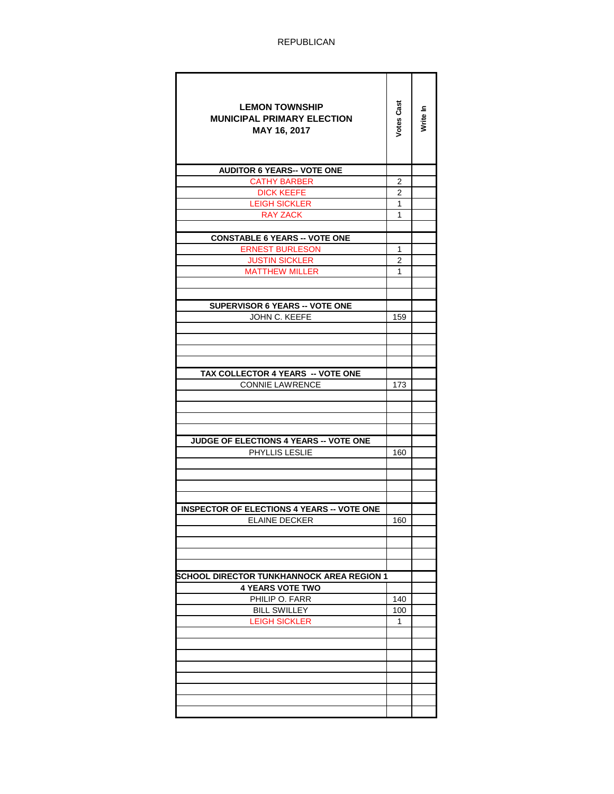| <b>LEMON TOWNSHIP</b><br><b>MUNICIPAL PRIMARY ELECTION</b><br>MAY 16, 2017 | <b>Votes Cast</b> | Write In |
|----------------------------------------------------------------------------|-------------------|----------|
| <b>AUDITOR 6 YEARS-- VOTE ONE</b>                                          |                   |          |
| <b>CATHY BARBER</b>                                                        | 2                 |          |
| <b>DICK KEEFE</b>                                                          | 2                 |          |
| <b>LEIGH SICKLER</b>                                                       | 1<br>1            |          |
| <b>RAY ZACK</b>                                                            |                   |          |
| <b>CONSTABLE 6 YEARS -- VOTE ONE</b>                                       |                   |          |
| <b>ERNEST BURLESON</b>                                                     | 1                 |          |
| <b>JUSTIN SICKLER</b>                                                      | 2                 |          |
| <b>MATTHEW MILLER</b>                                                      | 1                 |          |
|                                                                            |                   |          |
|                                                                            |                   |          |
| SUPERVISOR 6 YEARS -- VOTE ONE                                             |                   |          |
| JOHN C. KEEFE                                                              | 159               |          |
|                                                                            |                   |          |
|                                                                            |                   |          |
|                                                                            |                   |          |
| TAX COLLECTOR 4 YEARS -- VOTE ONE                                          |                   |          |
| <b>CONNIE LAWRENCE</b>                                                     | 173               |          |
|                                                                            |                   |          |
|                                                                            |                   |          |
|                                                                            |                   |          |
| JUDGE OF ELECTIONS 4 YEARS -- VOTE ONE                                     |                   |          |
| PHYLLIS LESLIE                                                             | 160               |          |
|                                                                            |                   |          |
|                                                                            |                   |          |
|                                                                            |                   |          |
|                                                                            |                   |          |
| <b>INSPECTOR OF ELECTIONS 4 YEARS -- VOTE ONE</b>                          |                   |          |
| <b>ELAINE DECKER</b>                                                       | 160               |          |
|                                                                            |                   |          |
|                                                                            |                   |          |
|                                                                            |                   |          |
| SCHOOL DIRECTOR TUNKHANNOCK AREA REGION 1                                  |                   |          |
| <b>4 YEARS VOTE TWO</b>                                                    |                   |          |
| PHILIP O. FARR                                                             | 140               |          |
| <b>BILL SWILLEY</b>                                                        | 100               |          |
| LEIGH SICKLER                                                              | 1                 |          |
|                                                                            |                   |          |
|                                                                            |                   |          |
|                                                                            |                   |          |
|                                                                            |                   |          |
|                                                                            |                   |          |
|                                                                            |                   |          |
|                                                                            |                   |          |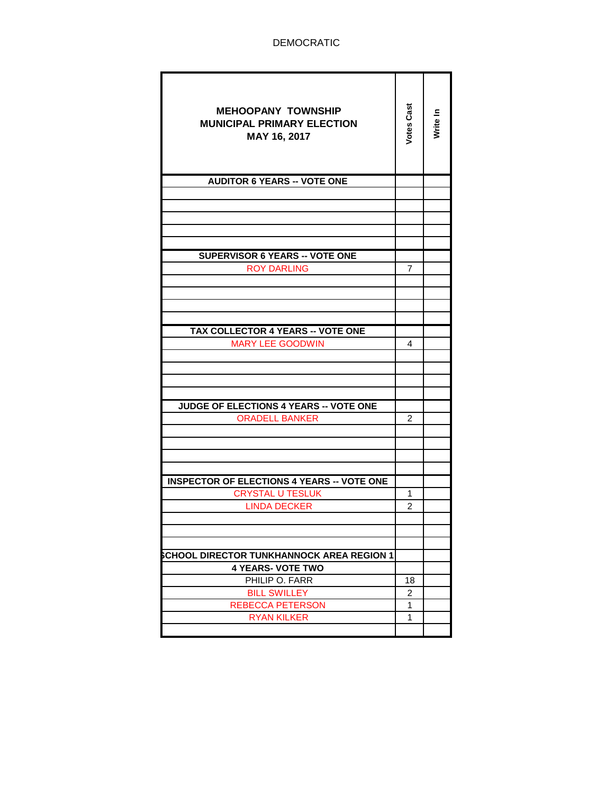| <b>MEHOOPANY TOWNSHIP</b><br><b>MUNICIPAL PRIMARY ELECTION</b><br>MAY 16, 2017 | <b>Votes Cast</b>   | Write In |
|--------------------------------------------------------------------------------|---------------------|----------|
| <b>AUDITOR 6 YEARS -- VOTE ONE</b>                                             |                     |          |
|                                                                                |                     |          |
|                                                                                |                     |          |
|                                                                                |                     |          |
|                                                                                |                     |          |
|                                                                                |                     |          |
| <b>SUPERVISOR 6 YEARS -- VOTE ONE</b>                                          |                     |          |
| <b>ROY DARLING</b>                                                             | 7                   |          |
|                                                                                |                     |          |
|                                                                                |                     |          |
|                                                                                |                     |          |
| TAX COLLECTOR 4 YEARS -- VOTE ONE                                              |                     |          |
| <b>MARY LEE GOODWIN</b>                                                        | 4                   |          |
|                                                                                |                     |          |
|                                                                                |                     |          |
|                                                                                |                     |          |
|                                                                                |                     |          |
| <b>JUDGE OF ELECTIONS 4 YEARS -- VOTE ONE</b>                                  |                     |          |
| <b>ORADELL BANKER</b>                                                          | 2                   |          |
|                                                                                |                     |          |
|                                                                                |                     |          |
|                                                                                |                     |          |
|                                                                                |                     |          |
| <b>INSPECTOR OF ELECTIONS 4 YEARS -- VOTE ONE</b>                              |                     |          |
| <b>CRYSTAL U TESLUK</b><br><b>LINDA DECKER</b>                                 | 1<br>$\overline{c}$ |          |
|                                                                                |                     |          |
|                                                                                |                     |          |
|                                                                                |                     |          |
| <b>SCHOOL DIRECTOR TUNKHANNOCK AREA REGION 1</b>                               |                     |          |
| <b>4 YEARS- VOTE TWO</b>                                                       |                     |          |
| PHILIP O. FARR                                                                 | 18                  |          |
| <b>BILL SWILLEY</b>                                                            | 2                   |          |
| <b>REBECCA PETERSON</b>                                                        | $\mathbf{1}$        |          |
| <b>RYAN KILKER</b>                                                             | $\mathbf{1}$        |          |
|                                                                                |                     |          |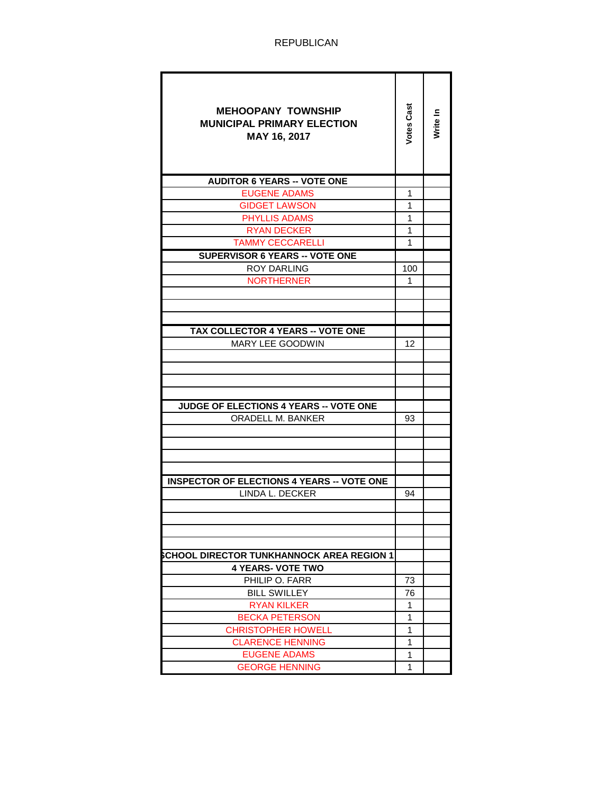| <b>MEHOOPANY TOWNSHIP</b><br><b>MUNICIPAL PRIMARY ELECTION</b><br>MAY 16, 2017 | Votes Cast   | Write In |
|--------------------------------------------------------------------------------|--------------|----------|
| <b>AUDITOR 6 YEARS -- VOTE ONE</b>                                             |              |          |
| <b>EUGENE ADAMS</b>                                                            | 1            |          |
| <b>GIDGET LAWSON</b>                                                           | 1            |          |
| <b>PHYLLIS ADAMS</b>                                                           | 1            |          |
| <b>RYAN DECKER</b>                                                             | 1            |          |
| <b>TAMMY CECCARELLI</b>                                                        | 1            |          |
| <b>SUPERVISOR 6 YEARS -- VOTE ONE</b>                                          |              |          |
| <b>ROY DARLING</b>                                                             | 100          |          |
| <b>NORTHERNER</b>                                                              | 1            |          |
|                                                                                |              |          |
|                                                                                |              |          |
|                                                                                |              |          |
| <b>TAX COLLECTOR 4 YEARS -- VOTE ONE</b>                                       |              |          |
| <b>MARY LEE GOODWIN</b>                                                        | 12           |          |
|                                                                                |              |          |
|                                                                                |              |          |
|                                                                                |              |          |
|                                                                                |              |          |
| <b>JUDGE OF ELECTIONS 4 YEARS -- VOTE ONE</b>                                  |              |          |
| ORADELL M. BANKER                                                              | 93           |          |
|                                                                                |              |          |
|                                                                                |              |          |
|                                                                                |              |          |
|                                                                                |              |          |
| <b>INSPECTOR OF ELECTIONS 4 YEARS -- VOTE ONE</b>                              |              |          |
| LINDA L. DECKER                                                                | 94           |          |
|                                                                                |              |          |
|                                                                                |              |          |
|                                                                                |              |          |
|                                                                                |              |          |
| SCHOOL DIRECTOR TUNKHANNOCK AREA REGION 1                                      |              |          |
| <b>4 YEARS- VOTE TWO</b>                                                       |              |          |
| PHILIP O. FARR                                                                 | 73           |          |
| <b>BILL SWILLEY</b>                                                            | 76           |          |
| <b>RYAN KILKER</b>                                                             | 1            |          |
| <b>BECKA PETERSON</b>                                                          | $\mathbf{1}$ |          |
| <b>CHRISTOPHER HOWELL</b>                                                      | 1            |          |
| <b>CLARENCE HENNING</b>                                                        | 1            |          |
| <b>EUGENE ADAMS</b>                                                            | 1            |          |
| <b>GEORGE HENNING</b>                                                          | 1            |          |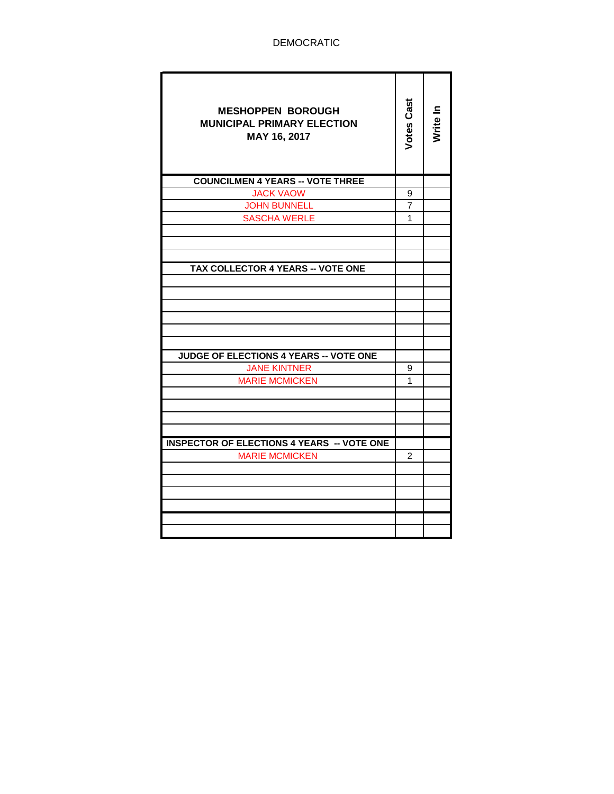| <b>MESHOPPEN BOROUGH</b><br><b>MUNICIPAL PRIMARY ELECTION</b><br>MAY 16, 2017 | <b>Votes Cast</b> | Write In |
|-------------------------------------------------------------------------------|-------------------|----------|
| <b>COUNCILMEN 4 YEARS -- VOTE THREE</b>                                       |                   |          |
| <b>JACK VAOW</b>                                                              | 9                 |          |
| <b>JOHN BUNNELL</b>                                                           | $\overline{7}$    |          |
| <b>SASCHA WERLE</b>                                                           | 1                 |          |
|                                                                               |                   |          |
|                                                                               |                   |          |
|                                                                               |                   |          |
| TAX COLLECTOR 4 YEARS -- VOTE ONE                                             |                   |          |
|                                                                               |                   |          |
|                                                                               |                   |          |
|                                                                               |                   |          |
|                                                                               |                   |          |
|                                                                               |                   |          |
|                                                                               |                   |          |
| JUDGE OF ELECTIONS 4 YEARS -- VOTE ONE                                        |                   |          |
| <b>JANE KINTNER</b>                                                           | 9                 |          |
| <b>MARIE MCMICKEN</b>                                                         | 1                 |          |
|                                                                               |                   |          |
|                                                                               |                   |          |
|                                                                               |                   |          |
|                                                                               |                   |          |
| <b>INSPECTOR OF ELECTIONS 4 YEARS -- VOTE ONE</b>                             |                   |          |
| <b>MARIE MCMICKEN</b>                                                         | 2                 |          |
|                                                                               |                   |          |
|                                                                               |                   |          |
|                                                                               |                   |          |
|                                                                               |                   |          |
|                                                                               |                   |          |
|                                                                               |                   |          |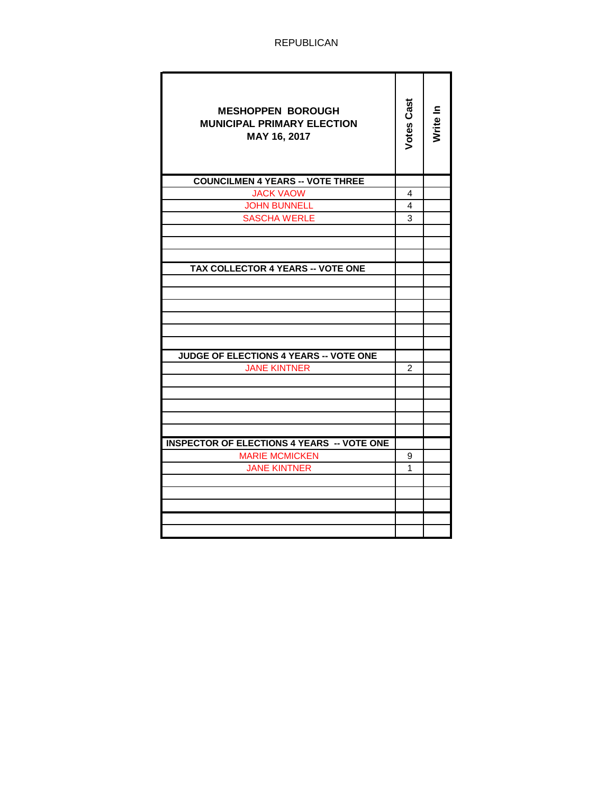| <b>MESHOPPEN BOROUGH</b><br><b>MUNICIPAL PRIMARY ELECTION</b><br>MAY 16, 2017 | Votes Cast | Write In |
|-------------------------------------------------------------------------------|------------|----------|
| <b>COUNCILMEN 4 YEARS -- VOTE THREE</b>                                       |            |          |
| <b>JACK VAOW</b>                                                              | 4          |          |
| <b>JOHN BUNNELL</b>                                                           | 4          |          |
| <b>SASCHA WERLE</b>                                                           | 3          |          |
|                                                                               |            |          |
|                                                                               |            |          |
|                                                                               |            |          |
| TAX COLLECTOR 4 YEARS -- VOTE ONE                                             |            |          |
|                                                                               |            |          |
|                                                                               |            |          |
|                                                                               |            |          |
|                                                                               |            |          |
|                                                                               |            |          |
| <b>JUDGE OF ELECTIONS 4 YEARS -- VOTE ONE</b>                                 |            |          |
| <b>JANE KINTNER</b>                                                           | 2          |          |
|                                                                               |            |          |
|                                                                               |            |          |
|                                                                               |            |          |
|                                                                               |            |          |
|                                                                               |            |          |
| <b>INSPECTOR OF ELECTIONS 4 YEARS -- VOTE ONE</b>                             |            |          |
| <b>MARIE MCMICKEN</b>                                                         | 9          |          |
| <b>JANE KINTNER</b>                                                           | 1          |          |
|                                                                               |            |          |
|                                                                               |            |          |
|                                                                               |            |          |
|                                                                               |            |          |
|                                                                               |            |          |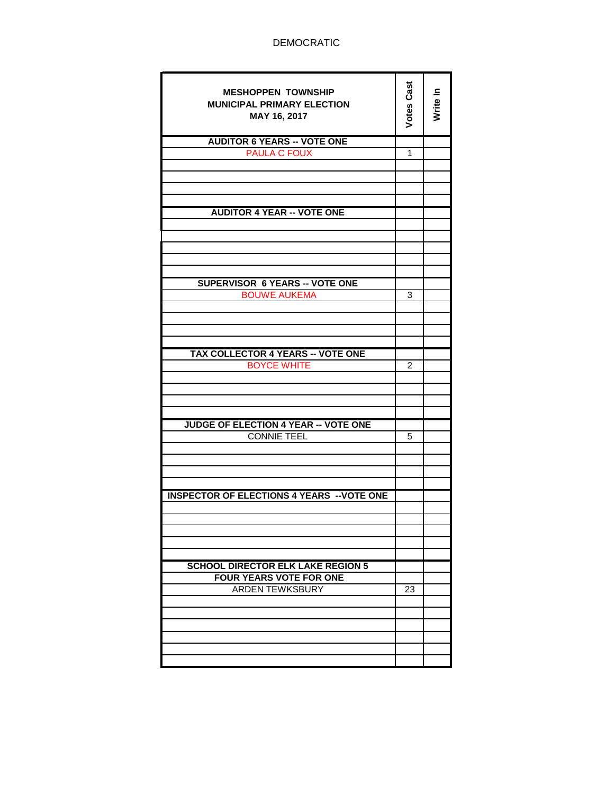ż

| <b>MESHOPPEN TOWNSHIP</b><br><b>MUNICIPAL PRIMARY ELECTION</b><br>MAY 16, 2017 | Votes Cast | Write In |
|--------------------------------------------------------------------------------|------------|----------|
| <b>AUDITOR 6 YEARS -- VOTE ONE</b>                                             |            |          |
| <b>PAULA C FOUX</b>                                                            | 1          |          |
|                                                                                |            |          |
|                                                                                |            |          |
|                                                                                |            |          |
|                                                                                |            |          |
|                                                                                |            |          |
| <b>AUDITOR 4 YEAR -- VOTE ONE</b>                                              |            |          |
|                                                                                |            |          |
|                                                                                |            |          |
|                                                                                |            |          |
|                                                                                |            |          |
|                                                                                |            |          |
|                                                                                |            |          |
| <b>SUPERVISOR 6 YEARS -- VOTE ONE</b>                                          |            |          |
| <b>BOUWE AUKEMA</b>                                                            | 3          |          |
|                                                                                |            |          |
|                                                                                |            |          |
|                                                                                |            |          |
|                                                                                |            |          |
| <b>TAX COLLECTOR 4 YEARS -- VOTE ONE</b>                                       |            |          |
| <b>BOYCE WHITE</b>                                                             | 2          |          |
|                                                                                |            |          |
|                                                                                |            |          |
|                                                                                |            |          |
|                                                                                |            |          |
|                                                                                |            |          |
| <b>JUDGE OF ELECTION 4 YEAR -- VOTE ONE</b>                                    |            |          |
| <b>CONNIE TEEL</b>                                                             | 5          |          |
|                                                                                |            |          |
|                                                                                |            |          |
|                                                                                |            |          |
|                                                                                |            |          |
|                                                                                |            |          |
| <b>INSPECTOR OF ELECTIONS 4 YEARS -- VOTE ONE</b>                              |            |          |
|                                                                                |            |          |
|                                                                                |            |          |
|                                                                                |            |          |
|                                                                                |            |          |
|                                                                                |            |          |
| <b>SCHOOL DIRECTOR ELK LAKE REGION 5</b>                                       |            |          |
| <b>FOUR YEARS VOTE FOR ONE</b>                                                 |            |          |
| <b>ARDEN TEWKSBURY</b>                                                         |            |          |
|                                                                                | 23         |          |
|                                                                                |            |          |
|                                                                                |            |          |
|                                                                                |            |          |
|                                                                                |            |          |
|                                                                                |            |          |
|                                                                                |            |          |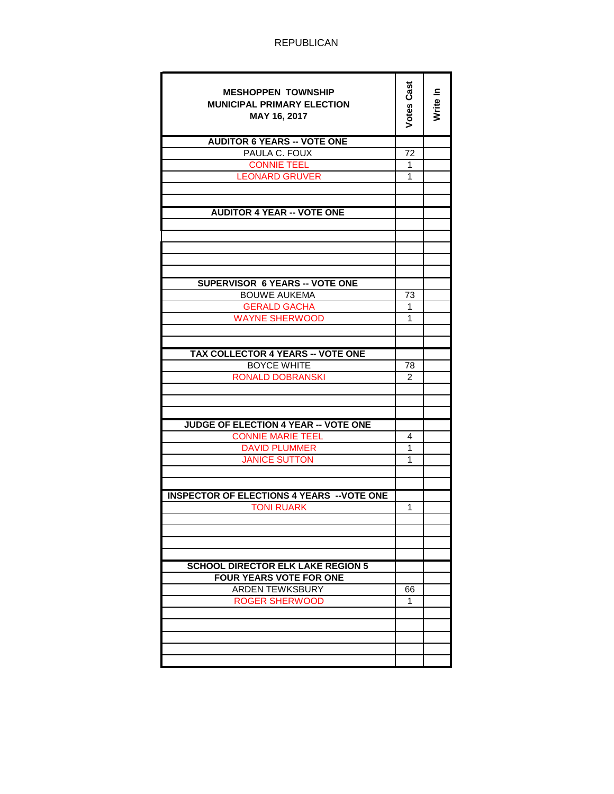| <b>MESHOPPEN TOWNSHIP</b><br><b>MUNICIPAL PRIMARY ELECTION</b><br>MAY 16, 2017 | Votes Cast | Write In |
|--------------------------------------------------------------------------------|------------|----------|
| <b>AUDITOR 6 YEARS -- VOTE ONE</b>                                             |            |          |
| PAULA C. FOUX                                                                  | 72         |          |
| <b>CONNIE TEEL</b>                                                             | 1          |          |
| <b>LEONARD GRUVER</b>                                                          | 1          |          |
|                                                                                |            |          |
|                                                                                |            |          |
| <b>AUDITOR 4 YEAR -- VOTE ONE</b>                                              |            |          |
|                                                                                |            |          |
|                                                                                |            |          |
|                                                                                |            |          |
|                                                                                |            |          |
|                                                                                |            |          |
| <b>SUPERVISOR 6 YEARS -- VOTE ONE</b>                                          |            |          |
| <b>BOUWE AUKEMA</b>                                                            | 73         |          |
| <b>GERALD GACHA</b>                                                            | 1          |          |
| <b>WAYNE SHERWOOD</b>                                                          | 1          |          |
|                                                                                |            |          |
|                                                                                |            |          |
| TAX COLLECTOR 4 YEARS -- VOTE ONE                                              |            |          |
| <b>BOYCE WHITE</b>                                                             | 78         |          |
| <b>RONALD DOBRANSKI</b>                                                        | 2          |          |
|                                                                                |            |          |
|                                                                                |            |          |
|                                                                                |            |          |
| <b>JUDGE OF ELECTION 4 YEAR -- VOTE ONE</b>                                    |            |          |
| <b>CONNIE MARIE TEEL</b>                                                       | 4          |          |
| <b>DAVID PLUMMER</b>                                                           | 1          |          |
| <b>JANICE SUTTON</b>                                                           | 1          |          |
|                                                                                |            |          |
|                                                                                |            |          |
| <b>INSPECTOR OF ELECTIONS 4 YEARS -- VOTE ONE</b>                              |            |          |
| <b>TONI RUARK</b>                                                              | 1          |          |
|                                                                                |            |          |
|                                                                                |            |          |
|                                                                                |            |          |
|                                                                                |            |          |
| <b>SCHOOL DIRECTOR ELK LAKE REGION 5</b>                                       |            |          |
| <b>FOUR YEARS VOTE FOR ONE</b>                                                 |            |          |
| <b>ARDEN TEWKSBURY</b>                                                         | 66         |          |
| <b>ROGER SHERWOOD</b>                                                          | 1          |          |
|                                                                                |            |          |
|                                                                                |            |          |
|                                                                                |            |          |
|                                                                                |            |          |
|                                                                                |            |          |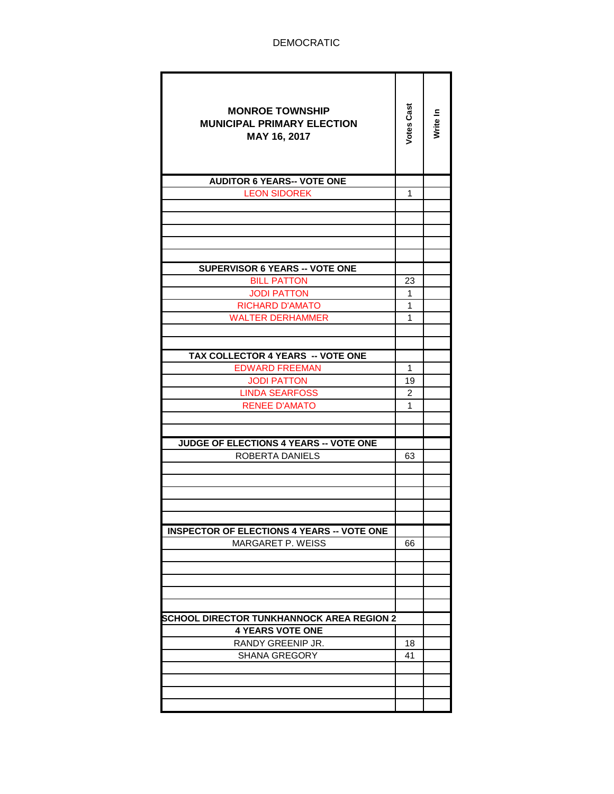| <b>MONROE TOWNSHIP</b><br><b>MUNICIPAL PRIMARY ELECTION</b><br>MAY 16, 2017 | Votes Cast | Write In |
|-----------------------------------------------------------------------------|------------|----------|
| <b>AUDITOR 6 YEARS-- VOTE ONE</b>                                           |            |          |
| <b>LEON SIDOREK</b>                                                         | 1          |          |
|                                                                             |            |          |
|                                                                             |            |          |
|                                                                             |            |          |
|                                                                             |            |          |
|                                                                             |            |          |
| <b>SUPERVISOR 6 YEARS -- VOTE ONE</b>                                       |            |          |
| <b>BILL PATTON</b>                                                          | 23         |          |
| <b>JODI PATTON</b>                                                          | 1          |          |
| <b>RICHARD D'AMATO</b>                                                      | 1          |          |
| <b>WALTER DERHAMMER</b>                                                     | 1          |          |
|                                                                             |            |          |
| TAX COLLECTOR 4 YEARS -- VOTE ONE                                           |            |          |
| <b>EDWARD FREEMAN</b>                                                       | 1          |          |
| <b>JODI PATTON</b>                                                          | 19         |          |
| <b>LINDA SEARFOSS</b>                                                       | 2          |          |
| <b>RENEE D'AMATO</b>                                                        | 1          |          |
|                                                                             |            |          |
|                                                                             |            |          |
| JUDGE OF ELECTIONS 4 YEARS -- VOTE ONE                                      |            |          |
| ROBERTA DANIELS                                                             | 63         |          |
|                                                                             |            |          |
|                                                                             |            |          |
|                                                                             |            |          |
|                                                                             |            |          |
|                                                                             |            |          |
| <b>INSPECTOR OF ELECTIONS 4 YEARS -- VOTE ONE</b>                           |            |          |
| MARGARET P. WEISS                                                           | 66         |          |
|                                                                             |            |          |
|                                                                             |            |          |
|                                                                             |            |          |
|                                                                             |            |          |
|                                                                             |            |          |
| <b>SCHOOL DIRECTOR TUNKHANNOCK AREA REGION 2</b><br><b>4 YEARS VOTE ONE</b> |            |          |
| RANDY GREENIP JR.                                                           | 18         |          |
| <b>SHANA GREGORY</b>                                                        | 41         |          |
|                                                                             |            |          |
|                                                                             |            |          |
|                                                                             |            |          |
|                                                                             |            |          |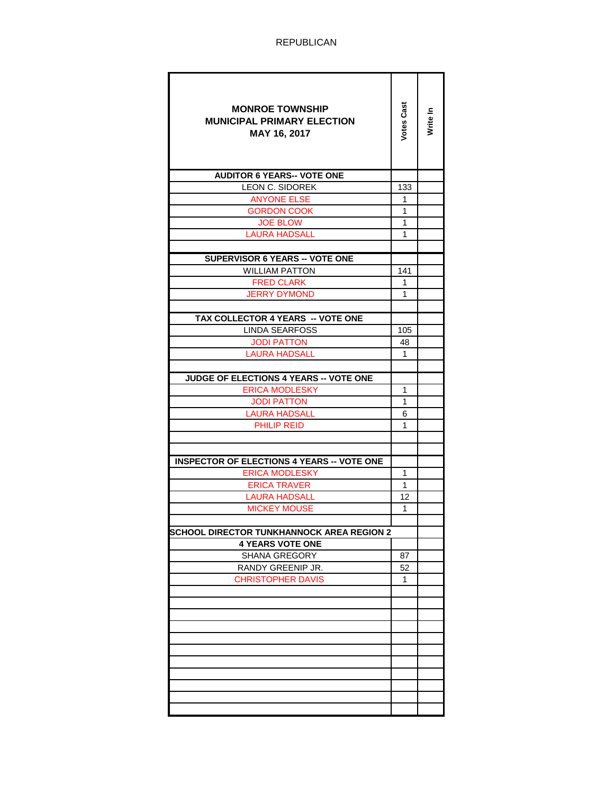| <b>MONROE TOWNSHIP</b><br><b>MUNICIPAL PRIMARY ELECTION</b><br>MAY 16, 2017 | Votes Cast   | Write In |  |
|-----------------------------------------------------------------------------|--------------|----------|--|
| <b>AUDITOR 6 YEARS-- VOTE ONE</b>                                           |              |          |  |
| LEON C. SIDOREK                                                             | 133          |          |  |
| <b>ANYONE ELSE</b>                                                          | 1            |          |  |
| <b>GORDON COOK</b>                                                          | 1            |          |  |
| <b>JOE BLOW</b>                                                             | $\mathbf{1}$ |          |  |
| <b>LAURA HADSALL</b>                                                        | 1            |          |  |
|                                                                             |              |          |  |
| <b>SUPERVISOR 6 YEARS -- VOTE ONE</b>                                       |              |          |  |
| <b>WILLIAM PATTON</b><br><b>FRED CLARK</b>                                  | 141<br>1     |          |  |
|                                                                             |              |          |  |
| <b>JERRY DYMOND</b>                                                         | 1            |          |  |
| TAX COLLECTOR 4 YEARS -- VOTE ONE                                           |              |          |  |
| LINDA SEARFOSS                                                              | 105          |          |  |
| <b>JODI PATTON</b>                                                          | 48           |          |  |
| <b>LAURA HADSALL</b>                                                        | 1            |          |  |
|                                                                             |              |          |  |
| JUDGE OF ELECTIONS 4 YEARS -- VOTE ONE                                      |              |          |  |
| <b>ERICA MODLESKY</b>                                                       | 1            |          |  |
| <b>JODI PATTON</b>                                                          | 1            |          |  |
| <b>LAURA HADSALL</b>                                                        | 6            |          |  |
| <b>PHILIP REID</b>                                                          | 1            |          |  |
|                                                                             |              |          |  |
|                                                                             |              |          |  |
| <b>INSPECTOR OF ELECTIONS 4 YEARS -- VOTE ONE</b>                           |              |          |  |
| <b>ERICA MODLESKY</b>                                                       | 1            |          |  |
| <b>ERICA TRAVER</b>                                                         | 1            |          |  |
| <b>LAURA HADSALL</b>                                                        | 12           |          |  |
| <b>MICKEY MOUSE</b>                                                         | 1            |          |  |
|                                                                             |              |          |  |
| <b>SCHOOL DIRECTOR TUNKHANNOCK AREA REGION 2</b>                            |              |          |  |
| <b>4 YEARS VOTE ONE</b>                                                     |              |          |  |
| SHANA GREGORY                                                               | 87           |          |  |
| RANDY GREENIP JR.                                                           | 52           |          |  |
| <b>CHRISTOPHER DAVIS</b>                                                    | 1            |          |  |
|                                                                             |              |          |  |
|                                                                             |              |          |  |
|                                                                             |              |          |  |
|                                                                             |              |          |  |
|                                                                             |              |          |  |
|                                                                             |              |          |  |
|                                                                             |              |          |  |
|                                                                             |              |          |  |
|                                                                             |              |          |  |
|                                                                             |              |          |  |
|                                                                             |              |          |  |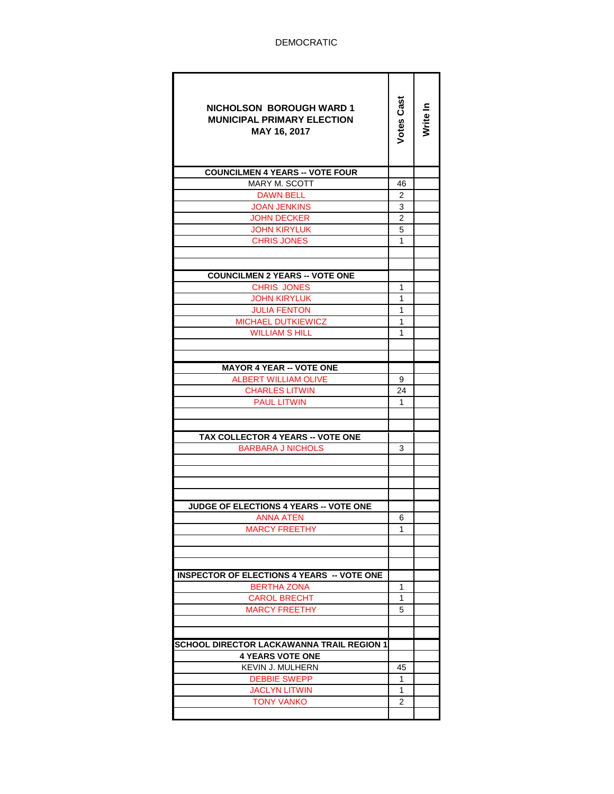| <b>NICHOLSON BOROUGH WARD 1</b><br><b>MUNICIPAL PRIMARY ELECTION</b><br>MAY 16, 2017 | <b>Votes Cast</b> | Write In |
|--------------------------------------------------------------------------------------|-------------------|----------|
| <b>COUNCILMEN 4 YEARS -- VOTE FOUR</b>                                               |                   |          |
| <b>MARY M. SCOTT</b>                                                                 | 46                |          |
| <b>DAWN BELL</b>                                                                     | 2                 |          |
| <b>JOAN JENKINS</b>                                                                  | 3                 |          |
| <b>JOHN DECKER</b>                                                                   | $\overline{2}$    |          |
| <b>JOHN KIRYLUK</b>                                                                  | 5                 |          |
| <b>CHRIS JONES</b>                                                                   | 1                 |          |
|                                                                                      |                   |          |
|                                                                                      |                   |          |
| <b>COUNCILMEN 2 YEARS -- VOTE ONE</b>                                                |                   |          |
| <b>CHRIS JONES</b>                                                                   | 1                 |          |
| <b>JOHN KIRYLUK</b>                                                                  | 1                 |          |
| <b>JULIA FENTON</b>                                                                  | 1                 |          |
| <b>MICHAEL DUTKIEWICZ</b>                                                            | 1<br>1            |          |
| <b>WILLIAM S HILL</b>                                                                |                   |          |
|                                                                                      |                   |          |
| <b>MAYOR 4 YEAR -- VOTE ONE</b>                                                      |                   |          |
| <b>ALBERT WILLIAM OLIVE</b>                                                          | 9                 |          |
| <b>CHARLES LITWIN</b>                                                                | 24                |          |
| <b>PAUL LITWIN</b>                                                                   | 1                 |          |
|                                                                                      |                   |          |
|                                                                                      |                   |          |
| <b>TAX COLLECTOR 4 YEARS -- VOTE ONE</b>                                             |                   |          |
| <b>BARBARA J NICHOLS</b>                                                             | 3                 |          |
|                                                                                      |                   |          |
|                                                                                      |                   |          |
|                                                                                      |                   |          |
|                                                                                      |                   |          |
| <b>JUDGE OF ELECTIONS 4 YEARS -- VOTE ONE</b>                                        |                   |          |
| <b>ANNA ATEN</b>                                                                     | 6                 |          |
| <b>MARCY FREETHY</b>                                                                 | 1                 |          |
|                                                                                      |                   |          |
|                                                                                      |                   |          |
| <b>INSPECTOR OF ELECTIONS 4 YEARS -- VOTE ONE</b>                                    |                   |          |
| <b>BERTHA ZONA</b>                                                                   | 1                 |          |
| CAROL BRECHT                                                                         | 1                 |          |
| <b>MARCY FREETHY</b>                                                                 | 5                 |          |
|                                                                                      |                   |          |
|                                                                                      |                   |          |
| SCHOOL DIRECTOR LACKAWANNA TRAIL REGION 1                                            |                   |          |
| <b>4 YEARS VOTE ONE</b>                                                              |                   |          |
| <b>KEVIN J. MULHERN</b>                                                              | 45                |          |
| <b>DEBBIE SWEPP</b>                                                                  | 1                 |          |
| <b>JACLYN LITWIN</b>                                                                 | 1                 |          |
| <b>TONY VANKO</b>                                                                    | 2                 |          |
|                                                                                      |                   |          |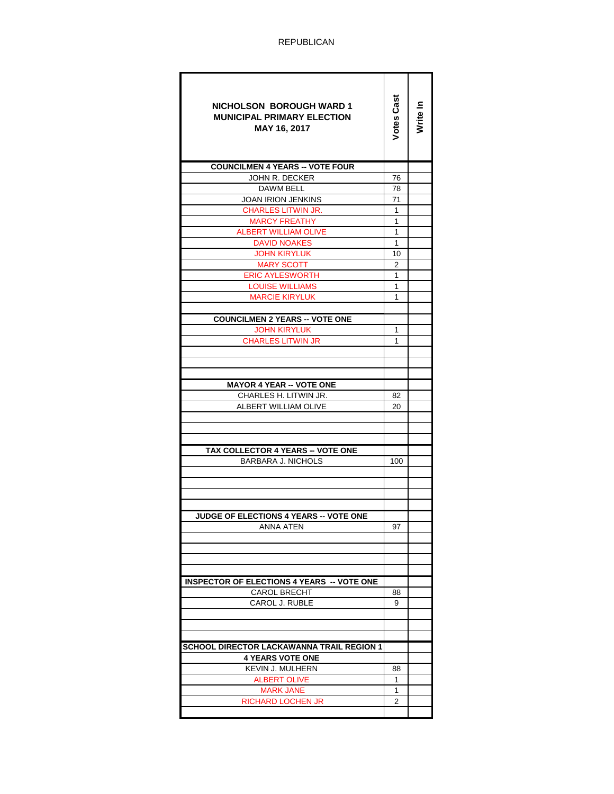| <b>NICHOLSON BOROUGH WARD 1</b><br><b>MUNICIPAL PRIMARY ELECTION</b><br>MAY 16, 2017 | <b>Votes Cast</b> | Nrite In |
|--------------------------------------------------------------------------------------|-------------------|----------|
| <b>COUNCILMEN 4 YEARS -- VOTE FOUR</b>                                               |                   |          |
| JOHN R. DECKER                                                                       | 76                |          |
| DAWM BELL                                                                            | 78                |          |
| <b>JOAN IRION JENKINS</b>                                                            | 71                |          |
| <b>CHARLES LITWIN JR.</b>                                                            | $\mathbf{1}$      |          |
| <b>MARCY FREATHY</b>                                                                 | 1                 |          |
| <b>ALBERT WILLIAM OLIVE</b>                                                          | 1                 |          |
| <b>DAVID NOAKES</b>                                                                  | $\mathbf{1}$      |          |
| <b>JOHN KIRYLUK</b>                                                                  | 10                |          |
| MARY SCOTT                                                                           | 2                 |          |
| <b>ERIC AYLESWORTH</b>                                                               | 1                 |          |
| <b>LOUISE WILLIAMS</b>                                                               | 1                 |          |
| <b>MARCIE KIRYLUK</b>                                                                | 1                 |          |
|                                                                                      |                   |          |
| <b>COUNCILMEN 2 YEARS -- VOTE ONE</b>                                                |                   |          |
| <b>JOHN KIRYLUK</b>                                                                  | 1                 |          |
| <b>CHARLES LITWIN JR</b>                                                             | 1                 |          |
|                                                                                      |                   |          |
|                                                                                      |                   |          |
|                                                                                      |                   |          |
| <b>MAYOR 4 YEAR -- VOTE ONE</b>                                                      |                   |          |
| CHARLES H. LITWIN JR.                                                                | 82                |          |
| ALBERT WILLIAM OLIVE                                                                 | 20                |          |
|                                                                                      |                   |          |
|                                                                                      |                   |          |
|                                                                                      |                   |          |
| <b>TAX COLLECTOR 4 YEARS -- VOTE ONE</b>                                             |                   |          |
| <b>BARBARA J. NICHOLS</b>                                                            | 100               |          |
|                                                                                      |                   |          |
|                                                                                      |                   |          |
|                                                                                      |                   |          |
|                                                                                      |                   |          |
| <b>JUDGE OF ELECTIONS 4 YEARS -- VOTE ONE</b><br>ANNA ATEN                           | 97                |          |
|                                                                                      |                   |          |
|                                                                                      |                   |          |
|                                                                                      |                   |          |
|                                                                                      |                   |          |
| <b>INSPECTOR OF ELECTIONS 4 YEARS -- VOTE ONE</b>                                    |                   |          |
| <b>CAROL BRECHT</b>                                                                  | 88                |          |
| CAROL J. RUBLE                                                                       | 9                 |          |
|                                                                                      |                   |          |
|                                                                                      |                   |          |
|                                                                                      |                   |          |
| <b>SCHOOL DIRECTOR LACKAWANNA TRAIL REGION 1</b>                                     |                   |          |
| <b>4 YEARS VOTE ONE</b>                                                              |                   |          |
| <b>KEVIN J. MULHERN</b>                                                              | 88                |          |
| ALBERT OLIVE                                                                         | 1                 |          |
| <b>MARK JANE</b>                                                                     | $\mathbf{1}$      |          |
| <b>RICHARD LOCHEN JR</b>                                                             | 2                 |          |
|                                                                                      |                   |          |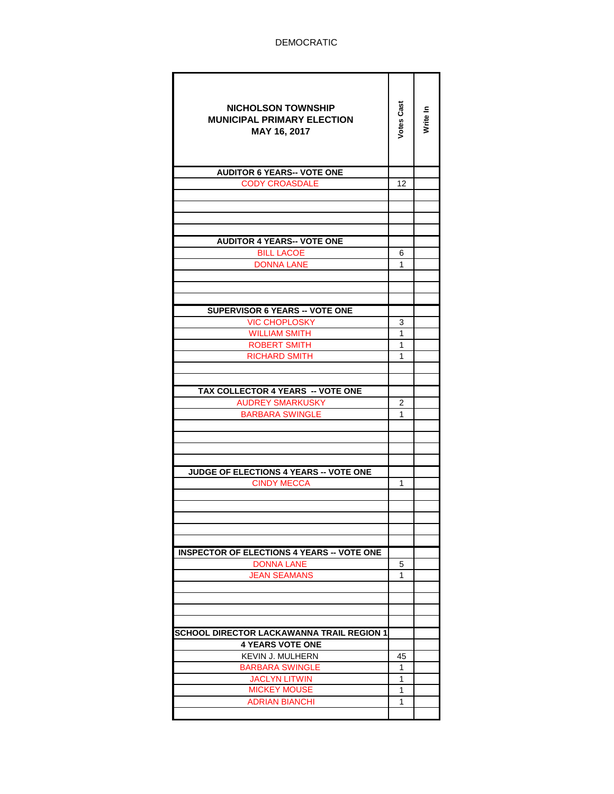| <b>NICHOLSON TOWNSHIP</b><br><b>MUNICIPAL PRIMARY ELECTION</b><br>MAY 16, 2017 | Votes Cast  | Write In |
|--------------------------------------------------------------------------------|-------------|----------|
| <b>AUDITOR 6 YEARS-- VOTE ONE</b>                                              |             |          |
| <b>CODY CROASDALE</b>                                                          | 12          |          |
|                                                                                |             |          |
|                                                                                |             |          |
|                                                                                |             |          |
| <b>AUDITOR 4 YEARS-- VOTE ONE</b>                                              |             |          |
| <b>BILL LACOE</b>                                                              | 6           |          |
| <b>DONNA LANE</b>                                                              | 1           |          |
|                                                                                |             |          |
|                                                                                |             |          |
|                                                                                |             |          |
| <b>SUPERVISOR 6 YEARS -- VOTE ONE</b>                                          |             |          |
| <b>VIC CHOPLOSKY</b>                                                           | 3<br>1      |          |
| <b>WILLIAM SMITH</b><br>ROBERT SMITH                                           | 1           |          |
| <b>RICHARD SMITH</b>                                                           | 1           |          |
|                                                                                |             |          |
|                                                                                |             |          |
| TAX COLLECTOR 4 YEARS -- VOTE ONE                                              |             |          |
| <b>AUDREY SMARKUSKY</b>                                                        | 2           |          |
| <b>BARBARA SWINGLE</b>                                                         | 1           |          |
|                                                                                |             |          |
|                                                                                |             |          |
|                                                                                |             |          |
| <b>JUDGE OF ELECTIONS 4 YEARS -- VOTE ONE</b>                                  |             |          |
| <b>CINDY MECCA</b>                                                             | 1           |          |
|                                                                                |             |          |
|                                                                                |             |          |
|                                                                                |             |          |
|                                                                                |             |          |
| <b>INSPECTOR OF ELECTIONS 4 YEARS -- VOTE ONE</b>                              |             |          |
| <b>DONNA LANE</b>                                                              | 5           |          |
| <b>JEAN SEAMANS</b>                                                            | 1           |          |
|                                                                                |             |          |
|                                                                                |             |          |
|                                                                                |             |          |
|                                                                                |             |          |
| SCHOOL DIRECTOR LACKAWANNA TRAIL REGION 1                                      |             |          |
| <b>4 YEARS VOTE ONE</b><br><b>KEVIN J. MULHERN</b>                             | 45          |          |
| <b>BARBARA SWINGLE</b>                                                         | $\mathbf 1$ |          |
| <b>JACLYN LITWIN</b>                                                           | 1           |          |
| <b>MICKEY MOUSE</b>                                                            | 1           |          |
| <b>ADRIAN BIANCHI</b>                                                          | 1           |          |
|                                                                                |             |          |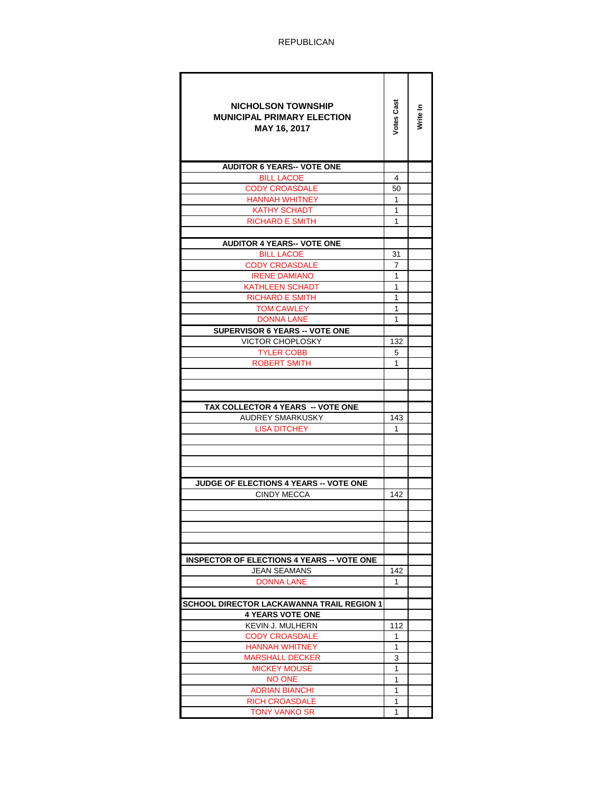| <b>NICHOLSON TOWNSHIP</b><br><b>MUNICIPAL PRIMARY ELECTION</b><br>MAY 16, 2017 | Votes Cas | Write In |
|--------------------------------------------------------------------------------|-----------|----------|
| <b>AUDITOR 6 YEARS-- VOTE ONE</b>                                              |           |          |
| <b>BILL LACOE</b>                                                              | 4         |          |
| <b>CODY CROASDALE</b>                                                          | 50        |          |
| <b>HANNAH WHITNEY</b>                                                          | 1         |          |
| <b>KATHY SCHADT</b>                                                            | 1         |          |
| <b>RICHARD E SMITH</b>                                                         | 1         |          |
| <b>AUDITOR 4 YEARS-- VOTE ONE</b>                                              |           |          |
| <b>BILL LACOE</b>                                                              | 31        |          |
| <b>CODY CROASDALE</b>                                                          | 7         |          |
| <b>IRENE DAMIANO</b>                                                           | 1         |          |
| KATHLEEN SCHADT                                                                | 1         |          |
| <b>RICHARD E SMITH</b>                                                         | 1         |          |
| <b>TOM CAWLEY</b>                                                              | 1         |          |
| <b>DONNA LANE</b>                                                              | 1         |          |
| <b>SUPERVISOR 6 YEARS -- VOTE ONE</b>                                          |           |          |
| VICTOR CHOPLOSKY                                                               | 132       |          |
| <b>TYLER COBB</b>                                                              | 5         |          |
| <b>ROBERT SMITH</b>                                                            | 1         |          |
|                                                                                |           |          |
|                                                                                |           |          |
|                                                                                |           |          |
| TAX COLLECTOR 4 YEARS -- VOTE ONE                                              |           |          |
| AUDREY SMARKUSKY                                                               | 143       |          |
| <b>LISA DITCHEY</b>                                                            | 1         |          |
|                                                                                |           |          |
|                                                                                |           |          |
|                                                                                |           |          |
| <b>JUDGE OF ELECTIONS 4 YEARS -- VOTE ONE</b>                                  |           |          |
| <b>CINDY MECCA</b>                                                             | 142       |          |
|                                                                                |           |          |
|                                                                                |           |          |
|                                                                                |           |          |
|                                                                                |           |          |
|                                                                                |           |          |
| <b>INSPECTOR OF ELECTIONS 4 YEARS -- VOTE ONE</b>                              |           |          |
| JEAN SEAMANS                                                                   | 142       |          |
| <b>DONNA LANE</b>                                                              | 1         |          |
| <b>SCHOOL DIRECTOR LACKAWANNA TRAIL REGION 1</b>                               |           |          |
| <b>4 YEARS VOTE ONE</b>                                                        |           |          |
| <b>KEVIN J. MULHERN</b>                                                        | 112       |          |
| <b>CODY CROASDALE</b>                                                          | 1         |          |
| <b>HANNAH WHITNEY</b>                                                          | 1         |          |
| <b>MARSHALL DECKER</b>                                                         | 3         |          |
| <b>MICKEY MOUSE</b>                                                            | 1         |          |
| <b>NO ONE</b>                                                                  | 1         |          |
| <b>ADRIAN BIANCHI</b>                                                          | 1         |          |
| <b>RICH CROASDALE</b>                                                          | 1         |          |
| TONY VANKO SR                                                                  | 1         |          |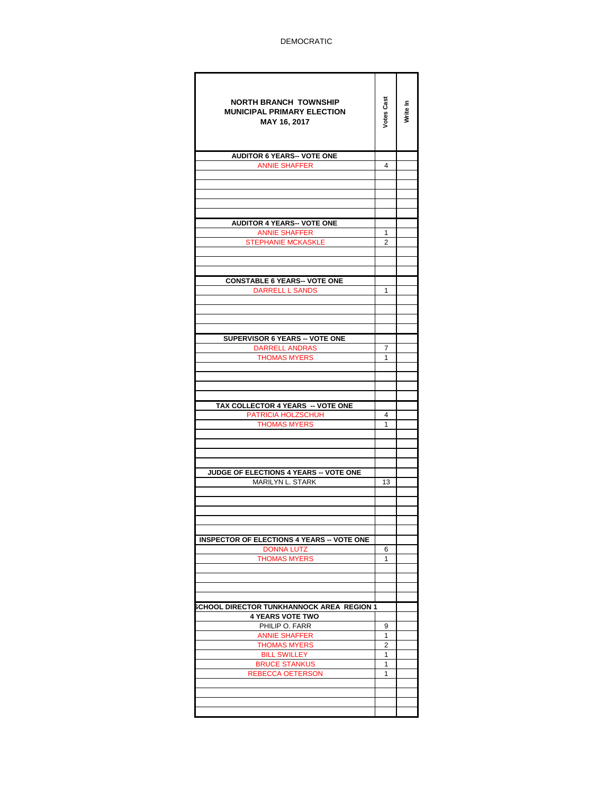| <b>NORTH BRANCH TOWNSHIP</b><br><b>MUNICIPAL PRIMARY ELECTION</b><br>MAY 16, 2017 | Votes Cast | Write In |
|-----------------------------------------------------------------------------------|------------|----------|
| <b>AUDITOR 6 YEARS-- VOTE ONE</b>                                                 |            |          |
| <b>ANNIE SHAFFER</b>                                                              | 4          |          |
|                                                                                   |            |          |
|                                                                                   |            |          |
|                                                                                   |            |          |
|                                                                                   |            |          |
| <b>AUDITOR 4 YEARS-- VOTE ONE</b>                                                 |            |          |
| <b>ANNIE SHAFFER</b>                                                              | 1          |          |
| <b>STEPHANIE MCKASKLE</b>                                                         | 2          |          |
|                                                                                   |            |          |
|                                                                                   |            |          |
| <b>CONSTABLE 6 YEARS-- VOTE ONE</b>                                               |            |          |
| <b>DARRELL L SANDS</b>                                                            | 1          |          |
|                                                                                   |            |          |
|                                                                                   |            |          |
|                                                                                   |            |          |
| <b>SUPERVISOR 6 YEARS -- VOTE ONE</b>                                             |            |          |
| <b>DARRELL ANDRAS</b>                                                             | 7          |          |
| <b>THOMAS MYERS</b>                                                               | 1          |          |
|                                                                                   |            |          |
|                                                                                   |            |          |
|                                                                                   |            |          |
|                                                                                   |            |          |
| TAX COLLECTOR 4 YEARS -- VOTE ONE<br>PATRICIA HOLZSCHUH                           | 4          |          |
| <b>THOMAS MYERS</b>                                                               | 1          |          |
|                                                                                   |            |          |
|                                                                                   |            |          |
|                                                                                   |            |          |
|                                                                                   |            |          |
| JUDGE OF ELECTIONS 4 YEARS -- VOTE ONE                                            |            |          |
| MARILYN L. STARK                                                                  | 13         |          |
|                                                                                   |            |          |
|                                                                                   |            |          |
|                                                                                   |            |          |
|                                                                                   |            |          |
| <b>INSPECTOR OF ELECTIONS 4 YEARS -- VOTE ONE</b>                                 |            |          |
| <b>DONNA LUTZ</b><br><b>THOMAS MYERS</b>                                          | 6<br>1     |          |
|                                                                                   |            |          |
|                                                                                   |            |          |
|                                                                                   |            |          |
|                                                                                   |            |          |
| SCHOOL DIRECTOR TUNKHANNOCK AREA REGION 1                                         |            |          |
| <b>4 YEARS VOTE TWO</b><br>PHILIP O. FARR                                         | 9          |          |
| <b>ANNIE SHAFFER</b>                                                              | 1          |          |
| <b>THOMAS MYERS</b>                                                               | 2          |          |
| <b>BILL SWILLEY</b>                                                               | 1          |          |
| <b>BRUCE STANKUS</b>                                                              | 1          |          |
| <b>REBECCA OETERSON</b>                                                           | 1          |          |
|                                                                                   |            |          |
|                                                                                   |            |          |
|                                                                                   |            |          |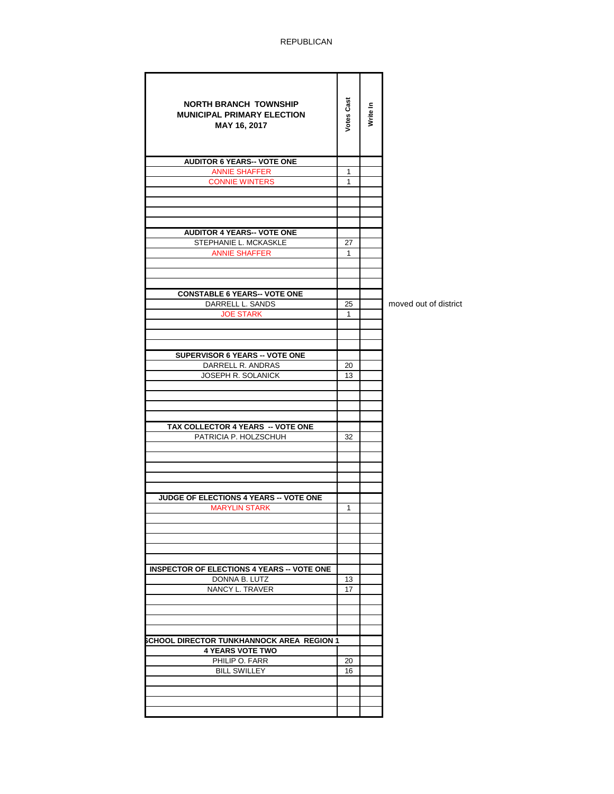| <b>NORTH BRANCH TOWNSHIP</b><br><b>MUNICIPAL PRIMARY ELECTION</b><br>MAY 16, 2017 | <b>Votes Cast</b> | Write In |                       |
|-----------------------------------------------------------------------------------|-------------------|----------|-----------------------|
| <b>AUDITOR 6 YEARS-- VOTE ONE</b>                                                 |                   |          |                       |
| <b>ANNIE SHAFFER</b>                                                              | 1                 |          |                       |
| <b>CONNIE WINTERS</b>                                                             | 1                 |          |                       |
|                                                                                   |                   |          |                       |
|                                                                                   |                   |          |                       |
|                                                                                   |                   |          |                       |
|                                                                                   |                   |          |                       |
| <b>AUDITOR 4 YEARS-- VOTE ONE</b><br>STEPHANIE L. MCKASKLE                        | 27                |          |                       |
| <b>ANNIE SHAFFER</b>                                                              | 1                 |          |                       |
|                                                                                   |                   |          |                       |
|                                                                                   |                   |          |                       |
|                                                                                   |                   |          |                       |
| <b>CONSTABLE 6 YEARS-- VOTE ONE</b>                                               |                   |          |                       |
| DARRELL L. SANDS                                                                  | 25                |          | moved out of district |
| <b>JOE STARK</b>                                                                  | $\mathbf{1}$      |          |                       |
|                                                                                   |                   |          |                       |
|                                                                                   |                   |          |                       |
| SUPERVISOR 6 YEARS -- VOTE ONE                                                    |                   |          |                       |
| DARRELL R. ANDRAS                                                                 | 20                |          |                       |
| JOSEPH R. SOLANICK                                                                | 13                |          |                       |
|                                                                                   |                   |          |                       |
|                                                                                   |                   |          |                       |
|                                                                                   |                   |          |                       |
|                                                                                   |                   |          |                       |
| TAX COLLECTOR 4 YEARS -- VOTE ONE                                                 |                   |          |                       |
| PATRICIA P. HOLZSCHUH                                                             | 32                |          |                       |
|                                                                                   |                   |          |                       |
|                                                                                   |                   |          |                       |
|                                                                                   |                   |          |                       |
|                                                                                   |                   |          |                       |
| JUDGE OF ELECTIONS 4 YEARS -- VOTE ONE                                            |                   |          |                       |
| <b>MARYLIN STARK</b>                                                              | $\mathbf{1}$      |          |                       |
|                                                                                   |                   |          |                       |
|                                                                                   |                   |          |                       |
|                                                                                   |                   |          |                       |
|                                                                                   |                   |          |                       |
| <b>INSPECTOR OF ELECTIONS 4 YEARS -- VOTE ONE</b>                                 |                   |          |                       |
| DONNA B. LUTZ                                                                     | 13                |          |                       |
| NANCY L. TRAVER                                                                   | 17                |          |                       |
|                                                                                   |                   |          |                       |
|                                                                                   |                   |          |                       |
|                                                                                   |                   |          |                       |
| <b>SCHOOL DIRECTOR TUNKHANNOCK AREA REGION 1</b>                                  |                   |          |                       |
| <b>4 YEARS VOTE TWO</b>                                                           |                   |          |                       |
| PHILIP O. FARR                                                                    | 20                |          |                       |
| <b>BILL SWILLEY</b>                                                               | 16                |          |                       |
|                                                                                   |                   |          |                       |
|                                                                                   |                   |          |                       |
|                                                                                   |                   |          |                       |
|                                                                                   |                   |          |                       |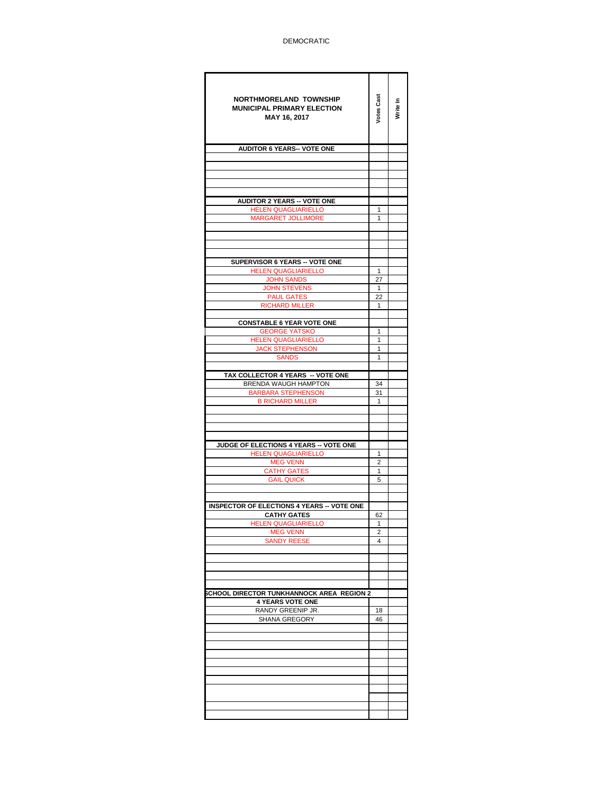| <b>NORTHMORELAND TOWNSHIP</b><br><b>MUNICIPAL PRIMARY ELECTION</b><br>MAY 16, 2017 | Votes Cast     | Write In |
|------------------------------------------------------------------------------------|----------------|----------|
| <b>AUDITOR 6 YEARS-- VOTE ONE</b>                                                  |                |          |
|                                                                                    |                |          |
|                                                                                    |                |          |
|                                                                                    |                |          |
|                                                                                    |                |          |
| <b>AUDITOR 2 YEARS -- VOTE ONE</b>                                                 |                |          |
| HELEN QUAGLIARIELLO<br>MARGARET JOLLIMORE                                          | 1<br>1         |          |
|                                                                                    |                |          |
|                                                                                    |                |          |
|                                                                                    |                |          |
| SUPERVISOR 6 YEARS -- VOTE ONE                                                     |                |          |
| <b>HELEN QUAGLIARIELLO</b>                                                         | $\mathbf{1}$   |          |
| <b>JOHN SANDS</b>                                                                  | 27             |          |
| <b>JOHN STEVENS</b>                                                                | 1              |          |
| <b>PAUL GATES</b>                                                                  | 22             |          |
| <b>RICHARD MILLER</b>                                                              | $\mathbf{1}$   |          |
| <b>CONSTABLE 6 YEAR VOTE ONE</b>                                                   |                |          |
| <b>GEORGE YATSKO</b>                                                               | 1              |          |
| <b>HELEN QUAGLIARIELLO</b>                                                         | $\mathbf{1}$   |          |
| <b>JACK STEPHENSON</b>                                                             | 1<br>1         |          |
| <b>SANDS</b>                                                                       |                |          |
| TAX COLLECTOR 4 YEARS -- VOTE ONE                                                  |                |          |
| BRENDA WAUGH HAMPTON                                                               | 34             |          |
| <b>BARBARA STEPHENSON</b>                                                          | 31             |          |
| <b>B RICHARD MILLER</b>                                                            | 1              |          |
|                                                                                    |                |          |
|                                                                                    |                |          |
|                                                                                    |                |          |
| JUDGE OF ELECTIONS 4 YEARS -- VOTE ONE<br><b>HELEN QUAGLIARIELLO</b>               | 1              |          |
| <b>MEG VENN</b>                                                                    | $\overline{c}$ |          |
| <b>CATHY GATES</b>                                                                 | 1              |          |
| <b>GAIL QUICK</b>                                                                  | 5              |          |
|                                                                                    |                |          |
| <b>INSPECTOR OF ELECTIONS 4 YEARS -- VOTE ONE</b>                                  |                |          |
| <b>CATHY GATES</b>                                                                 | 62             |          |
| <b>HELEN QUAGLIARIELLO</b>                                                         | 1              |          |
| <b>MEG VENN</b>                                                                    | 2              |          |
| <b>SANDY REESE</b>                                                                 | 4              |          |
|                                                                                    |                |          |
|                                                                                    |                |          |
|                                                                                    |                |          |
| SCHOOL DIRECTOR TUNKHANNOCK AREA REGION 2                                          |                |          |
| <b>4 YEARS VOTE ONE</b>                                                            |                |          |
| RANDY GREENIP JR.                                                                  | 18             |          |
| SHANA GREGORY                                                                      | 46             |          |
|                                                                                    |                |          |
|                                                                                    |                |          |
|                                                                                    |                |          |
|                                                                                    |                |          |
|                                                                                    |                |          |
|                                                                                    |                |          |
|                                                                                    |                |          |
|                                                                                    |                |          |
|                                                                                    |                |          |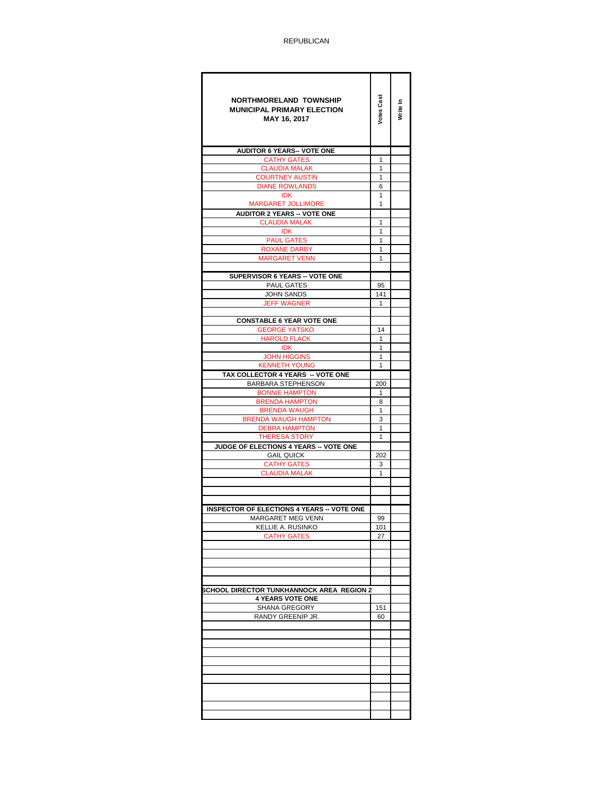| <b>NORTHMORELAND TOWNSHIP</b><br><b>MUNICIPAL PRIMARY ELECTION</b><br>MAY 16, 2017 | Votes Cast        | Write In |
|------------------------------------------------------------------------------------|-------------------|----------|
| <b>AUDITOR 6 YEARS-- VOTE ONE</b>                                                  |                   |          |
| <b>CATHY GATES</b>                                                                 | 1                 |          |
| <b>CLAUDIA MALAK</b>                                                               | 1                 |          |
| <b>COURTNEY AUSTIN</b>                                                             | 1                 |          |
| <b>DIANE ROWLANDS</b><br><b>IDK</b>                                                | 6<br>1            |          |
| <b>MARGARET JOLLIMORE</b>                                                          | 1                 |          |
| <b>AUDITOR 2 YEARS -- VOTE ONE</b>                                                 |                   |          |
| <b>CLAUDIA MALAK</b>                                                               | 1                 |          |
| <b>IDK</b>                                                                         | 1                 |          |
| <b>PAUL GATES</b>                                                                  | 1                 |          |
| <b>ROXANE DARBY</b>                                                                | 1                 |          |
| <b>MARGARET VENN</b>                                                               | 1                 |          |
|                                                                                    |                   |          |
| SUPERVISOR 6 YEARS -- VOTE ONE<br>PAUL GATES                                       | 95                |          |
| <b>JOHN SANDS</b>                                                                  | 141               |          |
| <b>JEFF WAGNER</b>                                                                 | $\mathbf{1}$      |          |
|                                                                                    |                   |          |
| <b>CONSTABLE 6 YEAR VOTE ONE</b>                                                   |                   |          |
| <b>GEORGE YATSKO</b>                                                               | 14                |          |
| <b>HAROLD FLACK</b>                                                                | $\mathbf{1}$      |          |
| <b>IDK</b>                                                                         | $\mathbf{1}$      |          |
| <b>JOHN HIGGINS</b>                                                                | $\mathbf{1}$<br>1 |          |
| <b>KENNETH YOUNG</b><br>TAX COLLECTOR 4 YEARS -- VOTE ONE                          |                   |          |
| BARBARA STEPHENSON                                                                 | 200               |          |
| <b>BONNIE HAMPTON</b>                                                              | $\mathbf{1}$      |          |
| <b>BRENDA HAMPTON</b>                                                              | 8                 |          |
| <b>BRENDA WAUGH</b>                                                                | $\mathbf{1}$      |          |
| <b>BRENDA WAUGH HAMPTON</b>                                                        | 3                 |          |
| <b>DEBRA HAMPTON</b>                                                               | $\mathbf{1}$      |          |
| <b>THERESA STORY</b>                                                               | 1                 |          |
| JUDGE OF ELECTIONS 4 YEARS -- VOTE ONE                                             |                   |          |
| <b>GAIL QUICK</b>                                                                  | 202               |          |
| <b>CATHY GATES</b>                                                                 | 3                 |          |
| <b>CLAUDIA MALAK</b>                                                               | $\mathbf{1}$      |          |
|                                                                                    |                   |          |
| <b>INSPECTOR OF ELECTIONS 4 YEARS -- VOTE ONE</b>                                  |                   |          |
| <b>MARGARET MEG VENN</b>                                                           | 99                |          |
| KELLIE A. RUSINKO                                                                  | 101               |          |
| <b>CATHY GATES</b>                                                                 | 27                |          |
|                                                                                    |                   |          |
|                                                                                    |                   |          |
|                                                                                    |                   |          |
|                                                                                    |                   |          |
| SCHOOL DIRECTOR TUNKHANNOCK AREA REGION 2                                          |                   |          |
| <b>4 YEARS VOTE ONE</b>                                                            |                   |          |
| SHANA GREGORY<br>RANDY GREENIP JR.                                                 | 151<br>60         |          |
|                                                                                    |                   |          |
|                                                                                    |                   |          |
|                                                                                    |                   |          |
|                                                                                    |                   |          |
|                                                                                    |                   |          |
|                                                                                    |                   |          |
|                                                                                    |                   |          |
|                                                                                    |                   |          |
|                                                                                    |                   |          |
|                                                                                    |                   |          |
|                                                                                    |                   |          |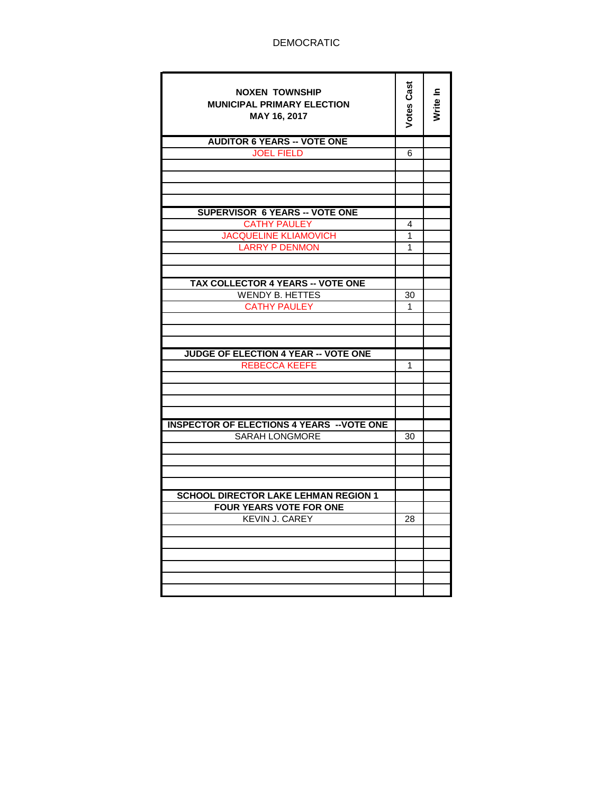| <b>NOXEN TOWNSHIP</b><br><b>MUNICIPAL PRIMARY ELECTION</b><br>MAY 16, 2017 | Votes Cast | Write In |
|----------------------------------------------------------------------------|------------|----------|
| <b>AUDITOR 6 YEARS -- VOTE ONE</b>                                         |            |          |
| <b>JOEL FIELD</b>                                                          | 6          |          |
|                                                                            |            |          |
|                                                                            |            |          |
|                                                                            |            |          |
| <b>SUPERVISOR 6 YEARS -- VOTE ONE</b>                                      |            |          |
| <b>CATHY PAULEY</b>                                                        | 4          |          |
| <b>JACQUELINE KLIAMOVICH</b>                                               | 1          |          |
| <b>LARRY P DENMON</b>                                                      | 1          |          |
|                                                                            |            |          |
|                                                                            |            |          |
| TAX COLLECTOR 4 YEARS -- VOTE ONE                                          |            |          |
| <b>WENDY B. HETTES</b>                                                     | 30         |          |
| <b>CATHY PAULEY</b>                                                        | 1          |          |
|                                                                            |            |          |
|                                                                            |            |          |
|                                                                            |            |          |
| <b>JUDGE OF ELECTION 4 YEAR -- VOTE ONE</b>                                |            |          |
| <b>REBECCA KEEFE</b>                                                       | 1          |          |
|                                                                            |            |          |
|                                                                            |            |          |
|                                                                            |            |          |
|                                                                            |            |          |
| <b>INSPECTOR OF ELECTIONS 4 YEARS -- VOTE ONE</b>                          |            |          |
| <b>SARAH LONGMORE</b>                                                      | 30         |          |
|                                                                            |            |          |
|                                                                            |            |          |
|                                                                            |            |          |
| <b>SCHOOL DIRECTOR LAKE LEHMAN REGION 1</b>                                |            |          |
| <b>FOUR YEARS VOTE FOR ONE</b>                                             |            |          |
| <b>KEVIN J. CAREY</b>                                                      | 28         |          |
|                                                                            |            |          |
|                                                                            |            |          |
|                                                                            |            |          |
|                                                                            |            |          |
|                                                                            |            |          |
|                                                                            |            |          |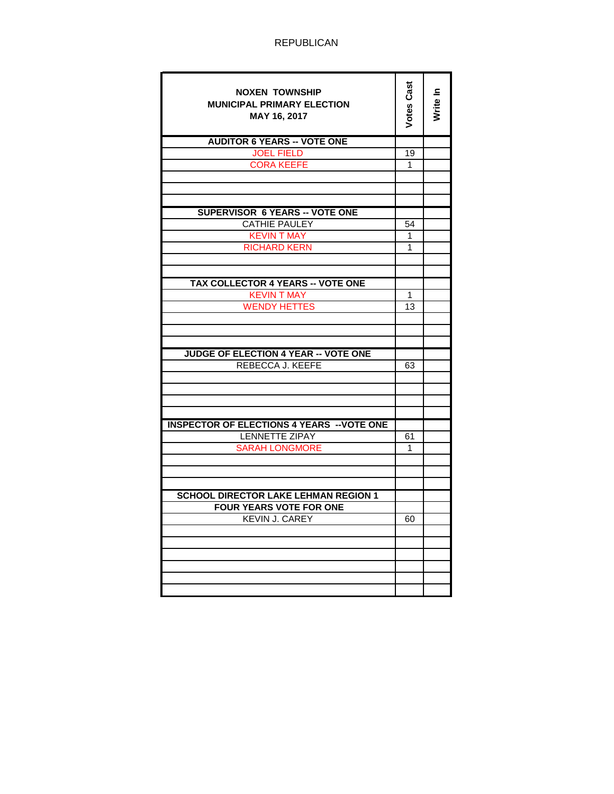| <b>NOXEN TOWNSHIP</b><br><b>MUNICIPAL PRIMARY ELECTION</b><br>MAY 16, 2017 | <b>Votes Cast</b> | Write In |
|----------------------------------------------------------------------------|-------------------|----------|
| <b>AUDITOR 6 YEARS -- VOTE ONE</b>                                         |                   |          |
| <b>JOEL FIELD</b>                                                          | 19                |          |
| <b>CORA KEEFE</b>                                                          | 1                 |          |
|                                                                            |                   |          |
|                                                                            |                   |          |
|                                                                            |                   |          |
| <b>SUPERVISOR 6 YEARS -- VOTE ONE</b>                                      |                   |          |
| <b>CATHIE PAULEY</b>                                                       | 54                |          |
| <b>KEVIN T MAY</b>                                                         | 1                 |          |
| <b>RICHARD KERN</b>                                                        | 1                 |          |
|                                                                            |                   |          |
|                                                                            |                   |          |
| TAX COLLECTOR 4 YEARS -- VOTE ONE<br><b>KEVIN T MAY</b>                    | 1                 |          |
|                                                                            |                   |          |
| <b>WENDY HETTES</b>                                                        | 13                |          |
|                                                                            |                   |          |
|                                                                            |                   |          |
| <b>JUDGE OF ELECTION 4 YEAR -- VOTE ONE</b>                                |                   |          |
| REBECCA J. KEEFE                                                           | 63                |          |
|                                                                            |                   |          |
|                                                                            |                   |          |
|                                                                            |                   |          |
|                                                                            |                   |          |
| <b>INSPECTOR OF ELECTIONS 4 YEARS -- VOTE ONE</b>                          |                   |          |
| <b>LENNETTE ZIPAY</b>                                                      | 61                |          |
| <b>SARAH LONGMORE</b>                                                      | 1                 |          |
|                                                                            |                   |          |
|                                                                            |                   |          |
|                                                                            |                   |          |
| <b>SCHOOL DIRECTOR LAKE LEHMAN REGION 1</b>                                |                   |          |
| <b>FOUR YEARS VOTE FOR ONE</b>                                             |                   |          |
| <b>KEVIN J. CAREY</b>                                                      | 60                |          |
|                                                                            |                   |          |
|                                                                            |                   |          |
|                                                                            |                   |          |
|                                                                            |                   |          |
|                                                                            |                   |          |
|                                                                            |                   |          |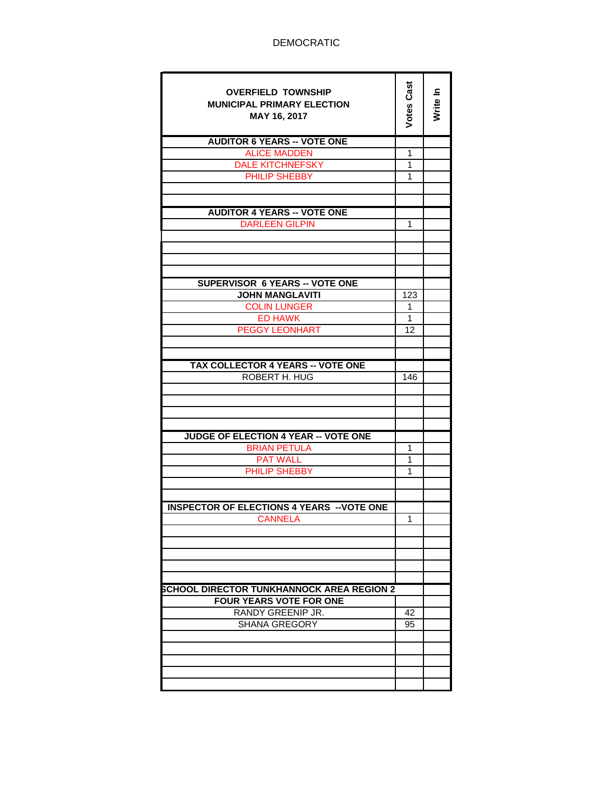| <b>OVERFIELD TOWNSHIP</b><br><b>MUNICIPAL PRIMARY ELECTION</b><br>MAY 16, 2017 | <b>Votes Cast</b> | Write In |
|--------------------------------------------------------------------------------|-------------------|----------|
| <b>AUDITOR 6 YEARS -- VOTE ONE</b>                                             |                   |          |
| <b>ALICE MADDEN</b>                                                            | 1                 |          |
| <b>DALE KITCHNEFSKY</b>                                                        | 1                 |          |
| PHILIP SHEBBY                                                                  | 1                 |          |
|                                                                                |                   |          |
|                                                                                |                   |          |
| <b>AUDITOR 4 YEARS -- VOTE ONE</b>                                             |                   |          |
| <b>DARLEEN GILPIN</b>                                                          | 1                 |          |
|                                                                                |                   |          |
|                                                                                |                   |          |
|                                                                                |                   |          |
|                                                                                |                   |          |
| SUPERVISOR 6 YEARS -- VOTE ONE                                                 |                   |          |
| <b>JOHN MANGLAVITI</b>                                                         | 123               |          |
| <b>COLIN LUNGER</b>                                                            | 1                 |          |
| <b>ED HAWK</b>                                                                 | $\mathbf{1}$      |          |
| <b>PEGGY LEONHART</b>                                                          | 12                |          |
|                                                                                |                   |          |
|                                                                                |                   |          |
| TAX COLLECTOR 4 YEARS -- VOTE ONE<br>ROBERT H. HUG                             | 146               |          |
|                                                                                |                   |          |
|                                                                                |                   |          |
|                                                                                |                   |          |
|                                                                                |                   |          |
| <b>JUDGE OF ELECTION 4 YEAR -- VOTE ONE</b>                                    |                   |          |
| <b>BRIAN PETULA</b>                                                            | 1                 |          |
| <b>PAT WALL</b>                                                                | 1                 |          |
| PHILIP SHEBBY                                                                  | 1                 |          |
|                                                                                |                   |          |
|                                                                                |                   |          |
| <b>INSPECTOR OF ELECTIONS 4 YEARS -- VOTE ONE</b>                              |                   |          |
| <b>CANNELA</b>                                                                 | 1                 |          |
|                                                                                |                   |          |
|                                                                                |                   |          |
|                                                                                |                   |          |
|                                                                                |                   |          |
|                                                                                |                   |          |
| SCHOOL DIRECTOR TUNKHANNOCK AREA REGION 2                                      |                   |          |
| <b>FOUR YEARS VOTE FOR ONE</b>                                                 |                   |          |
| RANDY GREENIP JR.                                                              | 42                |          |
| <b>SHANA GREGORY</b>                                                           | 95                |          |
|                                                                                |                   |          |
|                                                                                |                   |          |
|                                                                                |                   |          |
|                                                                                |                   |          |
|                                                                                |                   |          |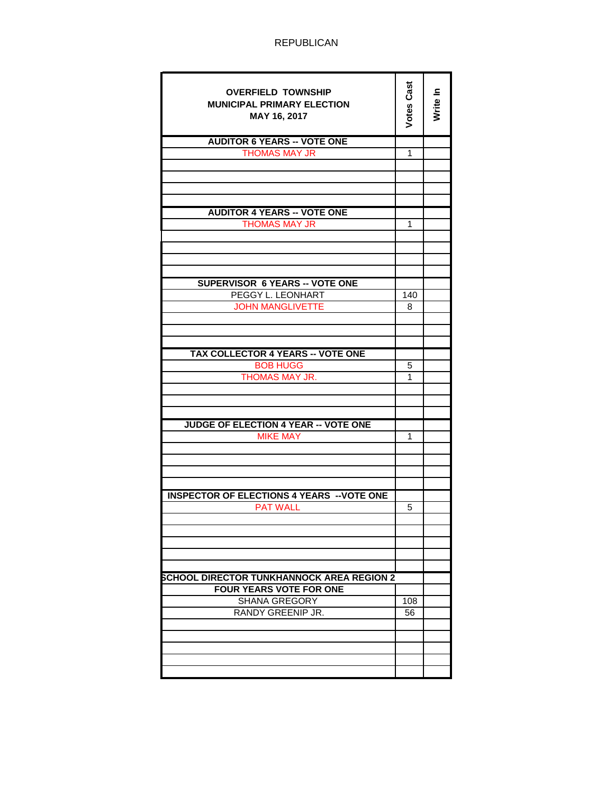| <b>OVERFIELD TOWNSHIP</b><br><b>MUNICIPAL PRIMARY ELECTION</b><br>MAY 16, 2017 | <b>Votes Cast</b> | Write In |
|--------------------------------------------------------------------------------|-------------------|----------|
| <b>AUDITOR 6 YEARS -- VOTE ONE</b>                                             |                   |          |
| <b>THOMAS MAY JR</b>                                                           | 1                 |          |
|                                                                                |                   |          |
|                                                                                |                   |          |
|                                                                                |                   |          |
|                                                                                |                   |          |
| <b>AUDITOR 4 YEARS -- VOTE ONE</b>                                             |                   |          |
| <b>THOMAS MAY JR</b>                                                           | 1                 |          |
|                                                                                |                   |          |
|                                                                                |                   |          |
|                                                                                |                   |          |
|                                                                                |                   |          |
| <b>SUPERVISOR 6 YEARS -- VOTE ONE</b>                                          |                   |          |
| PEGGY L. LEONHART                                                              | 140               |          |
| <b>JOHN MANGLIVETTE</b>                                                        | 8                 |          |
|                                                                                |                   |          |
|                                                                                |                   |          |
|                                                                                |                   |          |
|                                                                                |                   |          |
| <b>TAX COLLECTOR 4 YEARS -- VOTE ONE</b>                                       |                   |          |
| <b>BOB HUGG</b>                                                                | 5                 |          |
| THOMAS MAY JR.                                                                 | 1                 |          |
|                                                                                |                   |          |
|                                                                                |                   |          |
|                                                                                |                   |          |
| JUDGE OF ELECTION 4 YEAR -- VOTE ONE                                           |                   |          |
| <b>MIKE MAY</b>                                                                | 1                 |          |
|                                                                                |                   |          |
|                                                                                |                   |          |
|                                                                                |                   |          |
|                                                                                |                   |          |
| <b>INSPECTOR OF ELECTIONS 4 YEARS -- VOTE ONE</b>                              |                   |          |
| <b>PAT WALL</b>                                                                | 5                 |          |
|                                                                                |                   |          |
|                                                                                |                   |          |
|                                                                                |                   |          |
|                                                                                |                   |          |
|                                                                                |                   |          |
| SCHOOL DIRECTOR TUNKHANNOCK AREA REGION 2                                      |                   |          |
| <b>FOUR YEARS VOTE FOR ONE</b>                                                 |                   |          |
| SHANA GREGORY                                                                  | 108               |          |
| RANDY GREENIP JR.                                                              | 56                |          |
|                                                                                |                   |          |
|                                                                                |                   |          |
|                                                                                |                   |          |
|                                                                                |                   |          |
|                                                                                |                   |          |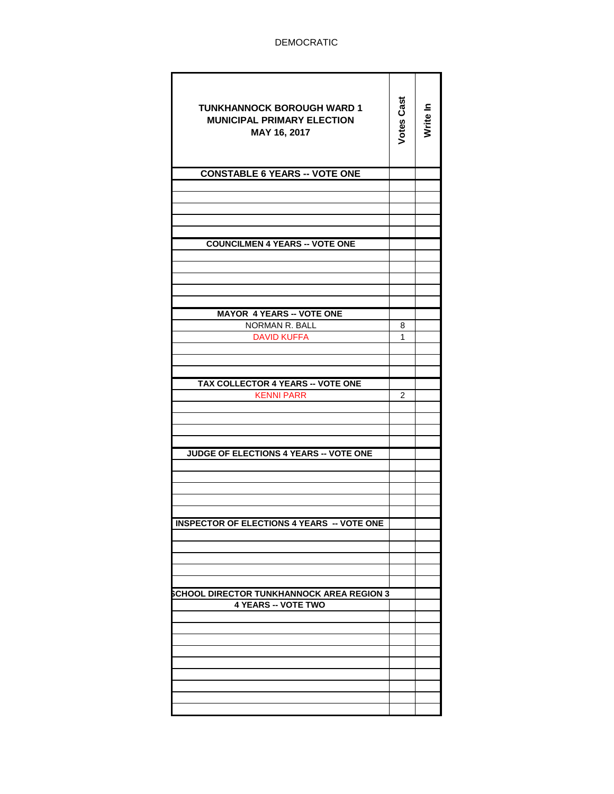| <b>TUNKHANNOCK BOROUGH WARD 1</b><br><b>MUNICIPAL PRIMARY ELECTION</b><br>MAY 16, 2017 | <b>Votes Cast</b> | Write In |
|----------------------------------------------------------------------------------------|-------------------|----------|
| <b>CONSTABLE 6 YEARS -- VOTE ONE</b>                                                   |                   |          |
|                                                                                        |                   |          |
|                                                                                        |                   |          |
|                                                                                        |                   |          |
|                                                                                        |                   |          |
| <b>COUNCILMEN 4 YEARS -- VOTE ONE</b>                                                  |                   |          |
|                                                                                        |                   |          |
|                                                                                        |                   |          |
|                                                                                        |                   |          |
|                                                                                        |                   |          |
| <b>MAYOR 4 YEARS -- VOTE ONE</b>                                                       |                   |          |
| NORMAN R. BALL                                                                         | 8                 |          |
| <b>DAVID KUFFA</b>                                                                     | 1                 |          |
|                                                                                        |                   |          |
|                                                                                        |                   |          |
|                                                                                        |                   |          |
| TAX COLLECTOR 4 YEARS -- VOTE ONE                                                      |                   |          |
| <b>KENNI PARR</b>                                                                      | $\overline{2}$    |          |
|                                                                                        |                   |          |
|                                                                                        |                   |          |
|                                                                                        |                   |          |
| JUDGE OF ELECTIONS 4 YEARS -- VOTE ONE                                                 |                   |          |
|                                                                                        |                   |          |
|                                                                                        |                   |          |
|                                                                                        |                   |          |
|                                                                                        |                   |          |
| <b>INSPECTOR OF ELECTIONS 4 YEARS</b><br>- VOTE ONE                                    |                   |          |
|                                                                                        |                   |          |
|                                                                                        |                   |          |
|                                                                                        |                   |          |
|                                                                                        |                   |          |
| <b>SCHOOL DIRECTOR TUNKHANNOCK AREA REGION 3</b>                                       |                   |          |
| <b>4 YEARS -- VOTE TWO</b>                                                             |                   |          |
|                                                                                        |                   |          |
|                                                                                        |                   |          |
|                                                                                        |                   |          |
|                                                                                        |                   |          |
|                                                                                        |                   |          |
|                                                                                        |                   |          |
|                                                                                        |                   |          |
|                                                                                        |                   |          |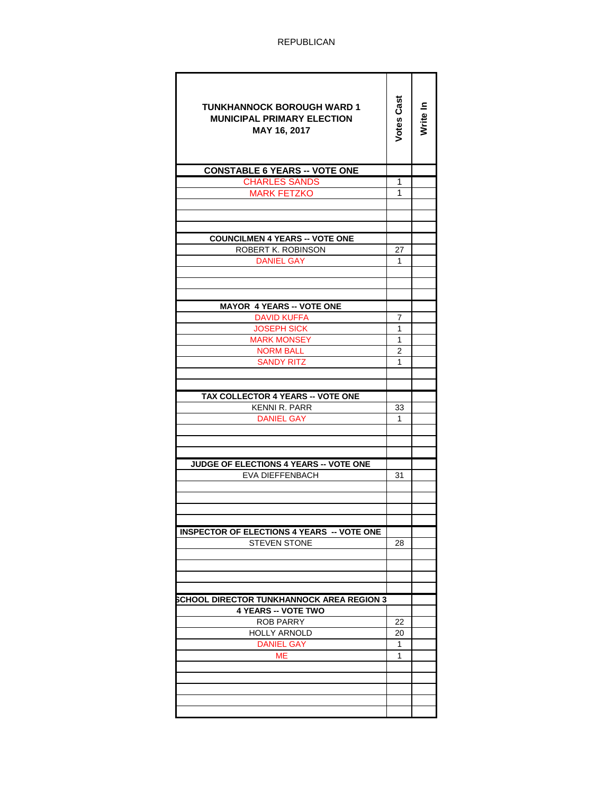| <b>TUNKHANNOCK BOROUGH WARD 1</b><br><b>MUNICIPAL PRIMARY ELECTION</b><br>MAY 16, 2017 | Votes Cast     | Write In |
|----------------------------------------------------------------------------------------|----------------|----------|
| <b>CONSTABLE 6 YEARS -- VOTE ONE</b>                                                   |                |          |
| <b>CHARLES SANDS</b>                                                                   | 1              |          |
| <b>MARK FETZKO</b>                                                                     | 1              |          |
|                                                                                        |                |          |
|                                                                                        |                |          |
| <b>COUNCILMEN 4 YEARS -- VOTE ONE</b>                                                  |                |          |
| ROBERT K. ROBINSON                                                                     | 27             |          |
| DANIEL GAY                                                                             | 1              |          |
|                                                                                        |                |          |
|                                                                                        |                |          |
|                                                                                        |                |          |
| <b>MAYOR 4 YEARS -- VOTE ONE</b>                                                       |                |          |
| <b>DAVID KUFFA</b>                                                                     | 7              |          |
| <b>JOSEPH SICK</b>                                                                     | 1              |          |
| <b>MARK MONSEY</b>                                                                     | 1              |          |
| <b>NORM BALL</b>                                                                       | $\overline{2}$ |          |
| <b>SANDY RITZ</b>                                                                      | 1              |          |
|                                                                                        |                |          |
|                                                                                        |                |          |
| TAX COLLECTOR 4 YEARS -- VOTE ONE                                                      |                |          |
| KENNI R. PARR                                                                          | 33             |          |
| <b>DANIEL GAY</b>                                                                      | 1              |          |
|                                                                                        |                |          |
|                                                                                        |                |          |
| JUDGE OF ELECTIONS 4 YEARS -- VOTE ONE                                                 |                |          |
| <b>EVA DIEFFENBACH</b>                                                                 | 31             |          |
|                                                                                        |                |          |
|                                                                                        |                |          |
|                                                                                        |                |          |
|                                                                                        |                |          |
| <b>INSPECTOR OF ELECTIONS 4 YEARS -- VOTE ONE</b>                                      |                |          |
| <b>STEVEN STONE</b>                                                                    | 28             |          |
|                                                                                        |                |          |
|                                                                                        |                |          |
|                                                                                        |                |          |
|                                                                                        |                |          |
| SCHOOL DIRECTOR TUNKHANNOCK AREA REGION 3                                              |                |          |
| <b>4 YEARS -- VOTE TWO</b>                                                             |                |          |
| <b>ROB PARRY</b>                                                                       | 22             |          |
| <b>HOLLY ARNOLD</b>                                                                    | 20             |          |
| <b>DANIEL GAY</b>                                                                      | 1              |          |
| МE                                                                                     | 1              |          |
|                                                                                        |                |          |
|                                                                                        |                |          |
|                                                                                        |                |          |
|                                                                                        |                |          |
|                                                                                        |                |          |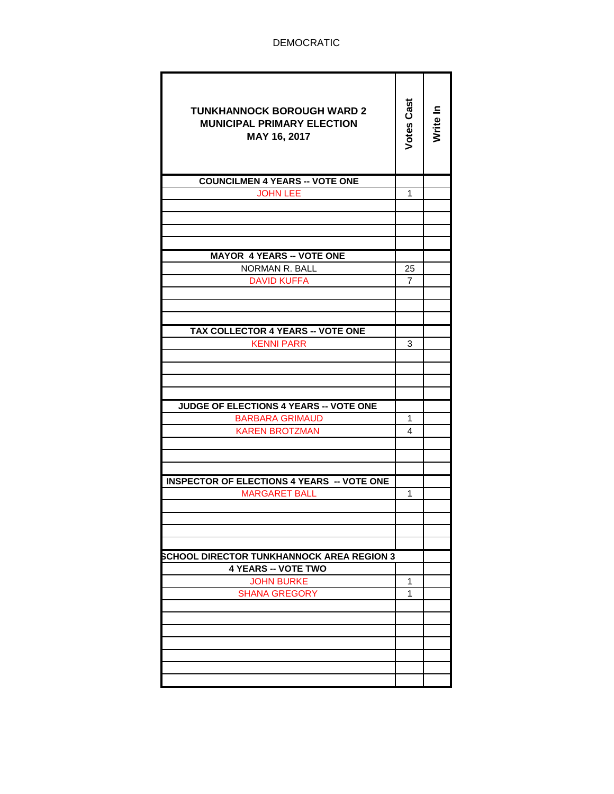| <b>TUNKHANNOCK BOROUGH WARD 2</b><br><b>MUNICIPAL PRIMARY ELECTION</b><br>MAY 16, 2017 | <b>Votes Cast</b> | Write In |
|----------------------------------------------------------------------------------------|-------------------|----------|
| <b>COUNCILMEN 4 YEARS -- VOTE ONE</b>                                                  |                   |          |
| <b>JOHN LEE</b>                                                                        | 1                 |          |
|                                                                                        |                   |          |
|                                                                                        |                   |          |
|                                                                                        |                   |          |
|                                                                                        |                   |          |
| <b>MAYOR 4 YEARS -- VOTE ONE</b><br>NORMAN R. BALL                                     |                   |          |
|                                                                                        | 25                |          |
| <b>DAVID KUFFA</b>                                                                     | 7                 |          |
|                                                                                        |                   |          |
|                                                                                        |                   |          |
| TAX COLLECTOR 4 YEARS -- VOTE ONE                                                      |                   |          |
| <b>KENNI PARR</b>                                                                      | 3                 |          |
|                                                                                        |                   |          |
|                                                                                        |                   |          |
|                                                                                        |                   |          |
|                                                                                        |                   |          |
| <b>JUDGE OF ELECTIONS 4 YEARS -- VOTE ONE</b>                                          |                   |          |
| <b>BARBARA GRIMAUD</b>                                                                 | 1                 |          |
| <b>KAREN BROTZMAN</b>                                                                  | 4                 |          |
|                                                                                        |                   |          |
|                                                                                        |                   |          |
| <b>INSPECTOR OF ELECTIONS 4 YEARS -- VOTE ONE</b>                                      |                   |          |
| <b>MARGARET BALL</b>                                                                   | 1                 |          |
|                                                                                        |                   |          |
|                                                                                        |                   |          |
|                                                                                        |                   |          |
|                                                                                        |                   |          |
| <b>SCHOOL DIRECTOR TUNKHANNOCK AREA REGION 3</b>                                       |                   |          |
| <b>4 YEARS -- VOTE TWO</b>                                                             |                   |          |
| <b>JOHN BURKE</b>                                                                      | 1                 |          |
| <b>SHANA GREGORY</b>                                                                   | 1                 |          |
|                                                                                        |                   |          |
|                                                                                        |                   |          |
|                                                                                        |                   |          |
|                                                                                        |                   |          |
|                                                                                        |                   |          |
|                                                                                        |                   |          |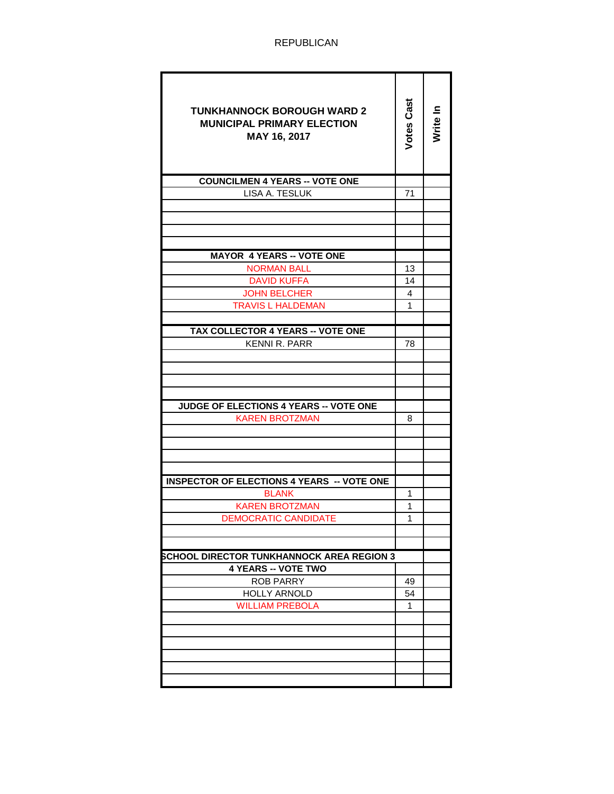| <b>TUNKHANNOCK BOROUGH WARD 2</b><br><b>MUNICIPAL PRIMARY ELECTION</b><br>MAY 16, 2017 | Votes Cast | Write In |
|----------------------------------------------------------------------------------------|------------|----------|
| <b>COUNCILMEN 4 YEARS -- VOTE ONE</b>                                                  |            |          |
| LISA A. TESLUK                                                                         | 71         |          |
|                                                                                        |            |          |
|                                                                                        |            |          |
|                                                                                        |            |          |
|                                                                                        |            |          |
| <b>MAYOR 4 YEARS -- VOTE ONE</b>                                                       |            |          |
| <b>NORMAN BALL</b>                                                                     | 13         |          |
| <b>DAVID KUFFA</b>                                                                     | 14         |          |
| <b>JOHN BELCHER</b>                                                                    | 4          |          |
| <b>TRAVIS L HALDEMAN</b>                                                               | 1          |          |
| TAX COLLECTOR 4 YEARS -- VOTE ONE                                                      |            |          |
| <b>KENNI R. PARR</b>                                                                   | 78         |          |
|                                                                                        |            |          |
|                                                                                        |            |          |
|                                                                                        |            |          |
|                                                                                        |            |          |
| JUDGE OF ELECTIONS 4 YEARS -- VOTE ONE                                                 |            |          |
| <b>KAREN BROTZMAN</b>                                                                  | 8          |          |
|                                                                                        |            |          |
|                                                                                        |            |          |
|                                                                                        |            |          |
|                                                                                        |            |          |
| <b>INSPECTOR OF ELECTIONS 4 YEARS -- VOTE ONE</b>                                      |            |          |
| <b>BLANK</b>                                                                           | 1          |          |
| <b>KAREN BROTZMAN</b>                                                                  | 1          |          |
| <b>DEMOCRATIC CANDIDATE</b>                                                            | 1          |          |
|                                                                                        |            |          |
|                                                                                        |            |          |
| SCHOOL DIRECTOR TUNKHANNOCK AREA REGION 3<br><b>4 YEARS -- VOTE TWO</b>                |            |          |
|                                                                                        |            |          |
| <b>ROB PARRY</b><br><b>HOLLY ARNOLD</b>                                                | 49<br>54   |          |
| <b>WILLIAM PREBOLA</b>                                                                 | 1          |          |
|                                                                                        |            |          |
|                                                                                        |            |          |
|                                                                                        |            |          |
|                                                                                        |            |          |
|                                                                                        |            |          |
|                                                                                        |            |          |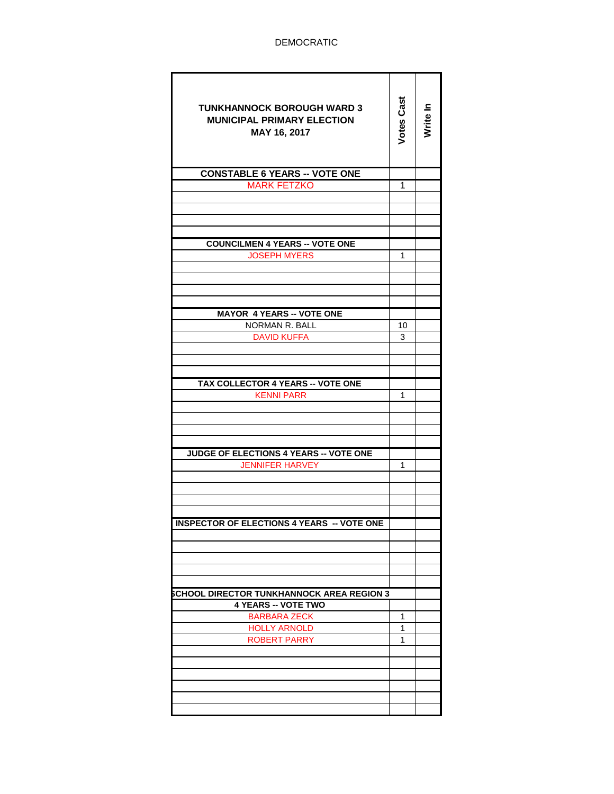| <b>TUNKHANNOCK BOROUGH WARD 3</b><br><b>MUNICIPAL PRIMARY ELECTION</b><br>MAY 16, 2017 | <b>Votes Cast</b> | Write In |
|----------------------------------------------------------------------------------------|-------------------|----------|
| <b>CONSTABLE 6 YEARS -- VOTE ONE</b>                                                   |                   |          |
| <b>MARK FETZKO</b>                                                                     | 1                 |          |
|                                                                                        |                   |          |
|                                                                                        |                   |          |
|                                                                                        |                   |          |
|                                                                                        |                   |          |
| <b>COUNCILMEN 4 YEARS -- VOTE ONE</b><br><b>JOSEPH MYERS</b>                           | 1                 |          |
|                                                                                        |                   |          |
|                                                                                        |                   |          |
|                                                                                        |                   |          |
|                                                                                        |                   |          |
| <b>MAYOR 4 YEARS -- VOTE ONE</b>                                                       |                   |          |
| NORMAN R. BALL                                                                         | 10                |          |
| <b>DAVID KUFFA</b>                                                                     | 3                 |          |
|                                                                                        |                   |          |
|                                                                                        |                   |          |
| TAX COLLECTOR 4 YEARS -- VOTE ONE                                                      |                   |          |
| <b>KENNI PARR</b>                                                                      | 1                 |          |
|                                                                                        |                   |          |
|                                                                                        |                   |          |
|                                                                                        |                   |          |
|                                                                                        |                   |          |
| <b>JUDGE OF ELECTIONS 4 YEARS -- VOTE ONE</b>                                          |                   |          |
| <b>JENNIFER HARVEY</b>                                                                 | 1                 |          |
|                                                                                        |                   |          |
|                                                                                        |                   |          |
|                                                                                        |                   |          |
| <b>INSPECTOR OF ELECTIONS 4 YEARS -- VOTE ONE</b>                                      |                   |          |
|                                                                                        |                   |          |
|                                                                                        |                   |          |
|                                                                                        |                   |          |
|                                                                                        |                   |          |
|                                                                                        |                   |          |
| <b>SCHOOL DIRECTOR TUNKHANNOCK AREA REGION 3</b><br><b>4 YEARS -- VOTE TWO</b>         |                   |          |
| <b>BARBARA ZECK</b>                                                                    | 1                 |          |
| <b>HOLLY ARNOLD</b>                                                                    | 1                 |          |
| ROBERT PARRY                                                                           | 1                 |          |
|                                                                                        |                   |          |
|                                                                                        |                   |          |
|                                                                                        |                   |          |
|                                                                                        |                   |          |
|                                                                                        |                   |          |
|                                                                                        |                   |          |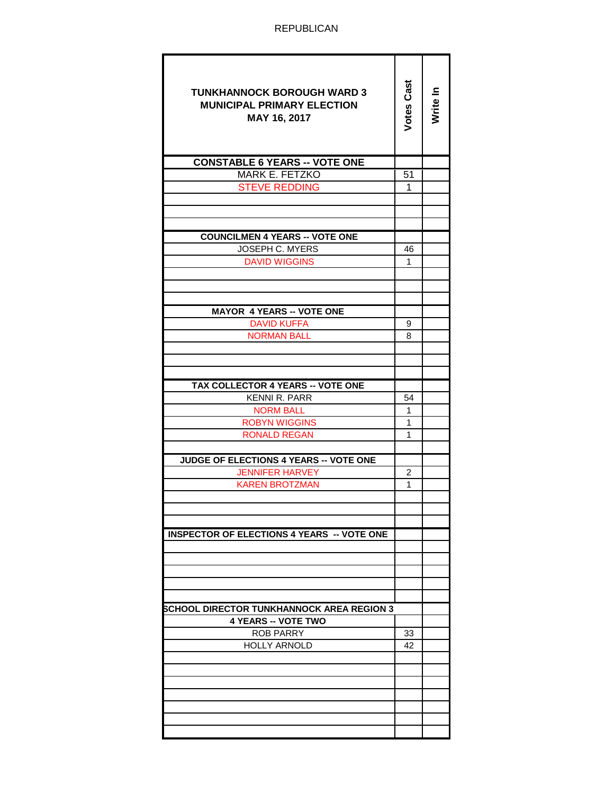REPUBLICAN

| <b>TUNKHANNOCK BOROUGH WARD 3</b><br><b>MUNICIPAL PRIMARY ELECTION</b><br>MAY 16, 2017 | Votes Cast | Write In |
|----------------------------------------------------------------------------------------|------------|----------|
| <b>CONSTABLE 6 YEARS -- VOTE ONE</b>                                                   |            |          |
| <b>MARK E. FETZKO</b>                                                                  | 51         |          |
| <b>STEVE REDDING</b>                                                                   | 1          |          |
|                                                                                        |            |          |
|                                                                                        |            |          |
|                                                                                        |            |          |
| <b>COUNCILMEN 4 YEARS -- VOTE ONE</b>                                                  |            |          |
| JOSEPH C. MYERS                                                                        | 46         |          |
| <b>DAVID WIGGINS</b>                                                                   | 1          |          |
|                                                                                        |            |          |
|                                                                                        |            |          |
| <b>MAYOR 4 YEARS -- VOTE ONE</b>                                                       |            |          |
| <b>DAVID KUFFA</b>                                                                     | 9          |          |
| <b>NORMAN BALL</b>                                                                     | 8          |          |
|                                                                                        |            |          |
|                                                                                        |            |          |
|                                                                                        |            |          |
| <b>TAX COLLECTOR 4 YEARS -- VOTE ONE</b>                                               |            |          |
| KENNI R. PARR                                                                          | 54         |          |
| <b>NORM BALL</b>                                                                       | 1          |          |
| <b>ROBYN WIGGINS</b><br><b>RONALD REGAN</b>                                            | 1<br>1     |          |
|                                                                                        |            |          |
| JUDGE OF ELECTIONS 4 YEARS -- VOTE ONE                                                 |            |          |
| <b>JENNIFER HARVEY</b>                                                                 | 2          |          |
| <b>KAREN BROTZMAN</b>                                                                  | 1          |          |
|                                                                                        |            |          |
|                                                                                        |            |          |
|                                                                                        |            |          |
| <b>INSPECTOR OF ELECTIONS 4 YEARS -- VOTE ONE</b>                                      |            |          |
|                                                                                        |            |          |
|                                                                                        |            |          |
|                                                                                        |            |          |
|                                                                                        |            |          |
| SCHOOL DIRECTOR TUNKHANNOCK AREA REGION 3                                              |            |          |
| <b>4 YEARS -- VOTE TWO</b>                                                             |            |          |
| <b>ROB PARRY</b>                                                                       | 33         |          |
| <b>HOLLY ARNOLD</b>                                                                    | 42         |          |
|                                                                                        |            |          |
|                                                                                        |            |          |
|                                                                                        |            |          |
|                                                                                        |            |          |
|                                                                                        |            |          |
|                                                                                        |            |          |
|                                                                                        |            |          |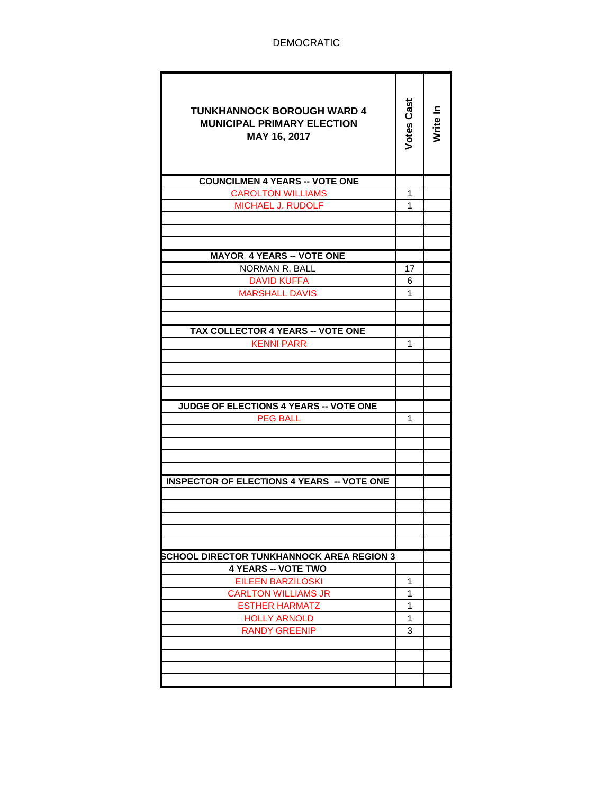| <b>TUNKHANNOCK BOROUGH WARD 4</b><br><b>MUNICIPAL PRIMARY ELECTION</b><br>MAY 16, 2017 | Votes Cast | Write In |
|----------------------------------------------------------------------------------------|------------|----------|
| <b>COUNCILMEN 4 YEARS -- VOTE ONE</b>                                                  |            |          |
| <b>CAROLTON WILLIAMS</b>                                                               | 1          |          |
| <b>MICHAEL J. RUDOLF</b>                                                               | 1          |          |
|                                                                                        |            |          |
|                                                                                        |            |          |
|                                                                                        |            |          |
| <b>MAYOR 4 YEARS -- VOTE ONE</b>                                                       |            |          |
| <b>NORMAN R. BALL</b>                                                                  | 17         |          |
| <b>DAVID KUFFA</b>                                                                     | 6          |          |
| <b>MARSHALL DAVIS</b>                                                                  | 1          |          |
|                                                                                        |            |          |
|                                                                                        |            |          |
| <b>TAX COLLECTOR 4 YEARS -- VOTE ONE</b>                                               |            |          |
| <b>KENNI PARR</b>                                                                      | 1          |          |
|                                                                                        |            |          |
|                                                                                        |            |          |
|                                                                                        |            |          |
| <b>JUDGE OF ELECTIONS 4 YEARS -- VOTE ONE</b>                                          |            |          |
| <b>PEG BALL</b>                                                                        | 1          |          |
|                                                                                        |            |          |
|                                                                                        |            |          |
|                                                                                        |            |          |
|                                                                                        |            |          |
| <b>INSPECTOR OF ELECTIONS 4 YEARS -- VOTE ONE</b>                                      |            |          |
|                                                                                        |            |          |
|                                                                                        |            |          |
|                                                                                        |            |          |
|                                                                                        |            |          |
|                                                                                        |            |          |
| <b>SCHOOL DIRECTOR TUNKHANNOCK AREA REGION 3</b>                                       |            |          |
| <b>4 YEARS -- VOTE TWO</b>                                                             |            |          |
| EILEEN BARZILOSKI                                                                      | 1          |          |
| <b>CARLTON WILLIAMS JR</b>                                                             | 1          |          |
| <b>ESTHER HARMATZ</b>                                                                  | 1          |          |
| <b>HOLLY ARNOLD</b>                                                                    | 1<br>3     |          |
| <b>RANDY GREENIP</b>                                                                   |            |          |
|                                                                                        |            |          |
|                                                                                        |            |          |
|                                                                                        |            |          |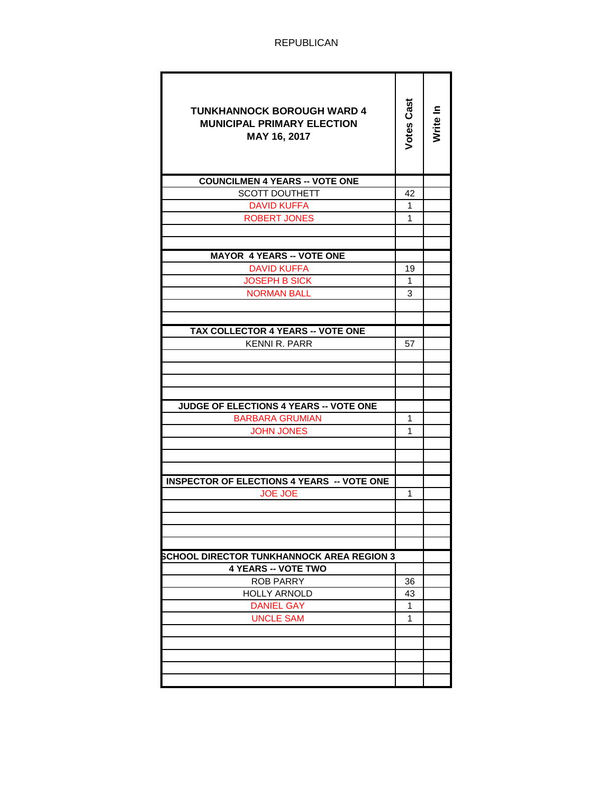| <b>TUNKHANNOCK BOROUGH WARD 4</b><br><b>MUNICIPAL PRIMARY ELECTION</b><br>MAY 16, 2017 | <b>Votes Cast</b> | Nrite In |
|----------------------------------------------------------------------------------------|-------------------|----------|
| <b>COUNCILMEN 4 YEARS -- VOTE ONE</b>                                                  |                   |          |
| <b>SCOTT DOUTHETT</b>                                                                  | 42                |          |
| <b>DAVID KUFFA</b>                                                                     | 1                 |          |
| <b>ROBERT JONES</b>                                                                    | 1                 |          |
|                                                                                        |                   |          |
|                                                                                        |                   |          |
| <b>MAYOR 4 YEARS -- VOTE ONE</b>                                                       |                   |          |
| <b>DAVID KUFFA</b>                                                                     | 19                |          |
| <b>JOSEPH B SICK</b>                                                                   | 1                 |          |
| <b>NORMAN BALL</b>                                                                     | 3                 |          |
|                                                                                        |                   |          |
| <b>TAX COLLECTOR 4 YEARS -- VOTE ONE</b>                                               |                   |          |
| <b>KENNI R. PARR</b>                                                                   | 57                |          |
|                                                                                        |                   |          |
|                                                                                        |                   |          |
|                                                                                        |                   |          |
|                                                                                        |                   |          |
| <b>JUDGE OF ELECTIONS 4 YEARS -- VOTE ONE</b>                                          |                   |          |
| <b>BARBARA GRUMIAN</b>                                                                 | 1                 |          |
| <b>JOHN JONES</b>                                                                      | 1                 |          |
|                                                                                        |                   |          |
|                                                                                        |                   |          |
|                                                                                        |                   |          |
| <b>INSPECTOR OF ELECTIONS 4 YEARS -- VOTE ONE</b>                                      |                   |          |
| <b>JOE JOE</b>                                                                         | 1                 |          |
|                                                                                        |                   |          |
|                                                                                        |                   |          |
|                                                                                        |                   |          |
| SCHOOL DIRECTOR TUNKHANNOCK AREA REGION 3                                              |                   |          |
| <b>4 YEARS -- VOTE TWO</b>                                                             |                   |          |
| <b>ROB PARRY</b>                                                                       | 36                |          |
| <b>HOLLY ARNOLD</b>                                                                    | 43                |          |
| <b>DANIEL GAY</b>                                                                      | 1                 |          |
| <b>UNCLE SAM</b>                                                                       | 1                 |          |
|                                                                                        |                   |          |
|                                                                                        |                   |          |
|                                                                                        |                   |          |
|                                                                                        |                   |          |
|                                                                                        |                   |          |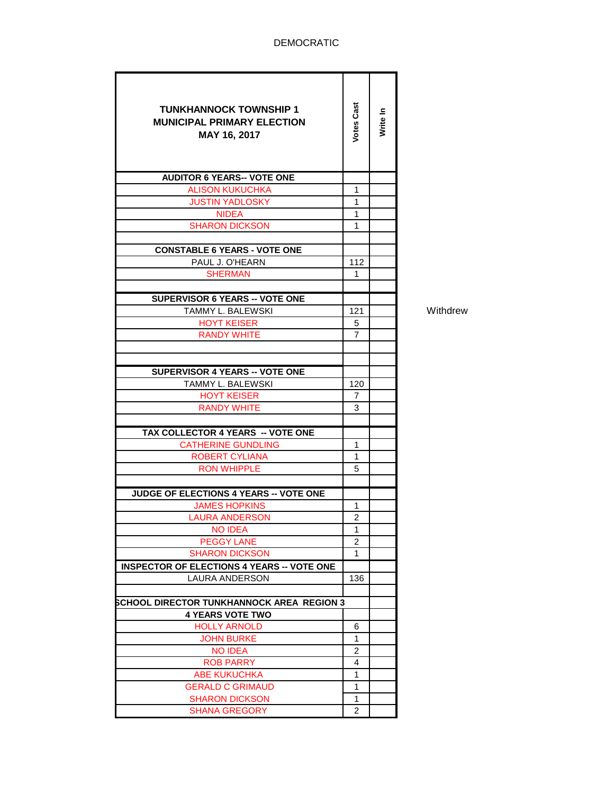## DEMOCRATIC

| <b>TUNKHANNOCK TOWNSHIP 1</b><br><b>MUNICIPAL PRIMARY ELECTION</b><br>MAY 16, 2017 | Votes Cast     | Write In |
|------------------------------------------------------------------------------------|----------------|----------|
| <b>AUDITOR 6 YEARS-- VOTE ONE</b>                                                  |                |          |
| <b>ALISON KUKUCHKA</b>                                                             | 1              |          |
| <b>JUSTIN YADLOSKY</b>                                                             | 1              |          |
| NIDEA                                                                              | 1              |          |
| <b>SHARON DICKSON</b>                                                              | 1              |          |
|                                                                                    |                |          |
| <b>CONSTABLE 6 YEARS - VOTE ONE</b>                                                |                |          |
| PAUL J. O'HEARN                                                                    | 112            |          |
| <b>SHERMAN</b>                                                                     | 1              |          |
|                                                                                    |                |          |
| <b>SUPERVISOR 6 YEARS -- VOTE ONE</b>                                              |                |          |
| TAMMY L. BALEWSKI                                                                  | 121            |          |
| <b>HOYT KEISER</b>                                                                 | 5              |          |
| <b>RANDY WHITE</b>                                                                 | 7              |          |
|                                                                                    |                |          |
| <b>SUPERVISOR 4 YEARS -- VOTE ONE</b>                                              |                |          |
| <b>TAMMY L. BALEWSKI</b>                                                           | 120            |          |
| <b>HOYT KEISER</b>                                                                 | 7              |          |
| <b>RANDY WHITE</b>                                                                 | 3              |          |
|                                                                                    |                |          |
| TAX COLLECTOR 4 YEARS -- VOTE ONE                                                  |                |          |
| <b>CATHERINE GUNDLING</b>                                                          | 1              |          |
| <b>ROBERT CYLIANA</b>                                                              | 1              |          |
| <b>RON WHIPPLE</b>                                                                 | 5              |          |
|                                                                                    |                |          |
| JUDGE OF ELECTIONS 4 YEARS -- VOTE ONE                                             |                |          |
| <b>JAMES HOPKINS</b>                                                               | 1              |          |
| <b>LAURA ANDERSON</b>                                                              | $\mathfrak{p}$ |          |
| <b>NO IDEA</b>                                                                     | 1              |          |
| <b>PEGGY LANE</b>                                                                  | $\overline{2}$ |          |
| <b>SHARON DICKSON</b>                                                              | 1              |          |
| <b>INSPECTOR OF ELECTIONS 4 YEARS -- VOTE ONE</b>                                  |                |          |
| <b>LAURA ANDERSON</b>                                                              | 136            |          |
|                                                                                    |                |          |
| SCHOOL DIRECTOR TUNKHANNOCK AREA REGION 3                                          |                |          |
| <b>4 YEARS VOTE TWO</b>                                                            |                |          |
| <b>HOLLY ARNOLD</b>                                                                | 6              |          |
| <b>JOHN BURKE</b>                                                                  | 1              |          |
| <b>NO IDEA</b>                                                                     | 2              |          |
| <b>ROB PARRY</b>                                                                   | 4              |          |
| <b>ABE KUKUCHKA</b><br><b>GERALD C GRIMAUD</b>                                     | 1<br>1         |          |
|                                                                                    | 1              |          |
| <b>SHARON DICKSON</b><br><b>SHANA GREGORY</b>                                      | 2              |          |
|                                                                                    |                |          |

Withdrew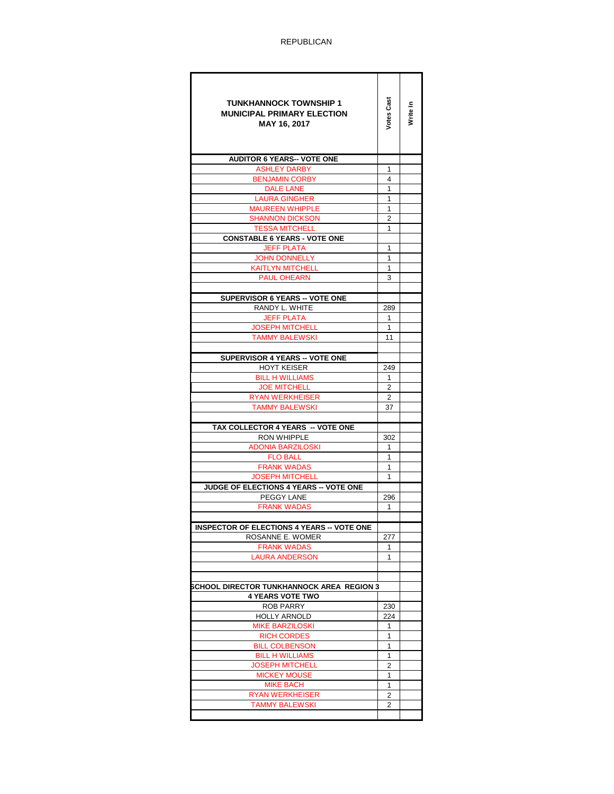ī

T

| <b>TUNKHANNOCK TOWNSHIP 1</b><br><b>MUNICIPAL PRIMARY ELECTION</b><br>MAY 16, 2017 | Votes Cas | Write In |
|------------------------------------------------------------------------------------|-----------|----------|
| <b>AUDITOR 6 YEARS-- VOTE ONE</b>                                                  |           |          |
| <b>ASHLEY DARBY</b>                                                                | 1         |          |
| <b>BENJAMIN CORBY</b>                                                              | 4         |          |
| <b>DALE LANE</b>                                                                   | 1<br>1    |          |
| <b>LAURA GINGHER</b><br><b>MAUREEN WHIPPLE</b>                                     | 1         |          |
| <b>SHANNON DICKSON</b>                                                             | 2         |          |
| <b>TESSA MITCHELL</b>                                                              | 1         |          |
| <b>CONSTABLE 6 YEARS - VOTE ONE</b>                                                |           |          |
| <b>JEFF PLATA</b>                                                                  | 1         |          |
| <b>JOHN DONNELLY</b>                                                               | 1         |          |
| <b>KAITLYN MITCHELL</b>                                                            | 1         |          |
| <b>PAUL OHEARN</b>                                                                 | 3         |          |
|                                                                                    |           |          |
| <b>SUPERVISOR 6 YEARS -- VOTE ONE</b>                                              |           |          |
| RANDY L. WHITE                                                                     | 289       |          |
| JEFF PLATA                                                                         | 1         |          |
| <b>JOSEPH MITCHELL</b>                                                             | 1<br>11   |          |
| <b>TAMMY BALEWSKI</b>                                                              |           |          |
| <b>SUPERVISOR 4 YEARS -- VOTE ONE</b>                                              |           |          |
| <b>HOYT KEISER</b>                                                                 | 249       |          |
| <b>BILL H WILLIAMS</b>                                                             | 1         |          |
| <b>JOE MITCHELL</b>                                                                | 2         |          |
| <b>RYAN WERKHEISER</b>                                                             | 2         |          |
| <b>TAMMY BALEWSKI</b>                                                              | 37        |          |
|                                                                                    |           |          |
| TAX COLLECTOR 4 YEARS -- VOTE ONE                                                  |           |          |
| <b>RON WHIPPLE</b>                                                                 | 302       |          |
| <b>ADONIA BARZILOSKI</b>                                                           | 1.        |          |
| <b>FLO BALL</b>                                                                    | 1         |          |
| <b>FRANK WADAS</b><br><b>JOSEPH MITCHELL</b>                                       | 1<br>1    |          |
| JUDGE OF ELECTIONS 4 YEARS -- VOTE ONE                                             |           |          |
| PEGGY LANE                                                                         | 296       |          |
| <b>FRANK WADAS</b>                                                                 | 1         |          |
|                                                                                    |           |          |
| <b>INSPECTOR OF ELECTIONS 4 YEARS .</b><br>. VOTF ONF                              |           |          |
| ROSANNE E. WOMER                                                                   | 277       |          |
| <b>FRANK WADAS</b>                                                                 | 1         |          |
| <b>LAURA ANDERSON</b>                                                              | 1         |          |
|                                                                                    |           |          |
|                                                                                    |           |          |
| SCHOOL DIRECTOR TUNKHANNOCK AREA  REGION 3                                         |           |          |
| <b>4 YEARS VOTE TWO</b><br><b>ROB PARRY</b>                                        | 230       |          |
| <b>HOLLY ARNOLD</b>                                                                | 224       |          |
| <b>MIKE BARZILOSKI</b>                                                             | 1         |          |
| <b>RICH CORDES</b>                                                                 | 1         |          |
| <b>BILL COLBENSON</b>                                                              | 1         |          |
| <b>BILL H WILLIAMS</b>                                                             | 1         |          |
| <b>JOSEPH MITCHELL</b>                                                             | 2         |          |
| <b>MICKEY MOUSE</b>                                                                | 1         |          |
| <b>MIKE BACH</b>                                                                   | 1         |          |
| <b>RYAN WERKHEISER</b>                                                             | 2         |          |
| <b>TAMMY BALEWSKI</b>                                                              | 2         |          |
|                                                                                    |           |          |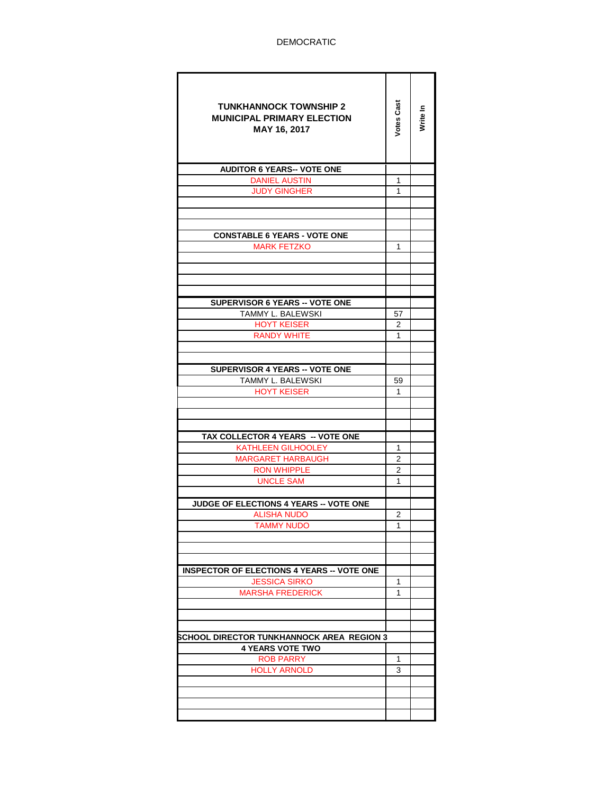| <b>TUNKHANNOCK TOWNSHIP 2</b><br><b>MUNICIPAL PRIMARY ELECTION</b><br>MAY 16, 2017 | <b>Votes Cast</b> | Write In |
|------------------------------------------------------------------------------------|-------------------|----------|
| <b>AUDITOR 6 YEARS-- VOTE ONE</b>                                                  |                   |          |
| <b>DANIEL AUSTIN</b>                                                               | 1                 |          |
| <b>JUDY GINGHER</b>                                                                | 1                 |          |
|                                                                                    |                   |          |
|                                                                                    |                   |          |
|                                                                                    |                   |          |
| <b>CONSTABLE 6 YEARS - VOTE ONE</b>                                                |                   |          |
| <b>MARK FETZKO</b>                                                                 | 1                 |          |
|                                                                                    |                   |          |
|                                                                                    |                   |          |
|                                                                                    |                   |          |
| <b>SUPERVISOR 6 YEARS -- VOTE ONE</b>                                              |                   |          |
| TAMMY L. BALEWSKI                                                                  | 57                |          |
| <b>HOYT KEISER</b>                                                                 | 2                 |          |
| <b>RANDY WHITE</b>                                                                 | 1                 |          |
|                                                                                    |                   |          |
|                                                                                    |                   |          |
| SUPERVISOR 4 YEARS -- VOTE ONE                                                     |                   |          |
| TAMMY L. BALEWSKI                                                                  | 59                |          |
| <b>HOYT KEISER</b>                                                                 | 1                 |          |
|                                                                                    |                   |          |
|                                                                                    |                   |          |
|                                                                                    |                   |          |
| TAX COLLECTOR 4 YEARS -- VOTE ONE                                                  |                   |          |
| <b>KATHLEEN GILHOOLEY</b>                                                          | 1                 |          |
| <b>MARGARET HARBAUGH</b>                                                           | 2                 |          |
| <b>RON WHIPPLE</b>                                                                 | 2                 |          |
| <b>UNCLE SAM</b>                                                                   | 1                 |          |
|                                                                                    |                   |          |
| JUDGE OF ELECTIONS 4 YEARS -- VOTE ONE                                             |                   |          |
| <b>ALISHA NUDO</b>                                                                 | 2                 |          |
| tammy nudo                                                                         | 1                 |          |
|                                                                                    |                   |          |
|                                                                                    |                   |          |
| <b>INSPECTOR OF ELECTIONS 4 YEARS -- VOTE ONE</b>                                  |                   |          |
| <b>JESSICA SIRKO</b>                                                               | 1                 |          |
| <b>MARSHA FREDERICK</b>                                                            | 1                 |          |
|                                                                                    |                   |          |
|                                                                                    |                   |          |
|                                                                                    |                   |          |
| SCHOOL DIRECTOR TUNKHANNOCK AREA  REGION 3                                         |                   |          |
| <b>4 YEARS VOTE TWO</b>                                                            |                   |          |
| <b>ROB PARRY</b>                                                                   | 1                 |          |
| <b>HOLLY ARNOLD</b>                                                                | 3                 |          |
|                                                                                    |                   |          |
|                                                                                    |                   |          |
|                                                                                    |                   |          |
|                                                                                    |                   |          |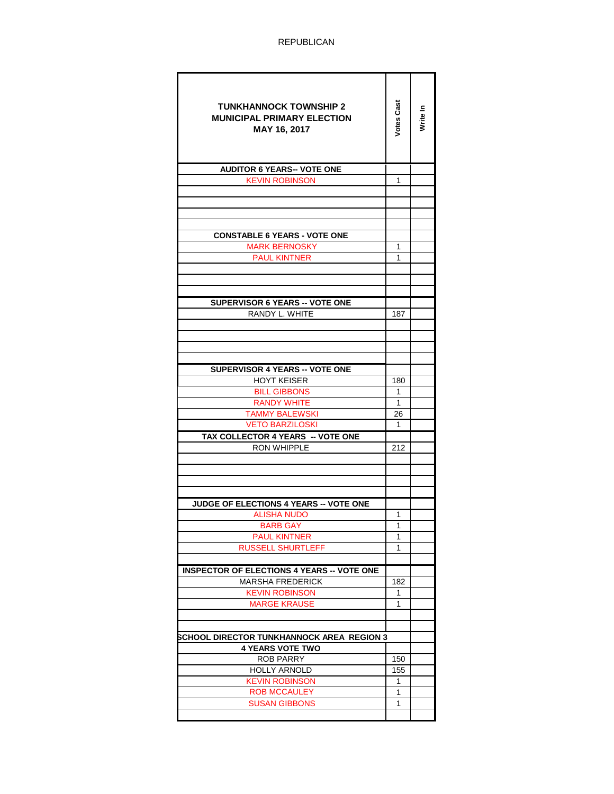| <b>TUNKHANNOCK TOWNSHIP 2</b><br><b>MUNICIPAL PRIMARY ELECTION</b><br>MAY 16, 2017 | Votes Cas    | Write In |
|------------------------------------------------------------------------------------|--------------|----------|
| <b>AUDITOR 6 YEARS-- VOTE ONE</b>                                                  |              |          |
| <b>KEVIN ROBINSON</b>                                                              | 1            |          |
|                                                                                    |              |          |
|                                                                                    |              |          |
|                                                                                    |              |          |
| <b>CONSTABLE 6 YEARS - VOTE ONE</b>                                                |              |          |
| <b>MARK BERNOSKY</b>                                                               | 1            |          |
| <b>PAUL KINTNER</b>                                                                | 1            |          |
|                                                                                    |              |          |
|                                                                                    |              |          |
|                                                                                    |              |          |
| <b>SUPERVISOR 6 YEARS -- VOTE ONE</b>                                              |              |          |
| RANDY L. WHITE                                                                     | 187          |          |
|                                                                                    |              |          |
|                                                                                    |              |          |
|                                                                                    |              |          |
|                                                                                    |              |          |
| <b>SUPERVISOR 4 YEARS -- VOTE ONE</b>                                              |              |          |
| <b>HOYT KEISER</b>                                                                 | 180          |          |
| <b>BILL GIBBONS</b>                                                                | 1            |          |
| <b>RANDY WHITE</b>                                                                 | $\mathbf{1}$ |          |
| <b>TAMMY BALEWSKI</b>                                                              | 26           |          |
| <b>VETO BARZILOSKI</b>                                                             | 1            |          |
| TAX COLLECTOR 4 YEARS -- VOTE ONE                                                  |              |          |
| <b>RON WHIPPLE</b>                                                                 | 212          |          |
|                                                                                    |              |          |
|                                                                                    |              |          |
|                                                                                    |              |          |
|                                                                                    |              |          |
| JUDGE OF ELECTIONS 4 YEARS -- VOTE ONE                                             |              |          |
| ALISHA NUDO                                                                        | 1            |          |
| <b>BARB GAY</b>                                                                    | 1            |          |
| <b>PAUL KINTNER</b>                                                                | 1            |          |
| RUSSELL SHURTLEFF                                                                  | 1            |          |
|                                                                                    |              |          |
| <b>INSPECTOR OF ELECTIONS 4 YEARS -- VOTE ONE</b><br>MARSHA FREDERICK              | 182          |          |
| KEVIN ROBINSON                                                                     | 1            |          |
| <b>MARGE KRAUSE</b>                                                                | 1            |          |
|                                                                                    |              |          |
|                                                                                    |              |          |
| SCHOOL DIRECTOR TUNKHANNOCK AREA  REGION 3                                         |              |          |
| <b>4 YEARS VOTE TWO</b>                                                            |              |          |
| <b>ROB PARRY</b>                                                                   | 150          |          |
| <b>HOLLY ARNOLD</b>                                                                | 155          |          |
| <b>KEVIN ROBINSON</b>                                                              | 1            |          |
| <b>ROB MCCAULEY</b>                                                                | 1            |          |
| <b>SUSAN GIBBONS</b>                                                               | 1            |          |
|                                                                                    |              |          |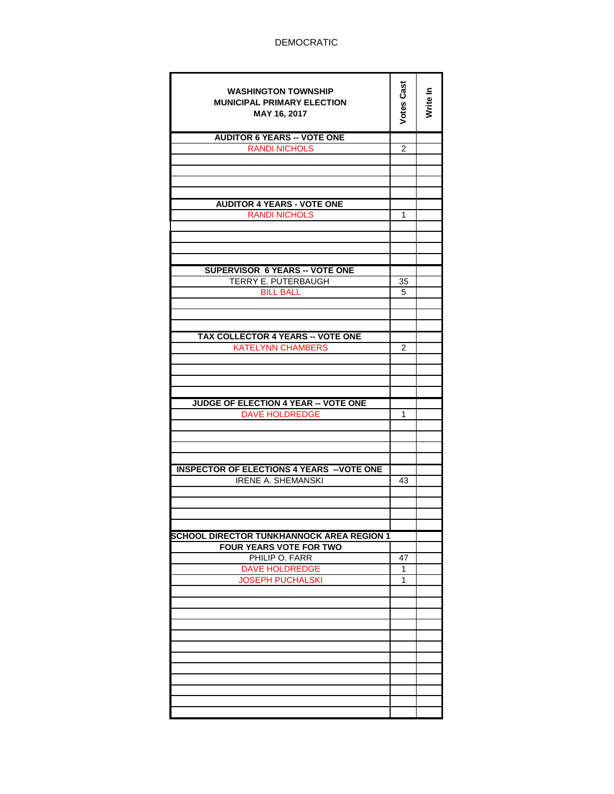| <b>WASHINGTON TOWNSHIP</b><br><b>MUNICIPAL PRIMARY ELECTION</b><br>MAY 16, 2017 | <b>Votes Cast</b> | Write In |
|---------------------------------------------------------------------------------|-------------------|----------|
| <b>AUDITOR 6 YEARS -- VOTE ONE</b>                                              |                   |          |
| <b>RANDI NICHOLS</b>                                                            | $\overline{2}$    |          |
|                                                                                 |                   |          |
|                                                                                 |                   |          |
|                                                                                 |                   |          |
| <b>AUDITOR 4 YEARS - VOTE ONE</b>                                               |                   |          |
| <b>RANDI NICHOLS</b>                                                            | 1                 |          |
|                                                                                 |                   |          |
|                                                                                 |                   |          |
|                                                                                 |                   |          |
|                                                                                 |                   |          |
| <b>SUPERVISOR 6 YEARS -- VOTE ONE</b>                                           |                   |          |
| TERRY E. PUTERBAUGH                                                             | 35                |          |
| <b>BILL BALL</b>                                                                | 5                 |          |
|                                                                                 |                   |          |
|                                                                                 |                   |          |
| <b>TAX COLLECTOR 4 YEARS -- VOTE ONE</b>                                        |                   |          |
| <b>KATELYNN CHAMBERS</b>                                                        | $\overline{c}$    |          |
|                                                                                 |                   |          |
|                                                                                 |                   |          |
|                                                                                 |                   |          |
|                                                                                 |                   |          |
| JUDGE OF ELECTION 4 YEAR -- VOTE ONE                                            |                   |          |
| <b>DAVE HOLDREDGE</b>                                                           | 1                 |          |
|                                                                                 |                   |          |
|                                                                                 |                   |          |
|                                                                                 |                   |          |
| <b>INSPECTOR OF ELECTIONS 4 YEARS -- VOTE ONE</b>                               |                   |          |
| <b>IRENE A. SHEMANSKI</b>                                                       | 43                |          |
|                                                                                 |                   |          |
|                                                                                 |                   |          |
|                                                                                 |                   |          |
|                                                                                 |                   |          |
| <b>SCHOOL DIRECTOR TUNKHANNOCK AREA REGION 1</b>                                |                   |          |
| <b>FOUR YEARS VOTE FOR TWO</b><br>PHILIP O. FARR                                | 47                |          |
| <b>DAVE HOLDREDGE</b>                                                           | 1                 |          |
| <b>JOSEPH PUCHALSKI</b>                                                         | 1                 |          |
|                                                                                 |                   |          |
|                                                                                 |                   |          |
|                                                                                 |                   |          |
|                                                                                 |                   |          |
|                                                                                 |                   |          |
|                                                                                 |                   |          |
|                                                                                 |                   |          |
|                                                                                 |                   |          |
|                                                                                 |                   |          |
|                                                                                 |                   |          |
|                                                                                 |                   |          |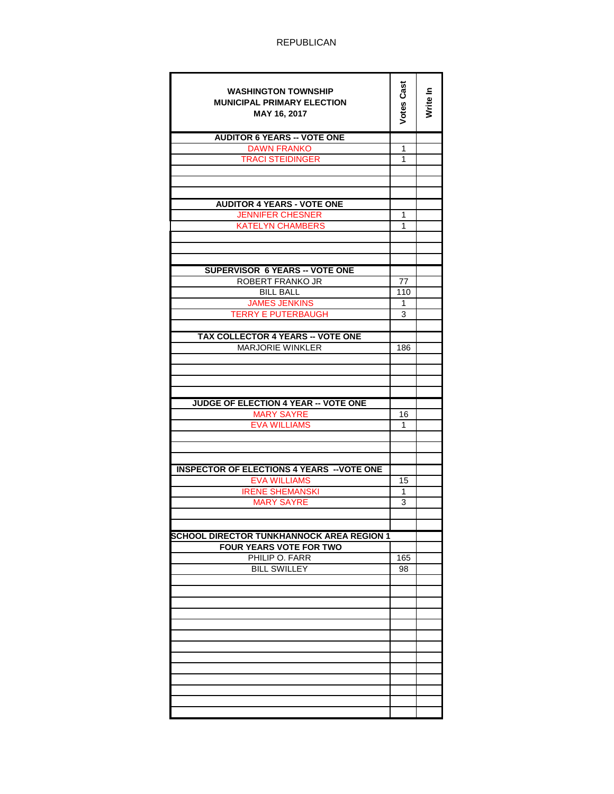| <b>WASHINGTON TOWNSHIP</b>                        | <b>Votes Cast</b> |          |
|---------------------------------------------------|-------------------|----------|
| <b>MUNICIPAL PRIMARY ELECTION</b>                 |                   | Write In |
| MAY 16, 2017                                      |                   |          |
|                                                   |                   |          |
| <b>AUDITOR 6 YEARS -- VOTE ONE</b>                |                   |          |
| <b>DAWN FRANKO</b>                                | 1                 |          |
| <b>TRACI STEIDINGER</b>                           | 1                 |          |
|                                                   |                   |          |
|                                                   |                   |          |
|                                                   |                   |          |
| <b>AUDITOR 4 YEARS - VOTE ONE</b>                 |                   |          |
| <b>JENNIFER CHESNER</b>                           | 1                 |          |
| KATELYN CHAMBERS                                  | 1                 |          |
|                                                   |                   |          |
|                                                   |                   |          |
|                                                   |                   |          |
| <b>SUPERVISOR 6 YEARS -- VOTE ONE</b>             |                   |          |
| ROBERT FRANKO JR                                  | 77                |          |
| <b>BILL BALL</b>                                  | 110               |          |
| <b>JAMES JENKINS</b>                              | 1                 |          |
| <b>TERRY E PUTERBAUGH</b>                         | 3                 |          |
|                                                   |                   |          |
| TAX COLLECTOR 4 YEARS -- VOTE ONE                 |                   |          |
| <b>MARJORIE WINKLER</b>                           | 186               |          |
|                                                   |                   |          |
|                                                   |                   |          |
|                                                   |                   |          |
| JUDGE OF ELECTION 4 YEAR -- VOTE ONE              |                   |          |
| <b>MARY SAYRE</b>                                 | 16                |          |
| <b>EVA WILLIAMS</b>                               | 1                 |          |
|                                                   |                   |          |
|                                                   |                   |          |
|                                                   |                   |          |
| <b>INSPECTOR OF ELECTIONS 4 YEARS -- VOTE ONE</b> |                   |          |
| <b>EVA WILLIAMS</b>                               | 15                |          |
| <b>IRENE SHEMANSKI</b>                            | 1                 |          |
| <b>MARY SAYRE</b>                                 | 3                 |          |
|                                                   |                   |          |
|                                                   |                   |          |
| <b>SCHOOL DIRECTOR TUNKHANNOCK AREA REGION 1</b>  |                   |          |
| <b>FOUR YEARS VOTE FOR TWO</b>                    |                   |          |
| PHILIP O. FARR                                    | 165               |          |
| <b>BILL SWILLEY</b>                               | 98                |          |
|                                                   |                   |          |
|                                                   |                   |          |
|                                                   |                   |          |
|                                                   |                   |          |
|                                                   |                   |          |
|                                                   |                   |          |
|                                                   |                   |          |
|                                                   |                   |          |
|                                                   |                   |          |
|                                                   |                   |          |
|                                                   |                   |          |
|                                                   |                   |          |
|                                                   |                   |          |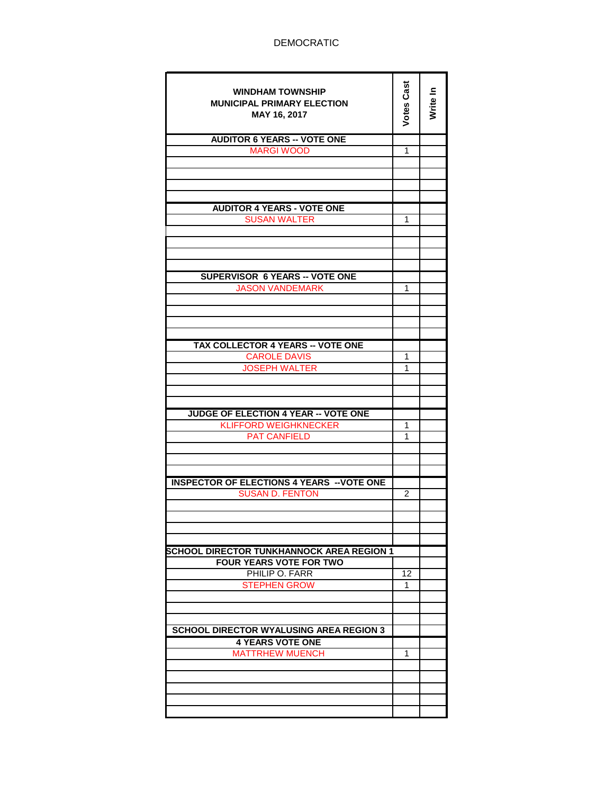| <b>WINDHAM TOWNSHIP</b><br><b>MUNICIPAL PRIMARY ELECTION</b><br>MAY 16, 2017 | Votes Cast      | Write In |
|------------------------------------------------------------------------------|-----------------|----------|
| <b>AUDITOR 6 YEARS -- VOTE ONE</b>                                           |                 |          |
| <b>MARGI WOOD</b>                                                            | 1               |          |
|                                                                              |                 |          |
|                                                                              |                 |          |
|                                                                              |                 |          |
| <b>AUDITOR 4 YEARS - VOTE ONE</b><br><b>SUSAN WALTER</b>                     | 1               |          |
|                                                                              |                 |          |
|                                                                              |                 |          |
|                                                                              |                 |          |
| <b>SUPERVISOR 6 YEARS -- VOTE ONE</b>                                        |                 |          |
| <b>JASON VANDEMARK</b>                                                       | 1               |          |
|                                                                              |                 |          |
|                                                                              |                 |          |
|                                                                              |                 |          |
| <b>TAX COLLECTOR 4 YEARS -- VOTE ONE</b>                                     |                 |          |
| <b>CAROLE DAVIS</b>                                                          | 1               |          |
| <b>JOSEPH WALTER</b>                                                         | 1               |          |
|                                                                              |                 |          |
|                                                                              |                 |          |
| <b>JUDGE OF ELECTION 4 YEAR -- VOTE ONE</b>                                  |                 |          |
| <b>KLIFFORD WEIGHKNECKER</b><br><b>PAT CANFIELD</b>                          | 1<br>1          |          |
|                                                                              |                 |          |
|                                                                              |                 |          |
|                                                                              |                 |          |
| <b>INSPECTOR OF ELECTIONS 4 YEARS -- VOTE ONE</b><br><b>SUSAN D. FENTON</b>  | 2               |          |
|                                                                              |                 |          |
|                                                                              |                 |          |
|                                                                              |                 |          |
| <b>SCHOOL DIRECTOR TUNKHANNOCK AREA REGION 1</b>                             |                 |          |
| <b>FOUR YEARS VOTE FOR TWO</b>                                               |                 |          |
| PHILIP O. FARR                                                               | $\overline{12}$ |          |
| <b>STEPHEN GROW</b>                                                          | 1               |          |
|                                                                              |                 |          |
|                                                                              |                 |          |
| <b>SCHOOL DIRECTOR WYALUSING AREA REGION 3</b>                               |                 |          |
| <b>4 YEARS VOTE ONE</b>                                                      |                 |          |
| <b>MATTRHEW MUENCH</b>                                                       | 1               |          |
|                                                                              |                 |          |
|                                                                              |                 |          |
|                                                                              |                 |          |
|                                                                              |                 |          |